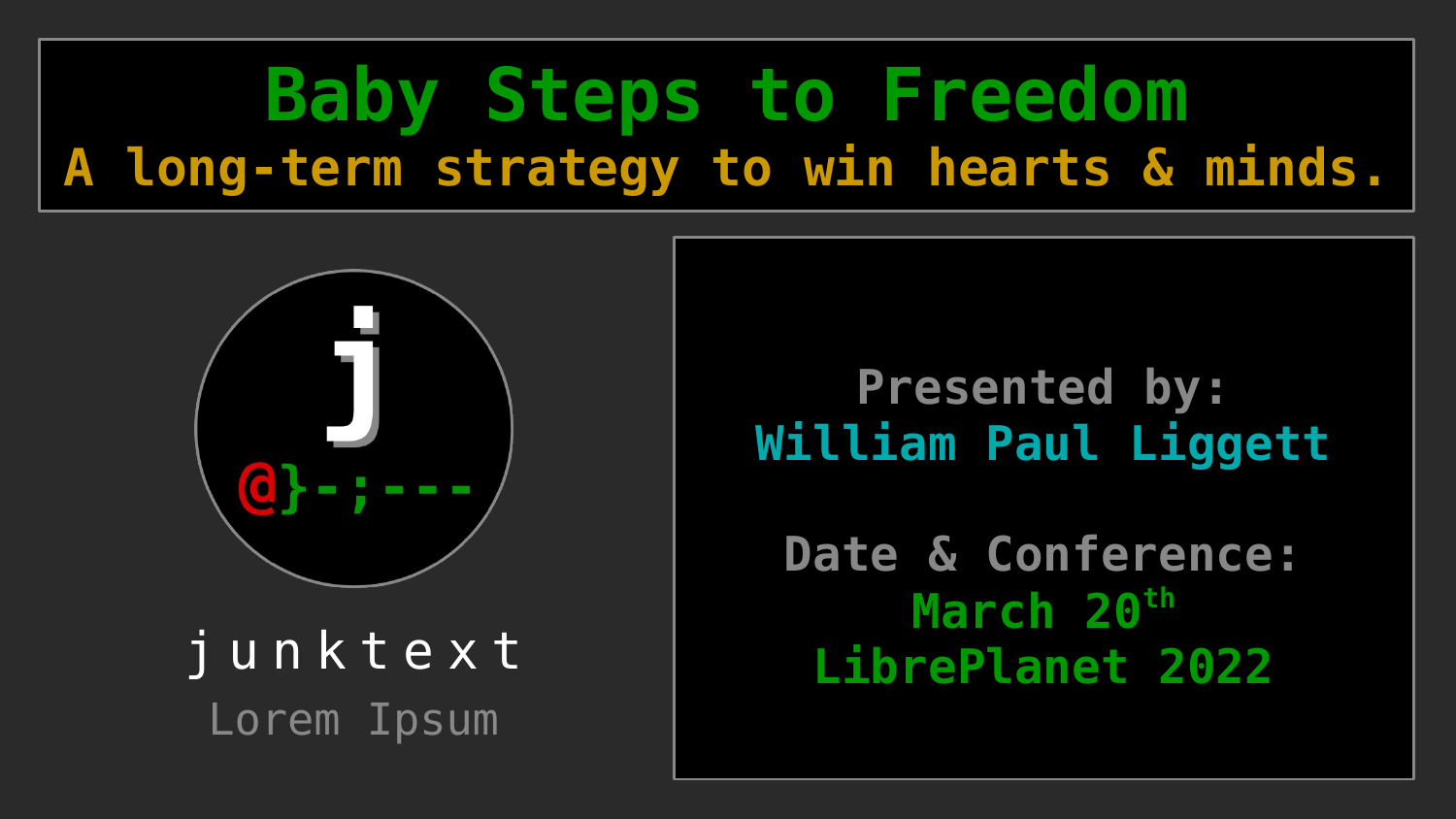# **Baby Steps to Freedom A long-term strategy to win hearts & minds.**



Lorem Ipsum

#### **Presented by: William Paul Liggett**

**Date & Conference: March 20th** [j u n k t e](https://junktext.com/) x t **LibrePlanet 2022**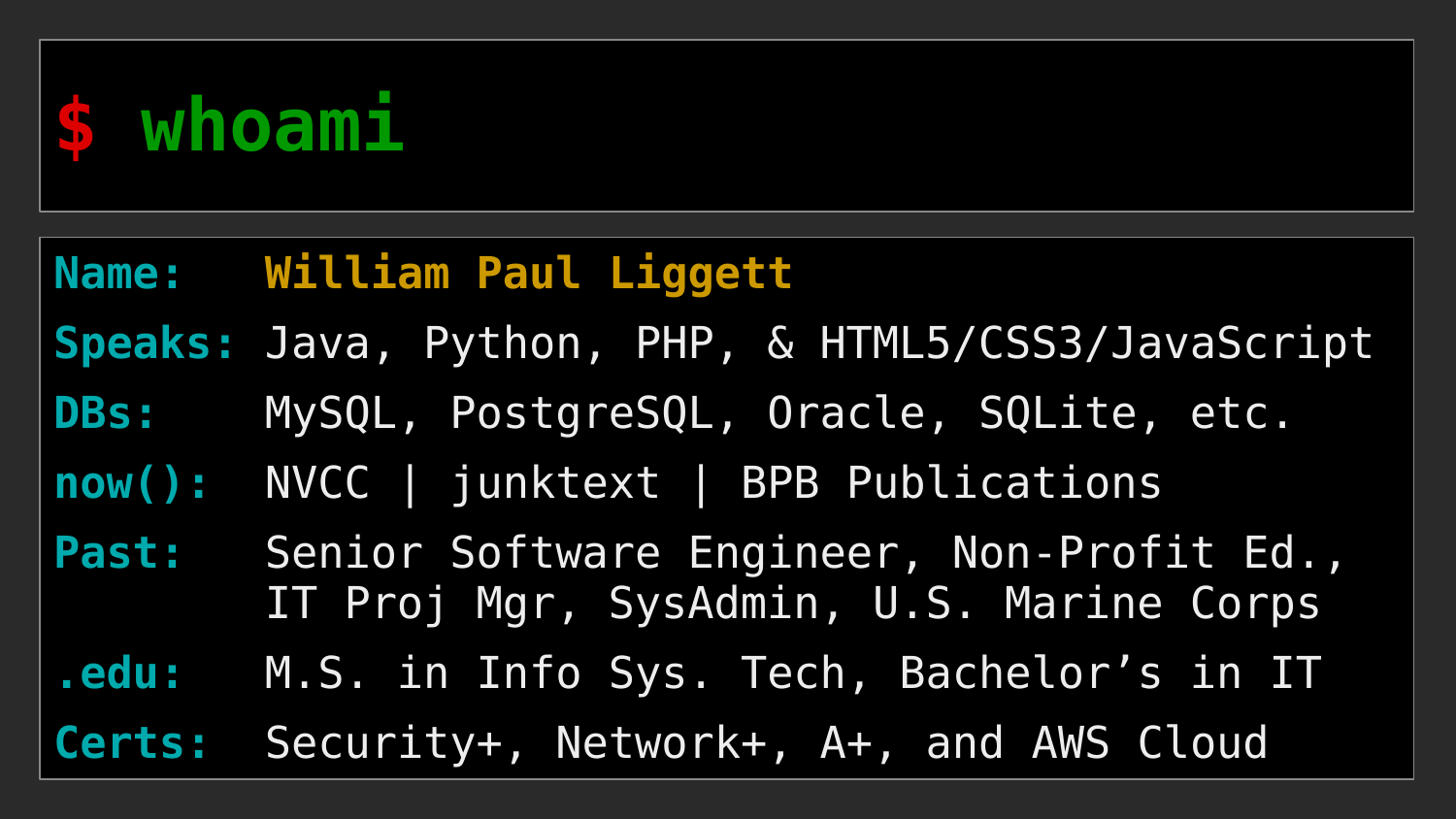

#### **Name: William Paul Liggett**

**Speaks:** Java, Python, PHP, & HTML5/CSS3/JavaScript

**DBs:** MySQL, PostgreSQL, Oracle, SQLite, etc.

**now():** NVCC | junktext | BPB Publications

Past: Senior Software Engineer, Non-Profit Ed., IT Proj Mgr, SysAdmin, U.S. Marine Corps

**.edu:** M.S. in Info Sys. Tech, Bachelor's in IT

**Certs:** Security+, Network+, A+, and AWS Cloud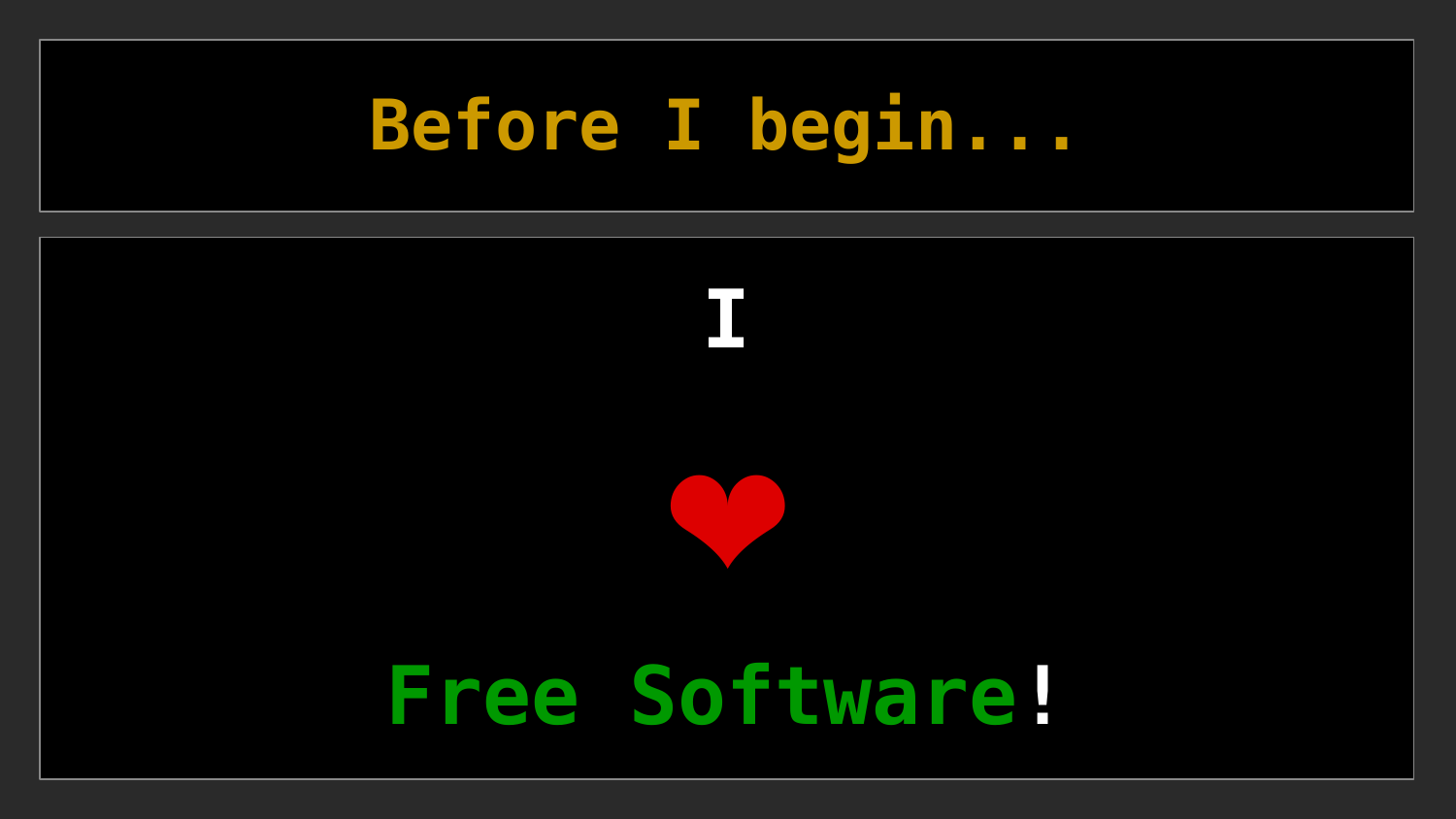# **Before I begin...**

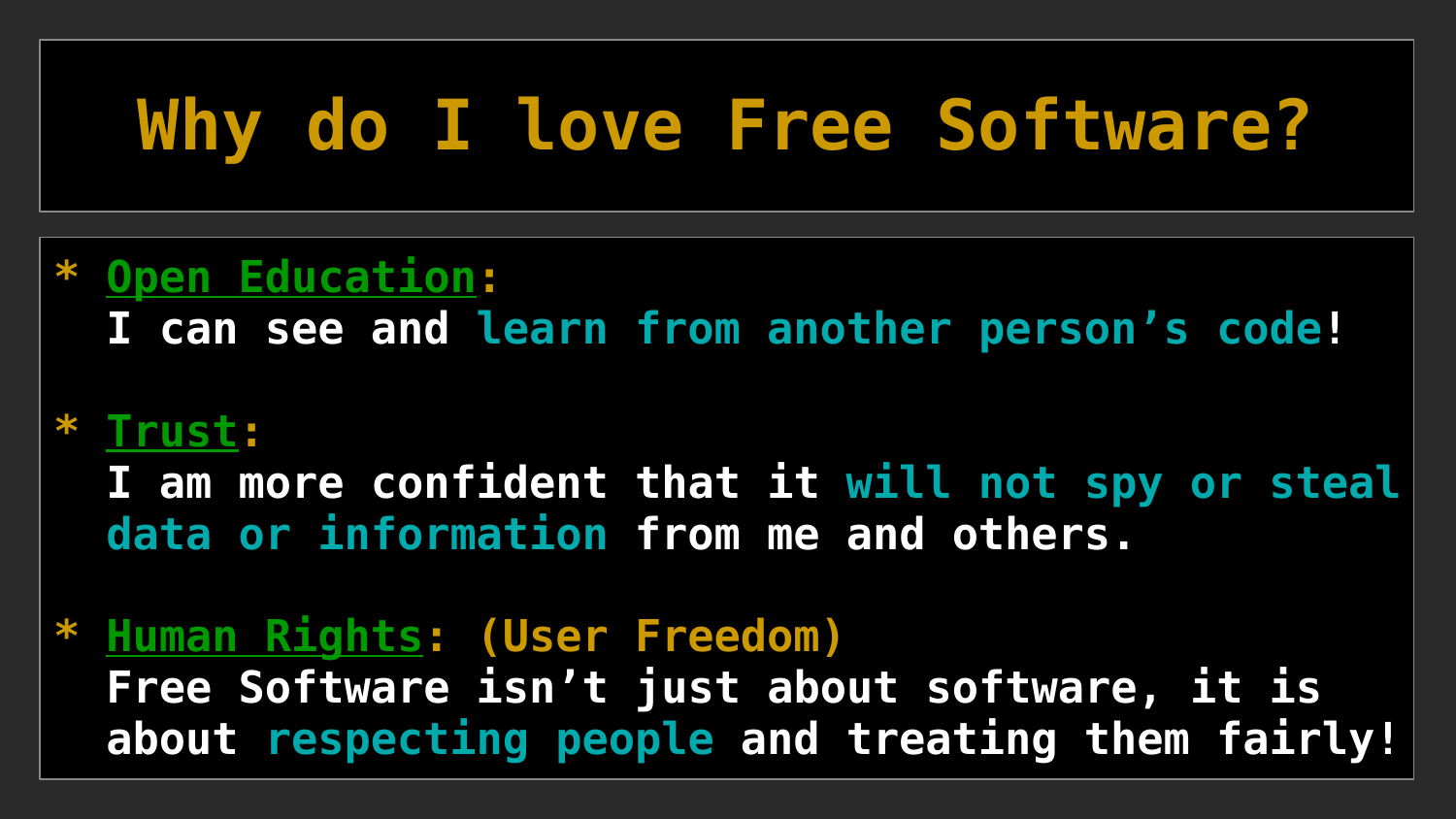# **Why do I love Free Software?**

#### **\* Open Education:**

 **I can see and learn from another person's code!**

#### **\* Trust:**

 **I am more confident that it will not spy or steal data or information from me and others.**

**\* Human Rights: (User Freedom) Free Software isn't just about software, it is about respecting people and treating them fairly!**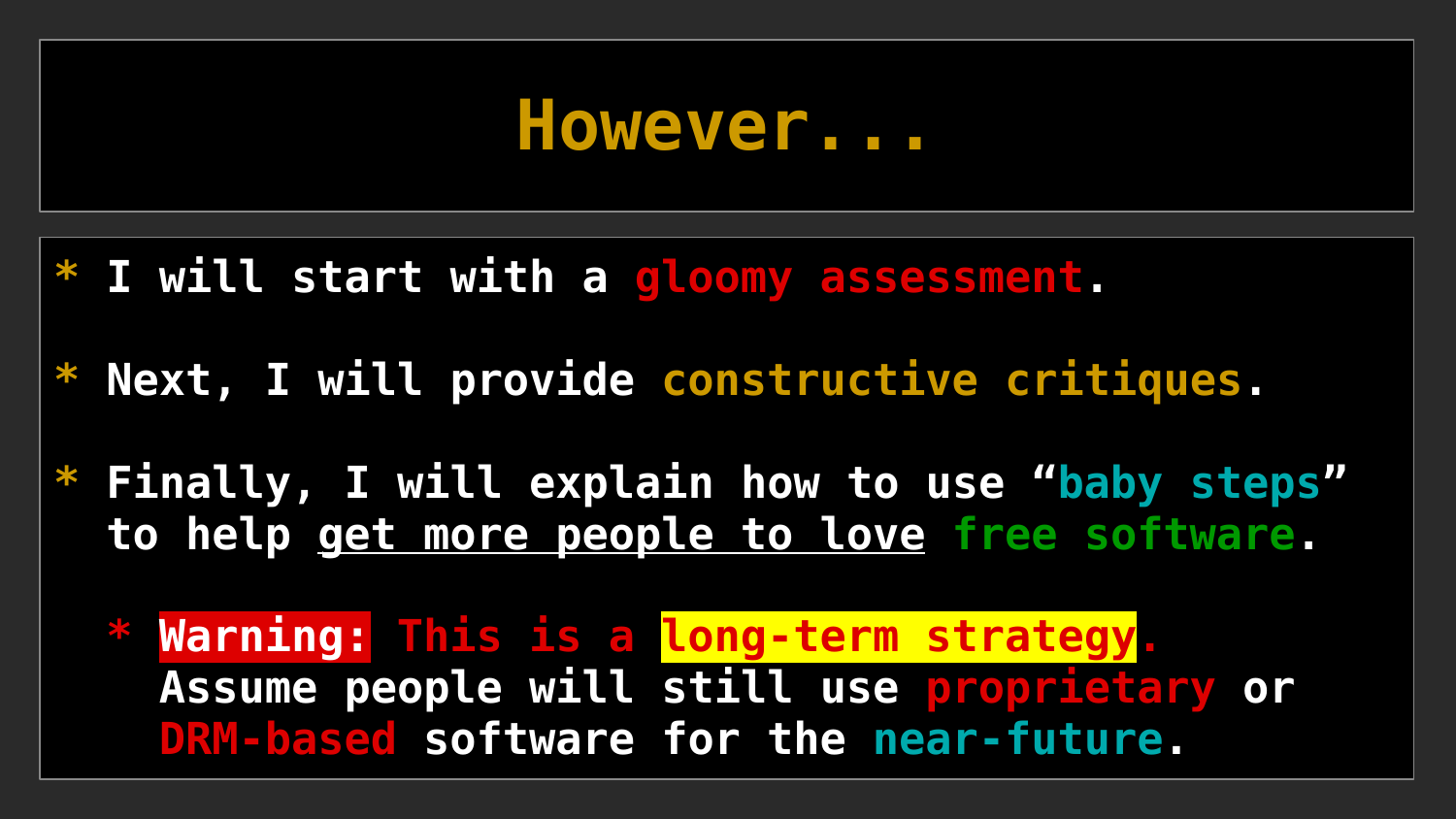### **However...**

- **\* I will start with a gloomy assessment.**
- **\* Next, I will provide constructive critiques.**
- **\* Finally, I will explain how to use "baby steps" to help get more people to love free software.**
	- **\* Warning: This is a long-term strategy. Assume people will still use proprietary or DRM-based software for the near-future.**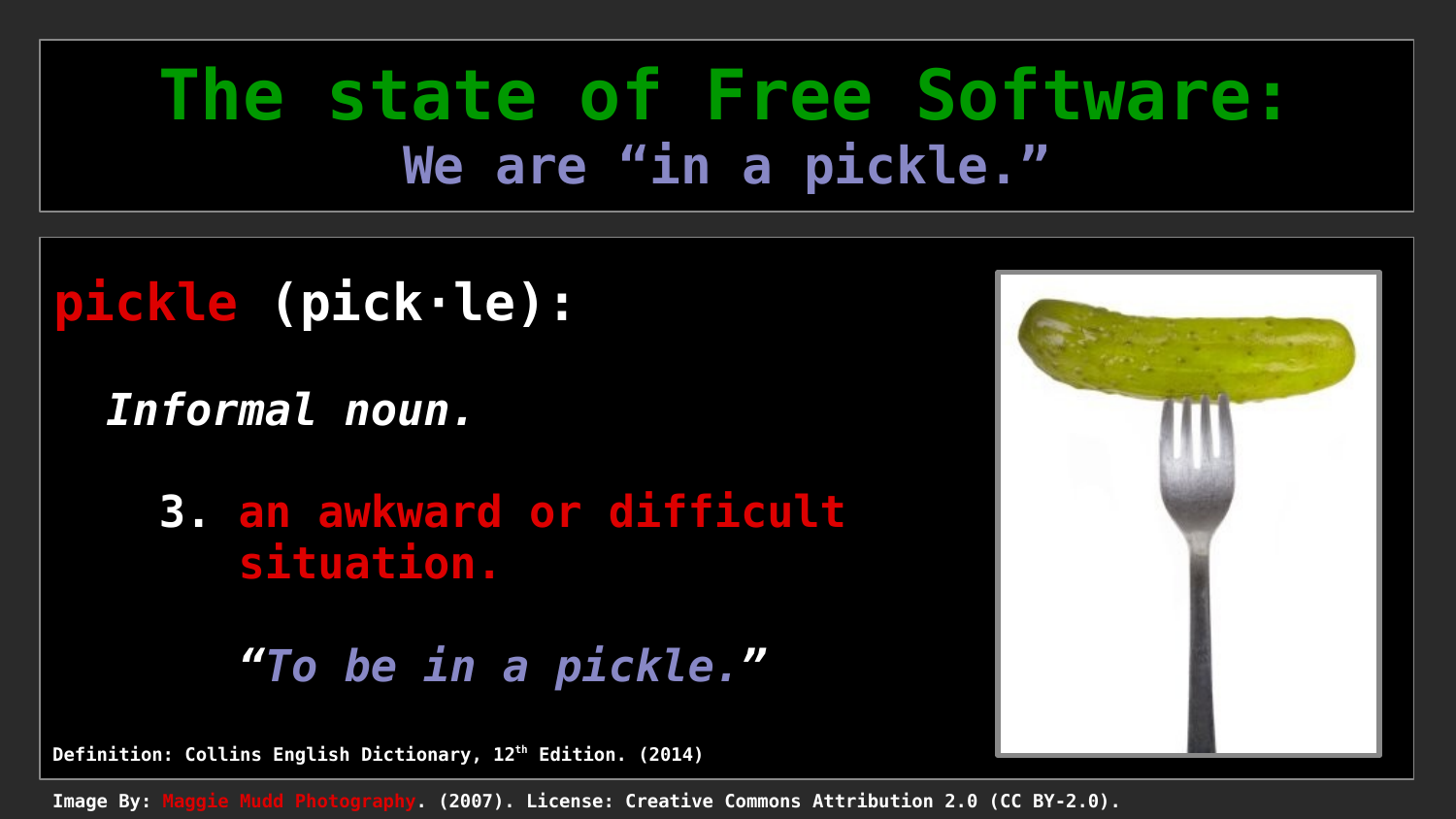### **The state of Free Software: We are "in a pickle."**

### **pickle (pick·le):**

 *Informal noun.*

**3. an awkward or difficult situation.**

*"To be in a pickle."*

**Definition: Collins English Dictionary, 12th Edition. (2014)**

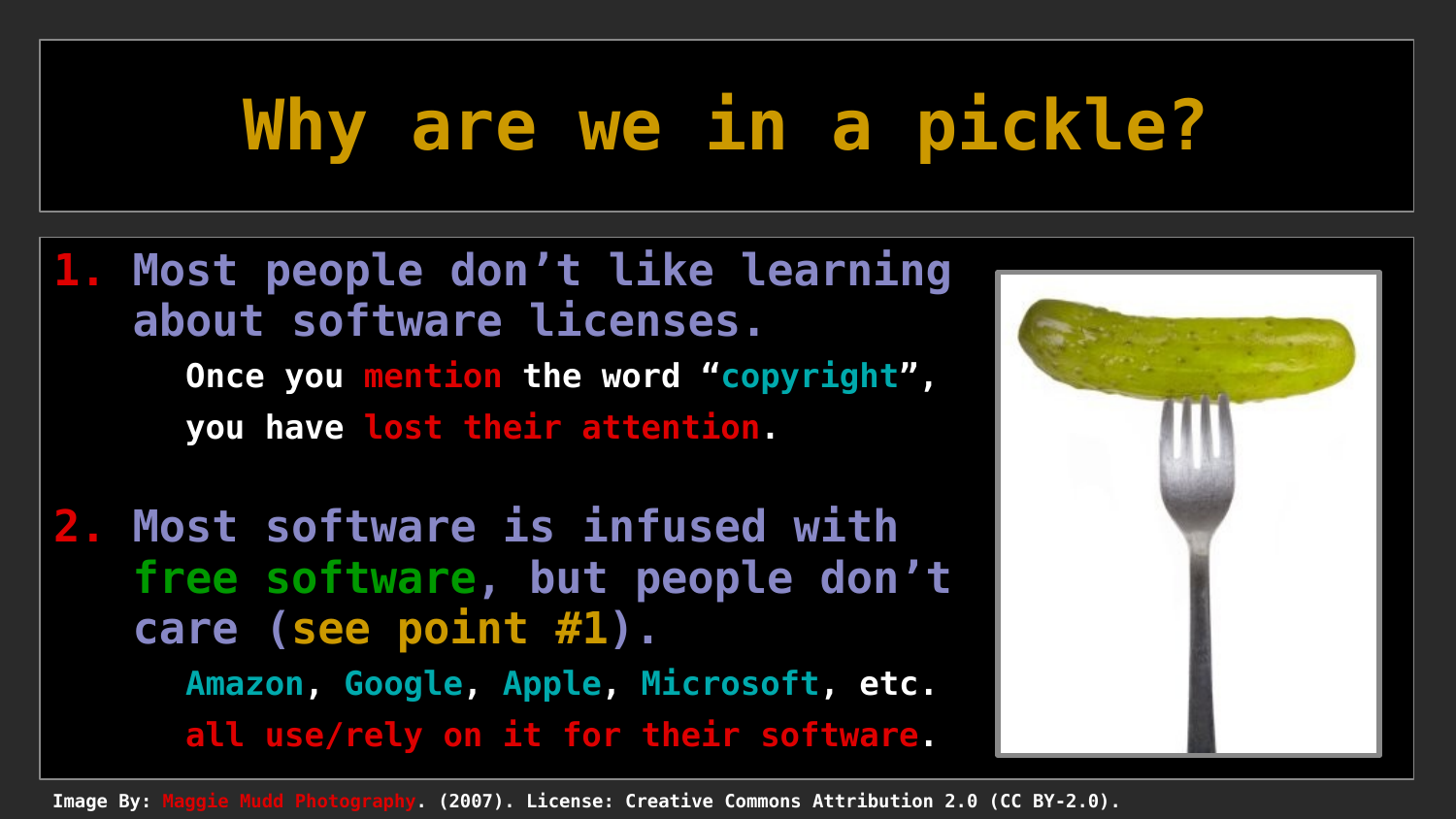# **Why are we in a pickle?**

**1. Most people don't like learning about software licenses. Once you mention the word "copyright", you have lost their attention.**

**2. Most software is infused with free software, but people don't care (see point #1). Amazon, Google, Apple, Microsoft, etc. all use/rely on it for their software.**

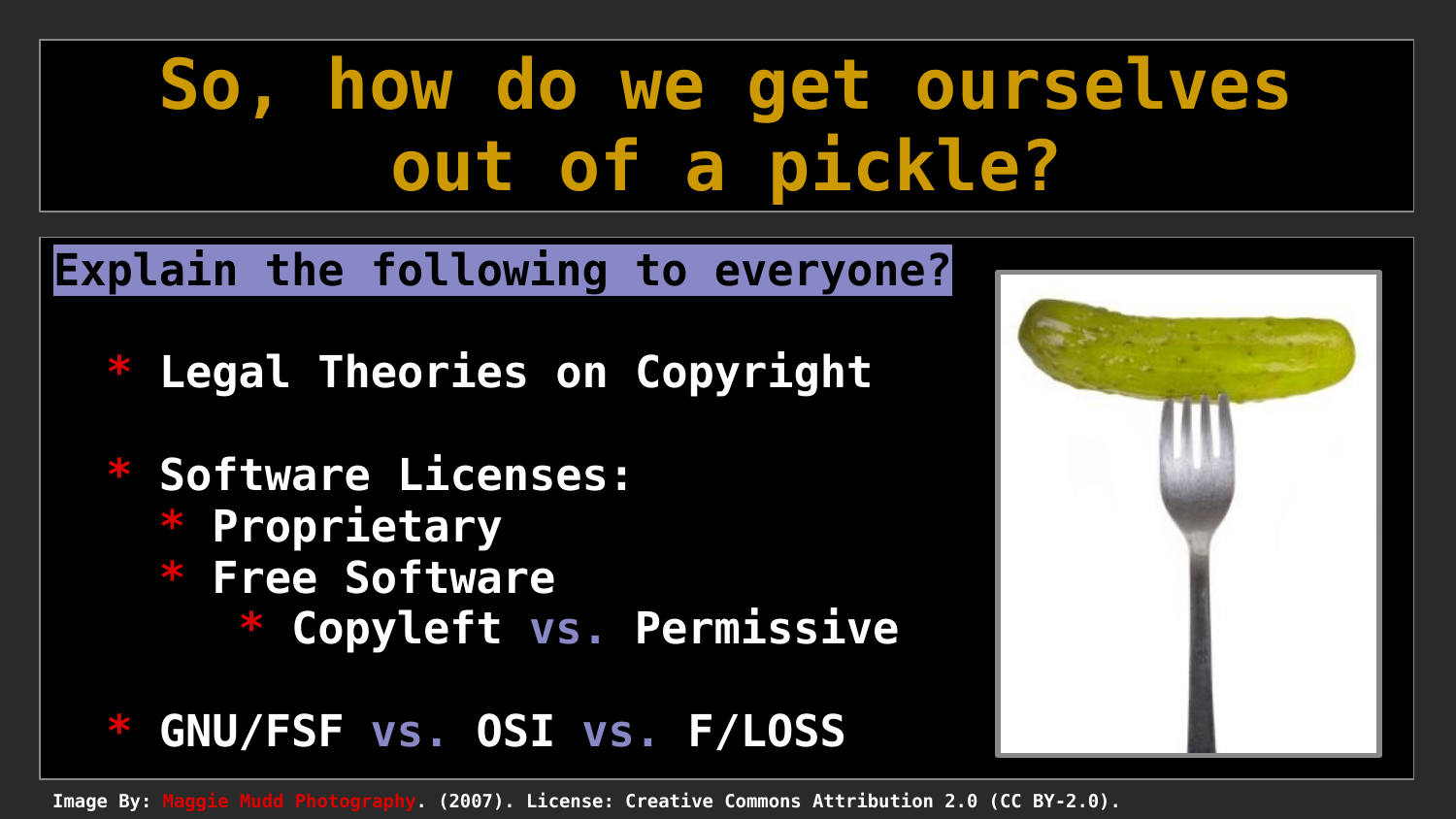# **So, how do we get ourselves out of a pickle?**

#### **Explain the following to everyone?**

- **Legal Theories on Copyright**
- **\* Software Licenses: \* Proprietary \* Free Software \* Copyleft vs. Permissive**

#### **\* GNU/FSF vs. OSI vs. F/LOSS**

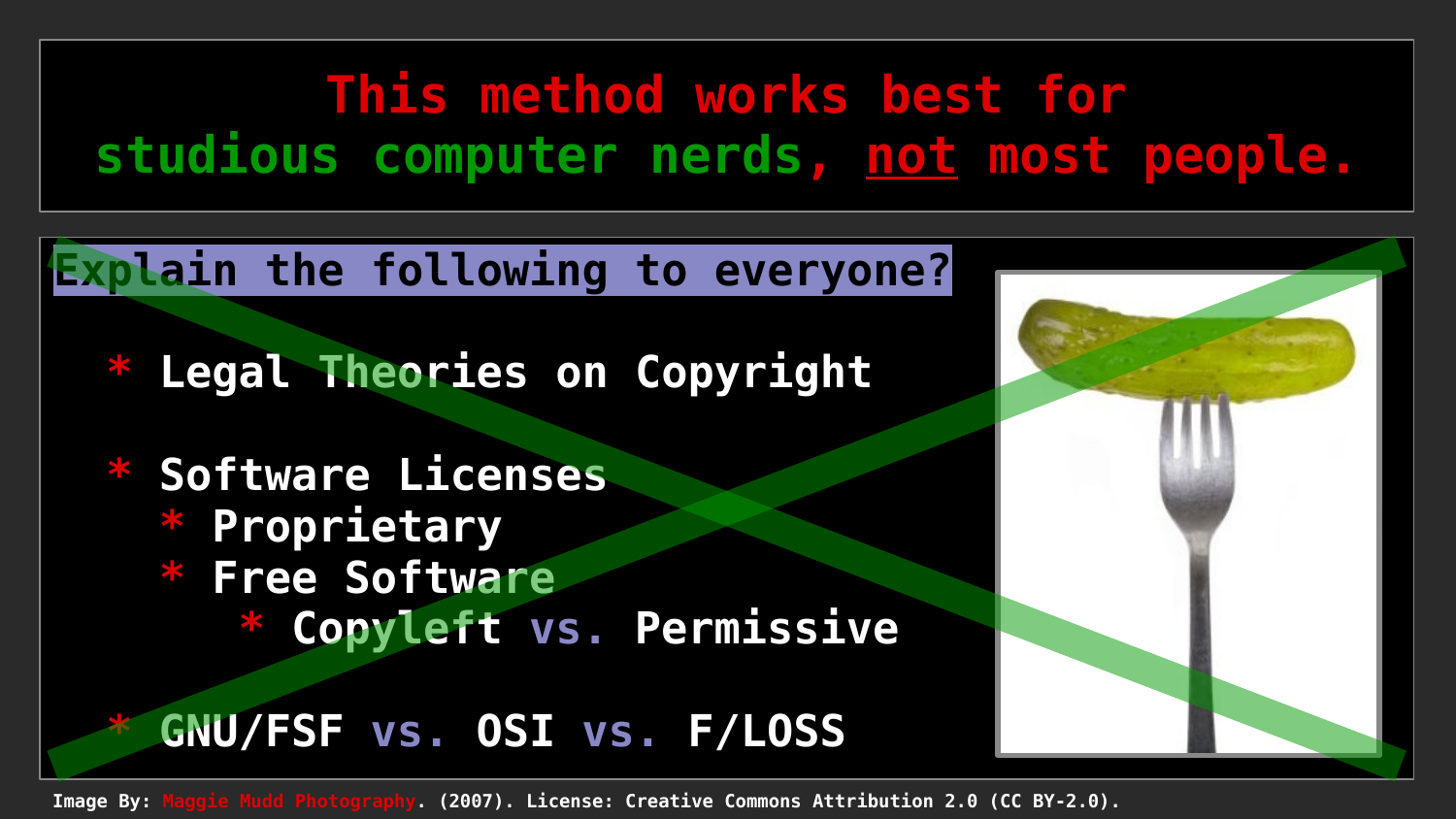### **This method works best for studious computer nerds, not most people.**

#### **Explain the following to everyone?**

**Legal Theories on Copyright** 

**Software Licenses \* Proprietary \* Free Software Copyleft vs. Permissive** 

#### **GNU/FSF vs. OSI vs. F/LOSS**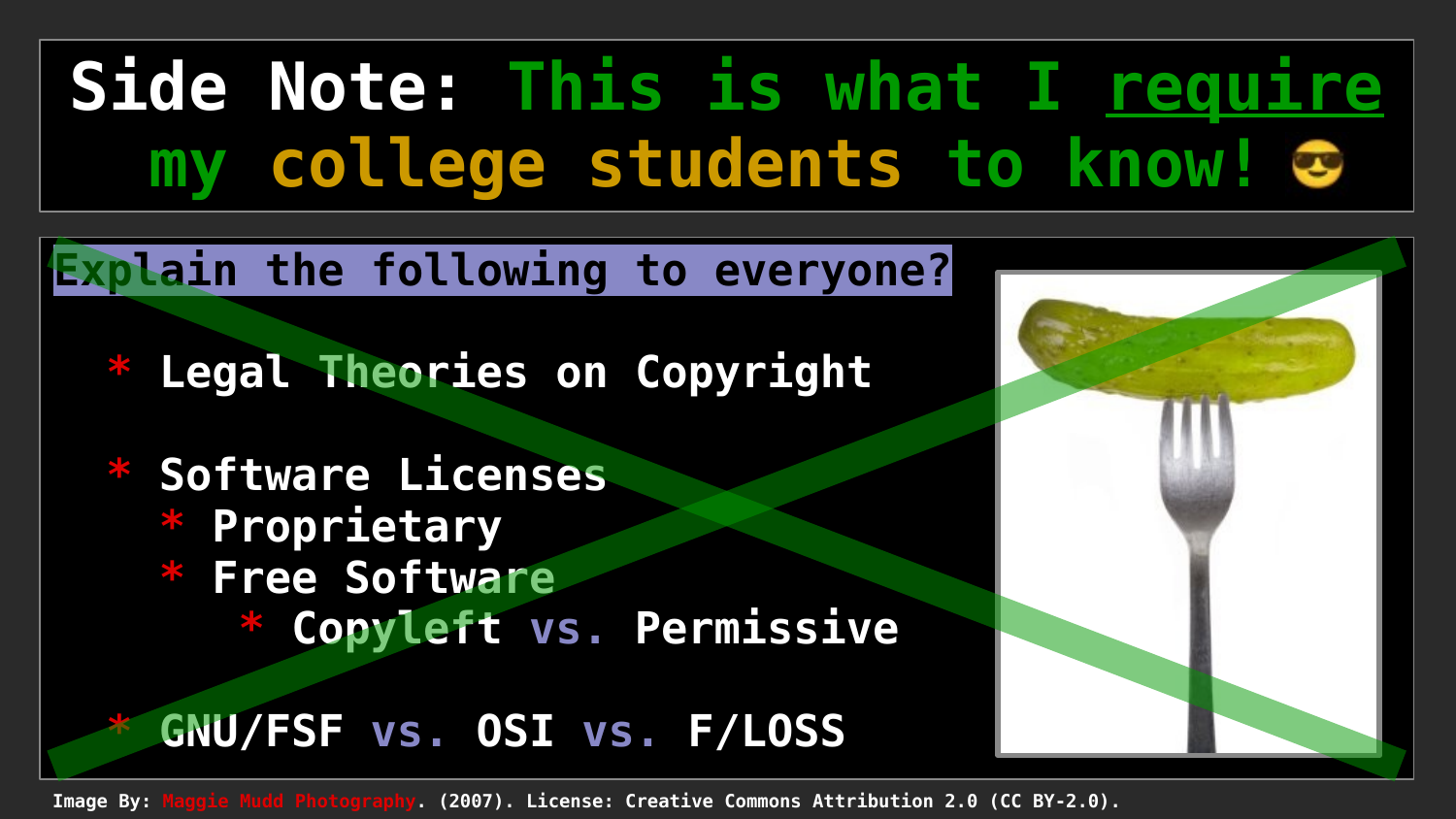# **Side Note: This is what I require my college students to know!**

#### **Explain the following to everyone?**

**Legal Theories on Copyright** 

**Software Licenses \* Proprietary \* Free Software Copyleft vs. Permissive** 

#### **GNU/FSF vs. OSI vs. F/LOSS**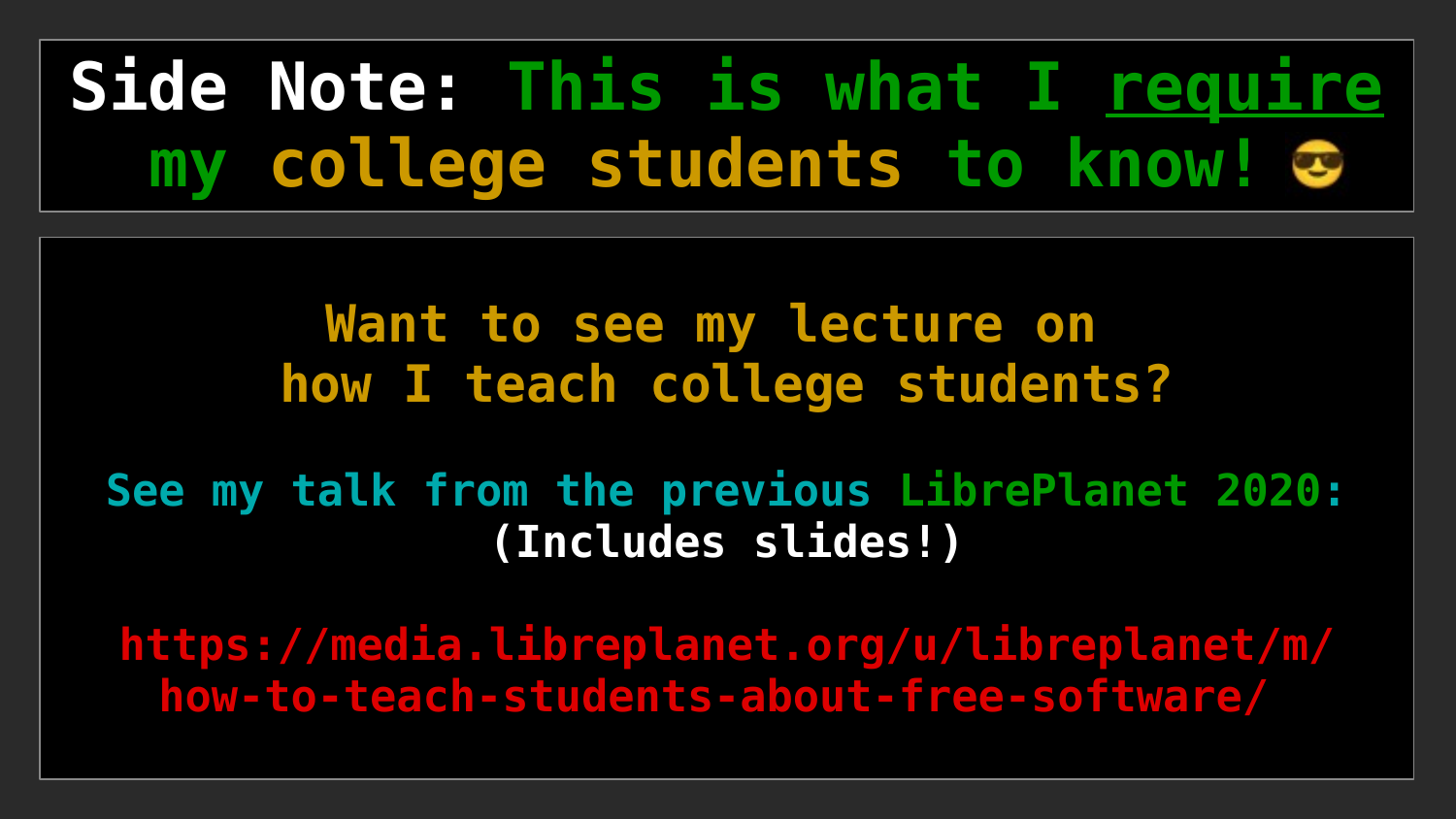# **Side Note: This is what I require my college students to know!**

#### **Want to see my lecture on how I teach college students?**

#### **See my talk from the previous LibrePlanet 2020: (Includes slides!)**

**[https://media.libreplanet.org/u/libreplanet/m/](https://media.libreplanet.org/u/libreplanet/m/how-to-teach-students-about-free-software/) [how-to-teach-students-about-free-software/](https://media.libreplanet.org/u/libreplanet/m/how-to-teach-students-about-free-software/)**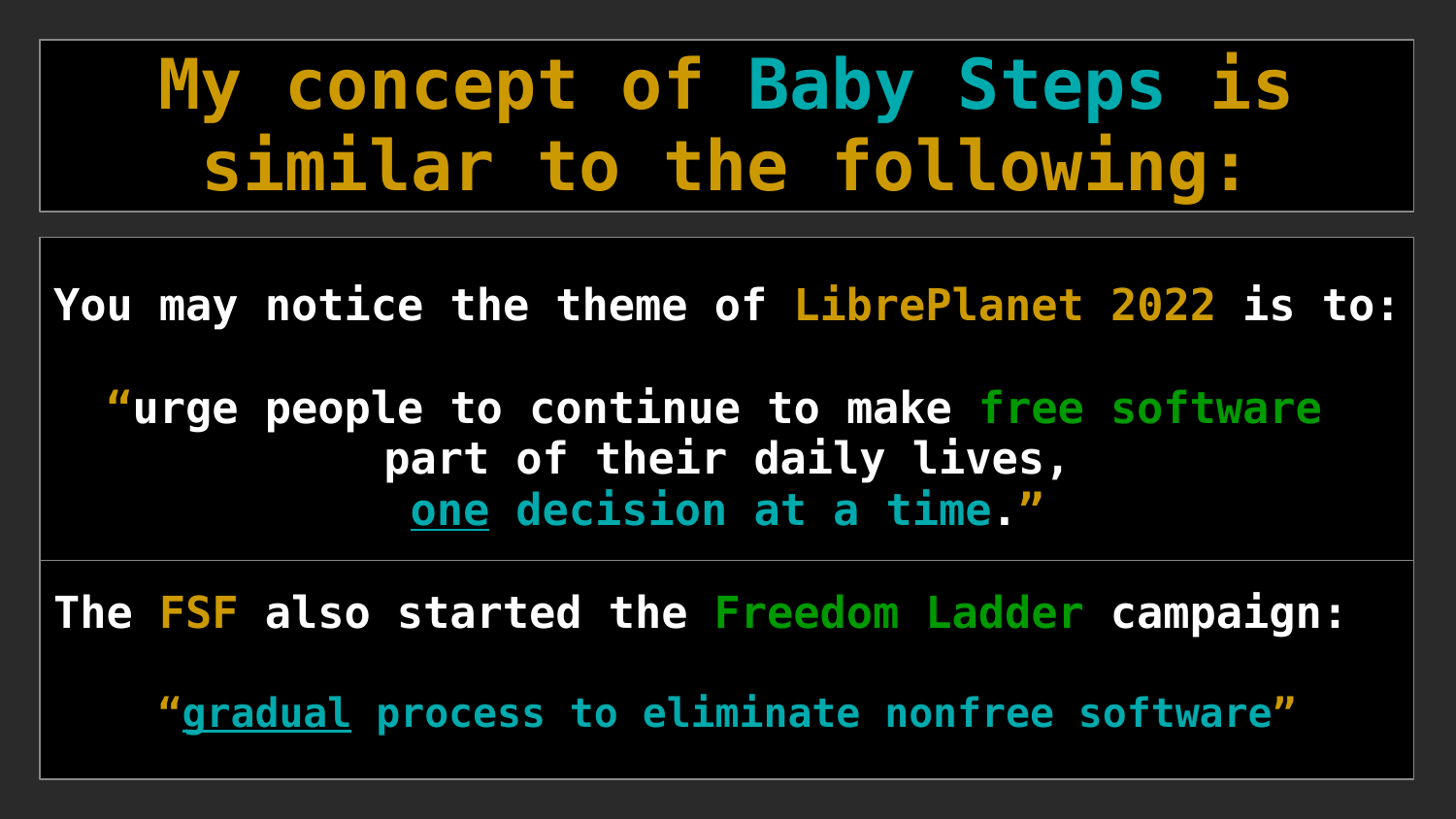# **My concept of Baby Steps is similar to the following:**

**You may notice the theme of LibrePlanet 2022 is to:**

**"urge people to continue to make free software part of their daily lives, one decision at a time."**

**The FSF also started the [Freedom Ladder](https://libreplanet.org/wiki/Group:Freedom_Ladder) campaign: "gradual process to eliminate nonfree software"**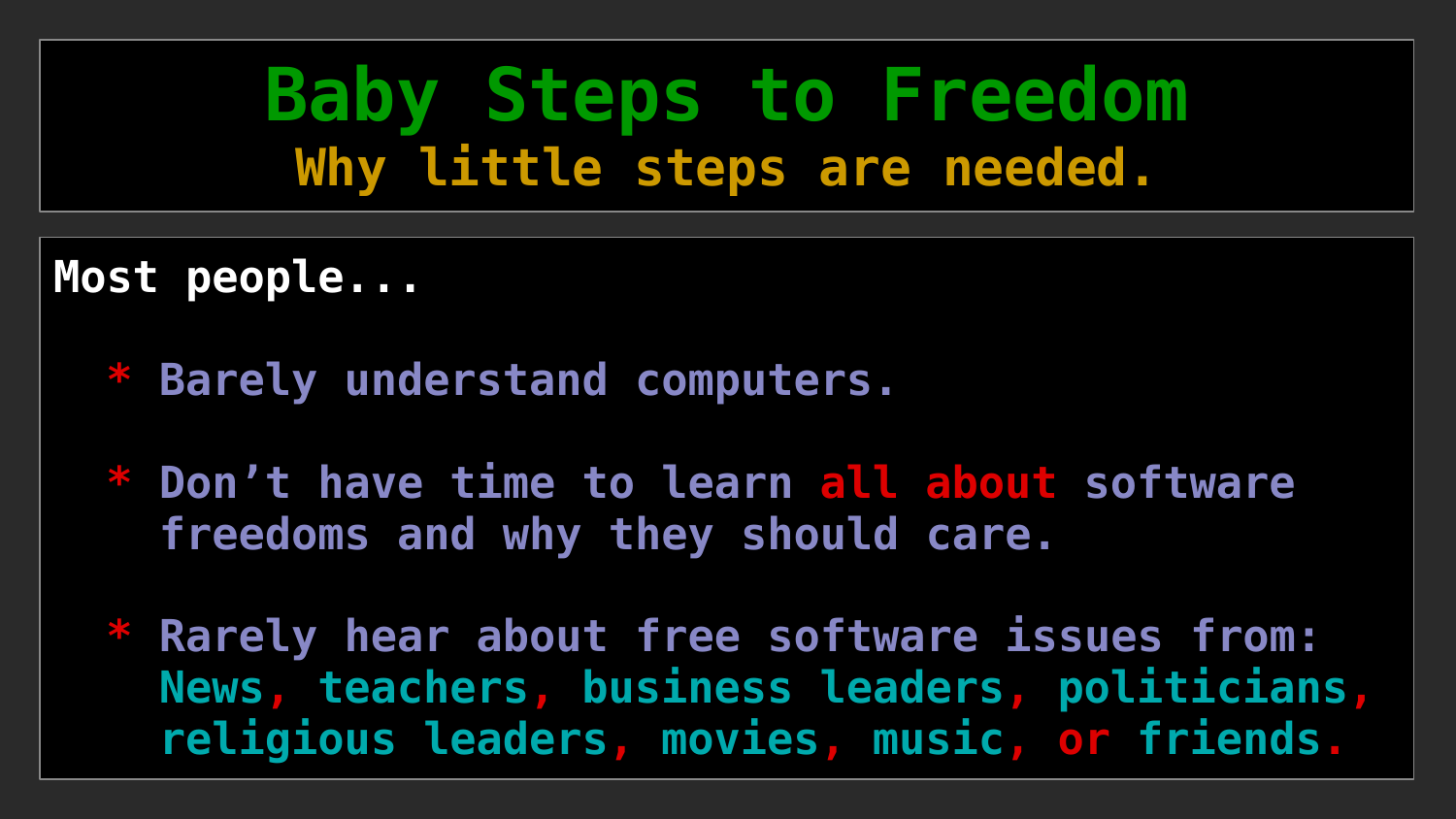**Baby Steps to Freedom Why little steps are needed.**

**Most people...** 

- **\* Barely understand computers.**
- **\* Don't have time to learn all about software freedoms and why they should care.**
- **\* Rarely hear about free software issues from: News, teachers, business leaders, politicians, religious leaders, movies, music, or friends.**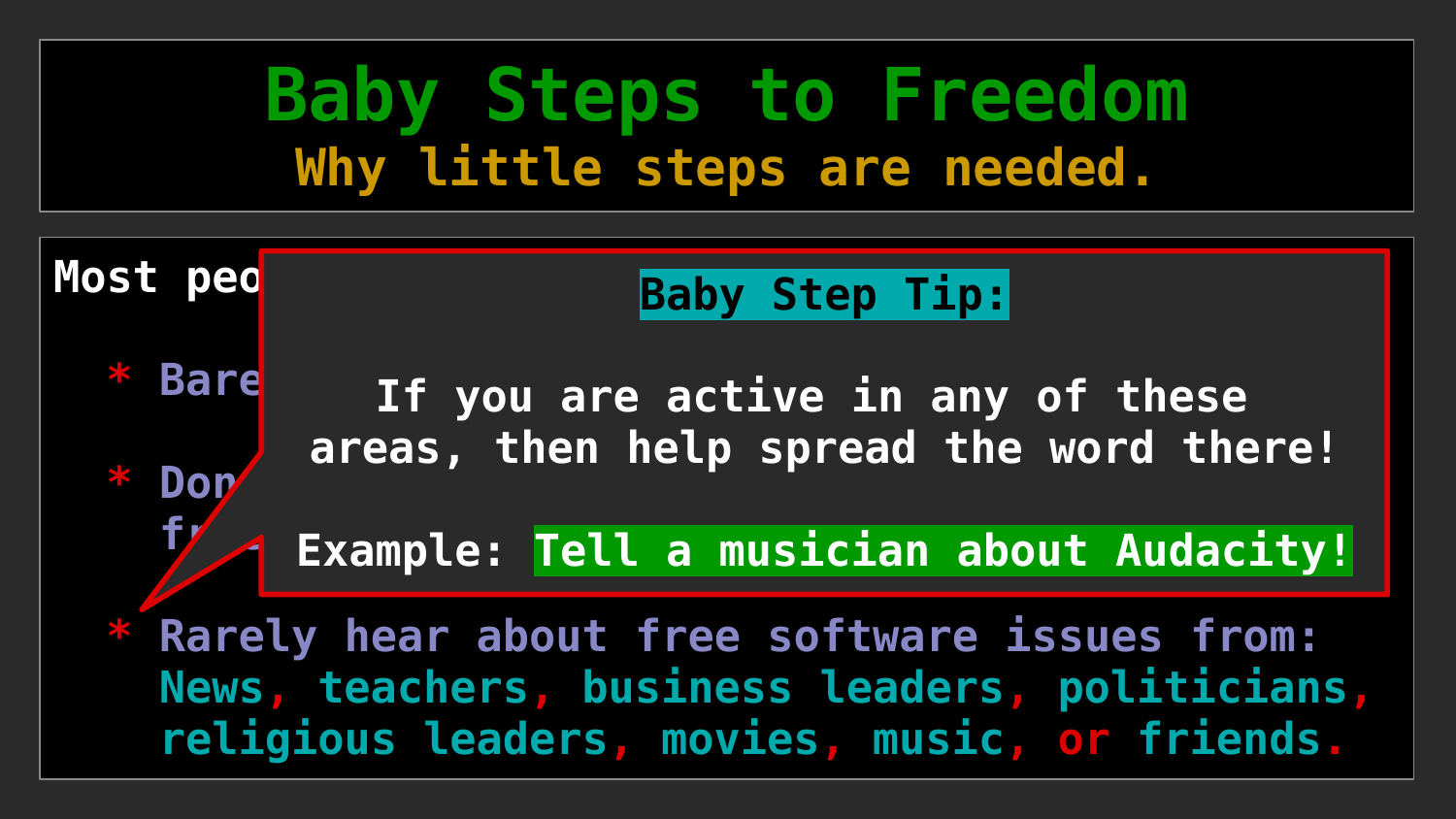### **Baby Steps to Freedom Why little steps are needed.**

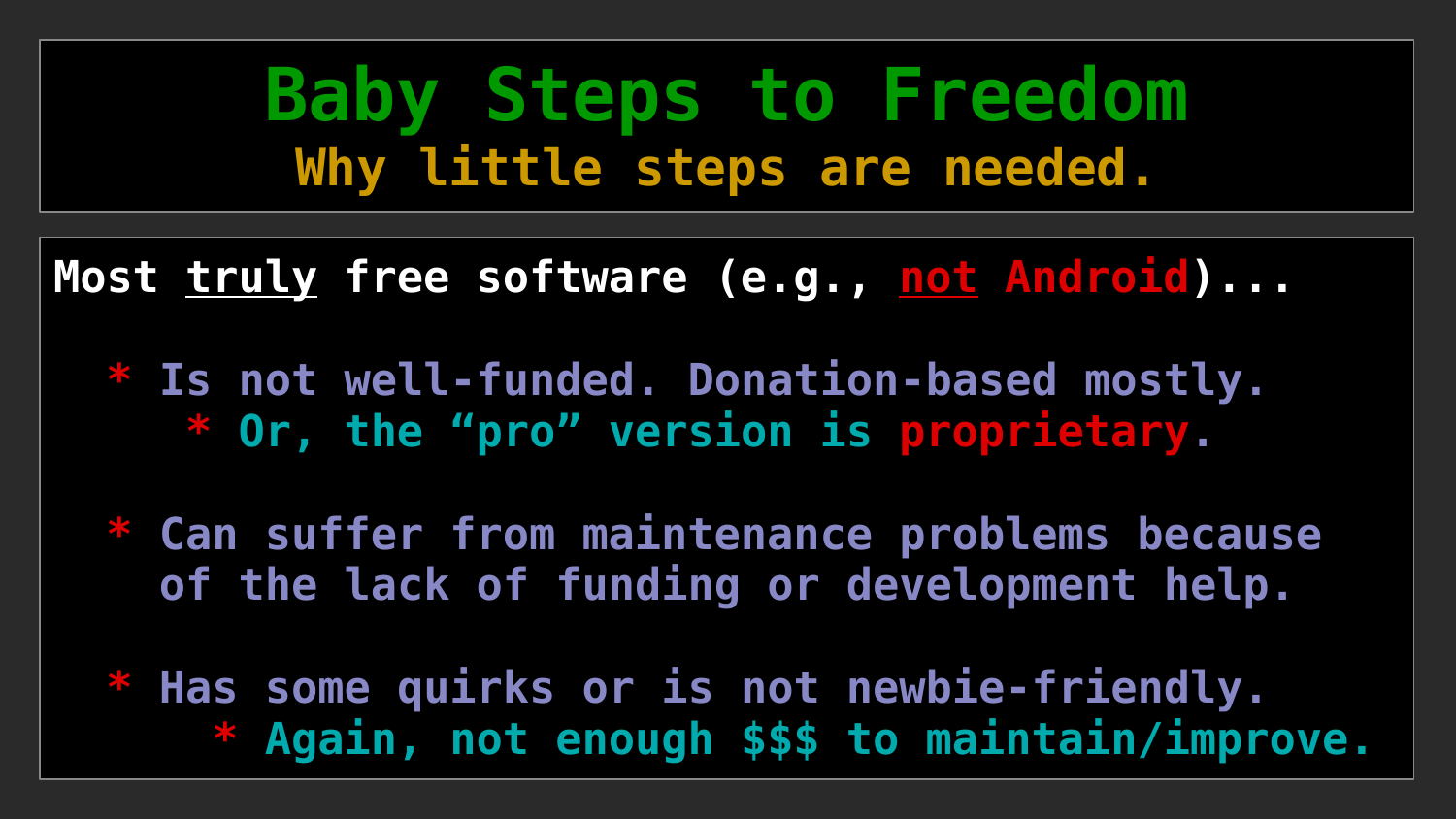### **Baby Steps to Freedom Why little steps are needed.**

**Most truly free software (e.g., not Android)...** 

- **\* Is not well-funded. Donation-based mostly. \* Or, the "pro" version is proprietary.**
- **\* Can suffer from maintenance problems because of the lack of funding or development help.**
- **\* Has some quirks or is not newbie-friendly. \* Again, not enough \$\$\$ to maintain/improve.**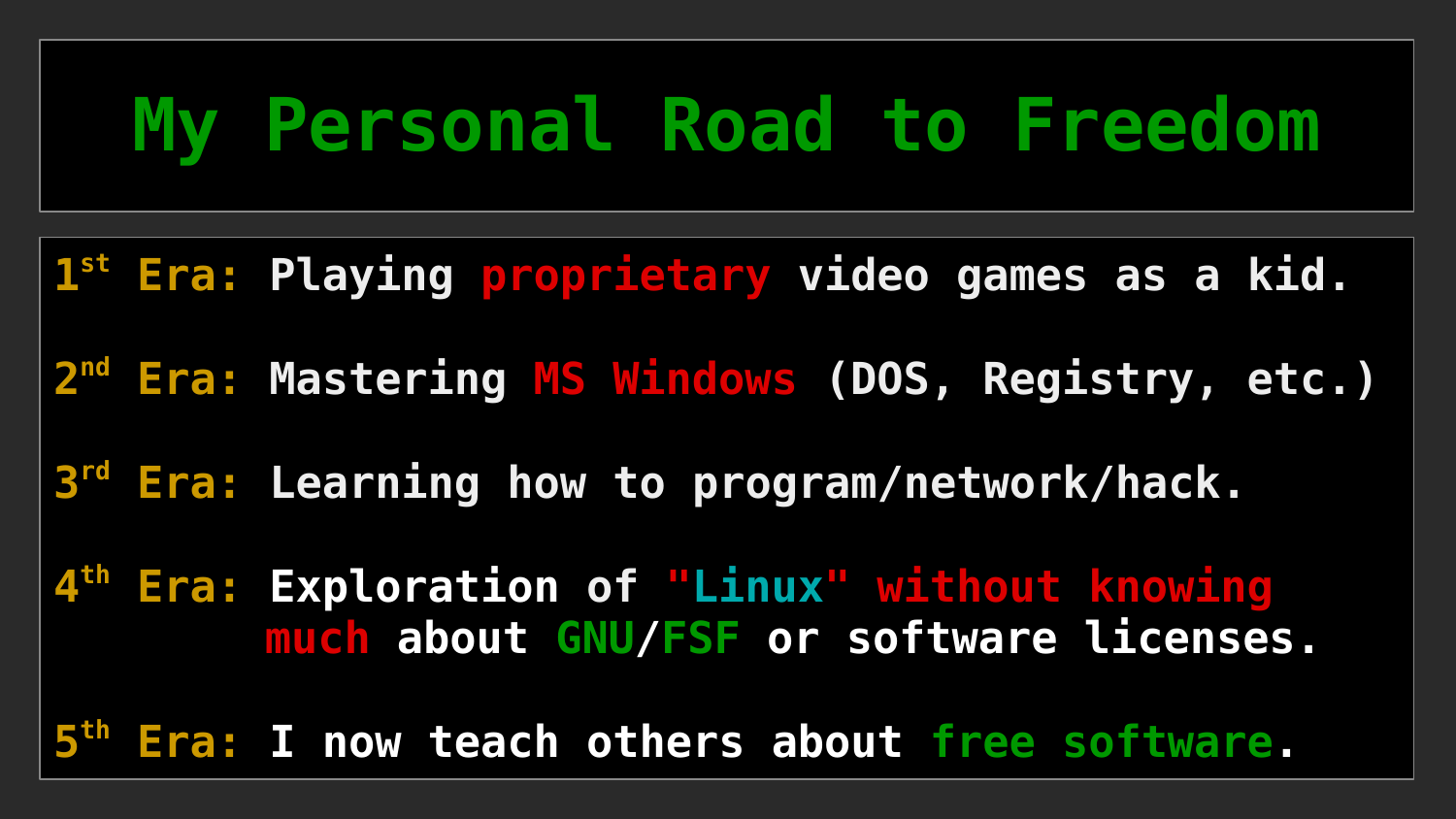# **My Personal Road to Freedom**

**st Era: Playing proprietary video games as a kid.**

**nd Era: Mastering MS Windows (DOS, Registry, etc.)**

**rd Era: Learning how to program/network/hack.**

 **th Era: Exploration of "Linux" without knowing much about GNU/FSF or software licenses.**

**th Era: I now teach others about free software.**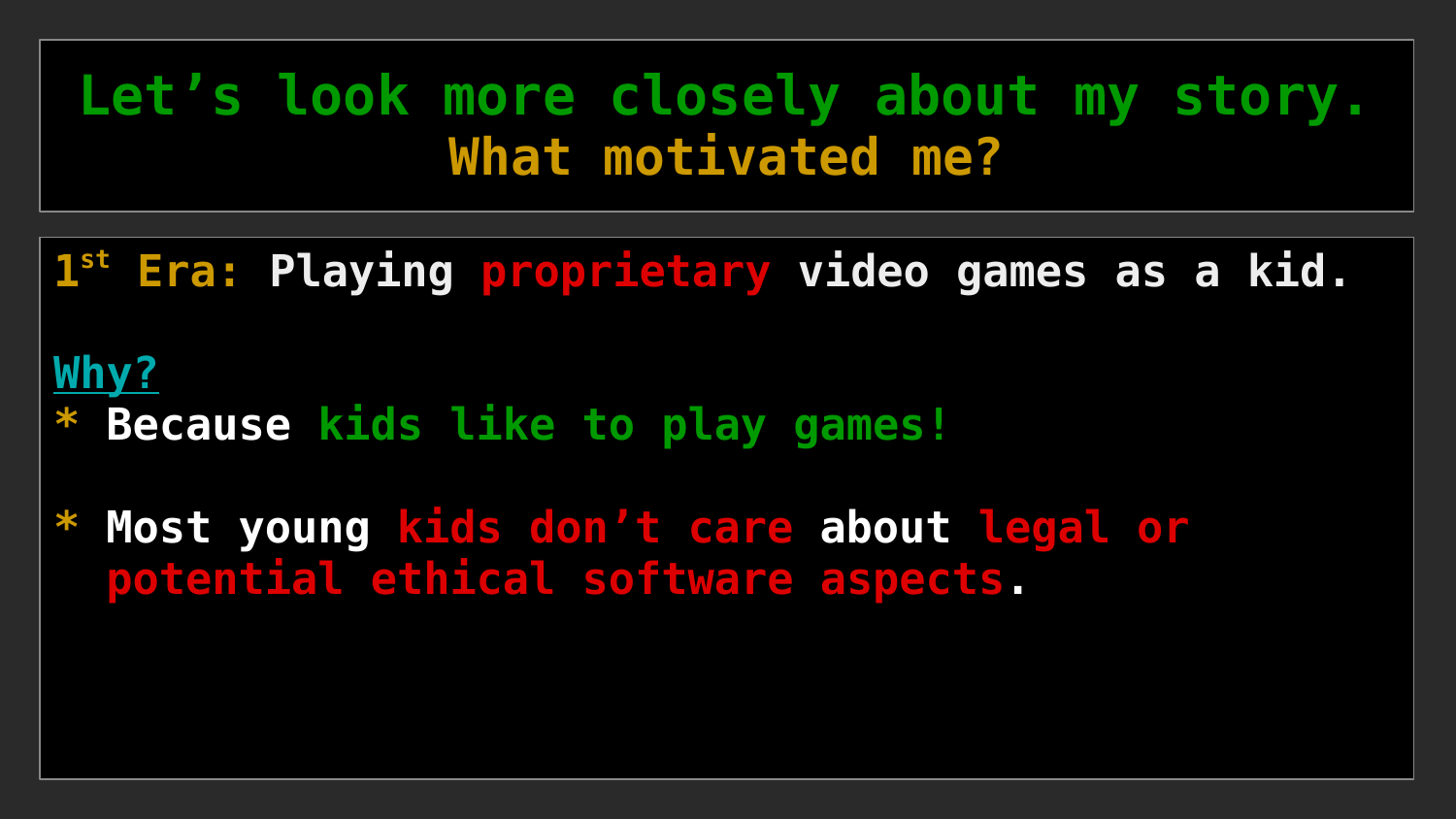**1 st Era: Playing proprietary video games as a kid.**

#### **Why?**

- **\* Because kids like to play games!**
- **\* Most young kids don't care about legal or potential ethical software aspects.**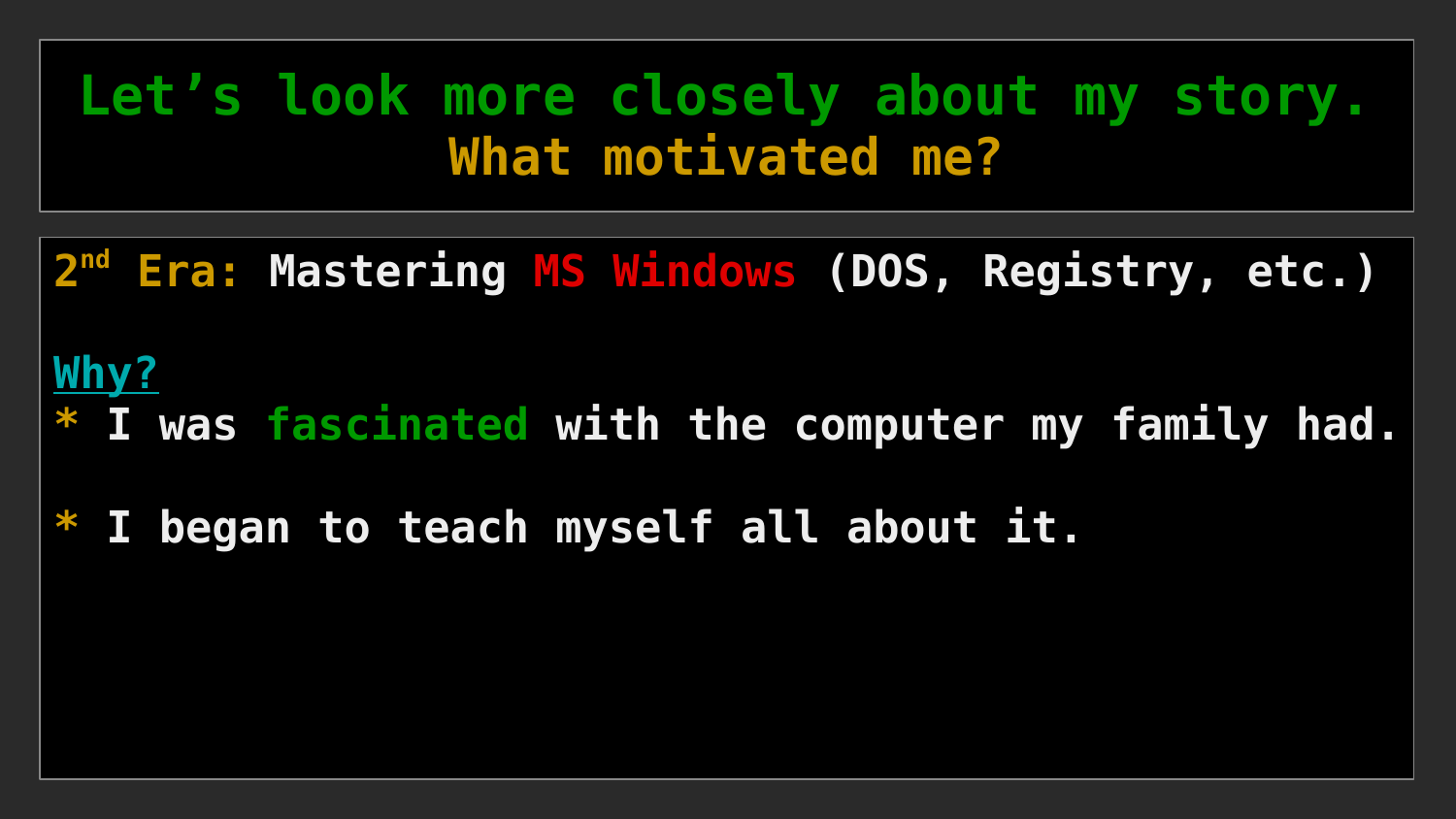**2 nd Era: Mastering MS Windows (DOS, Registry, etc.)**

#### **Why?**

- **\* I was fascinated with the computer my family had.**
- **\* I began to teach myself all about it.**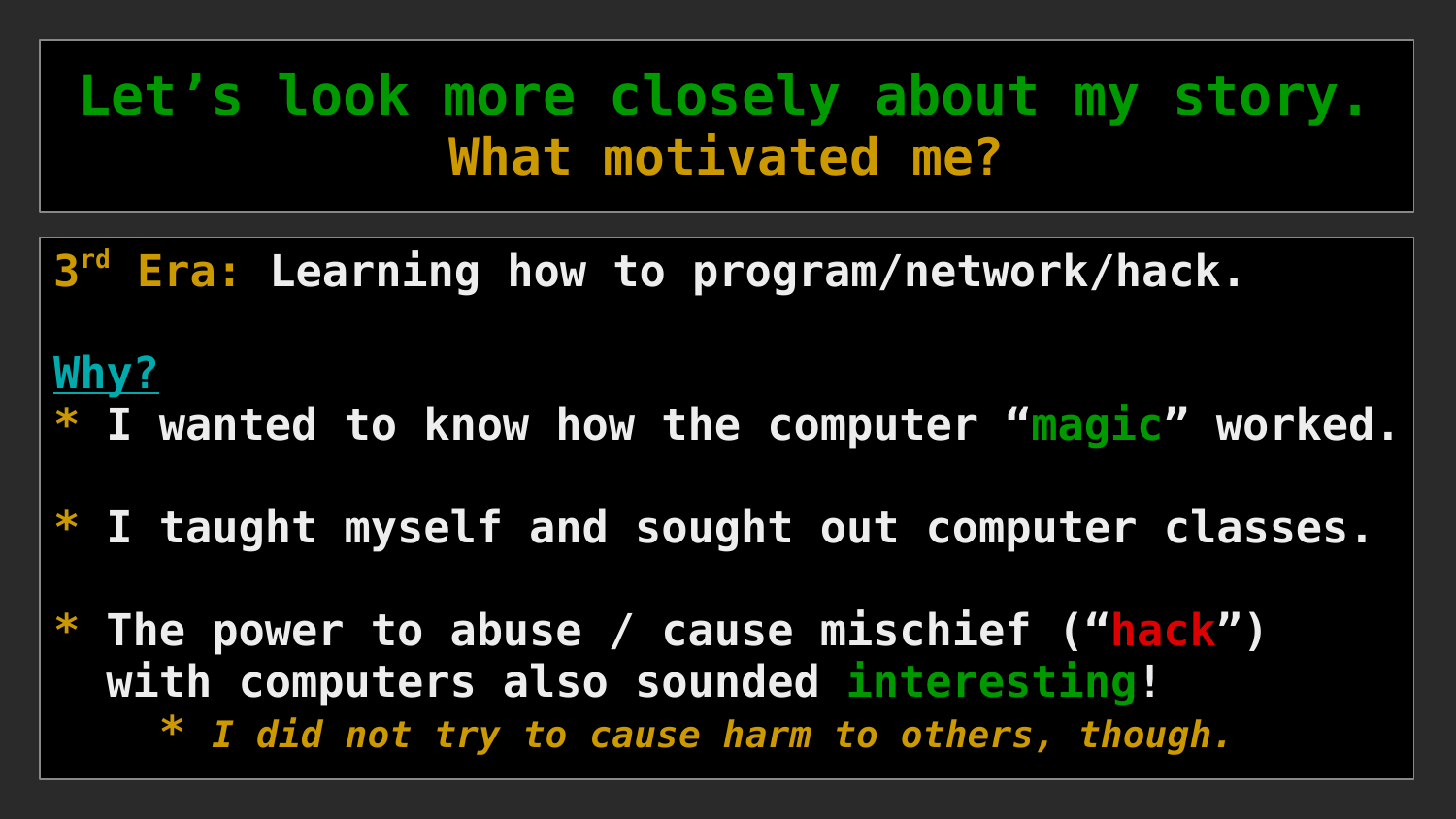**3 rd Era: Learning how to program/network/hack.**

#### **Why?**

- **\* I wanted to know how the computer "magic" worked.**
- **\* I taught myself and sought out computer classes.**
- **\* The power to abuse / cause mischief ("hack") with computers also sounded interesting!**
	- **\*** *I did not try to cause harm to others, though.*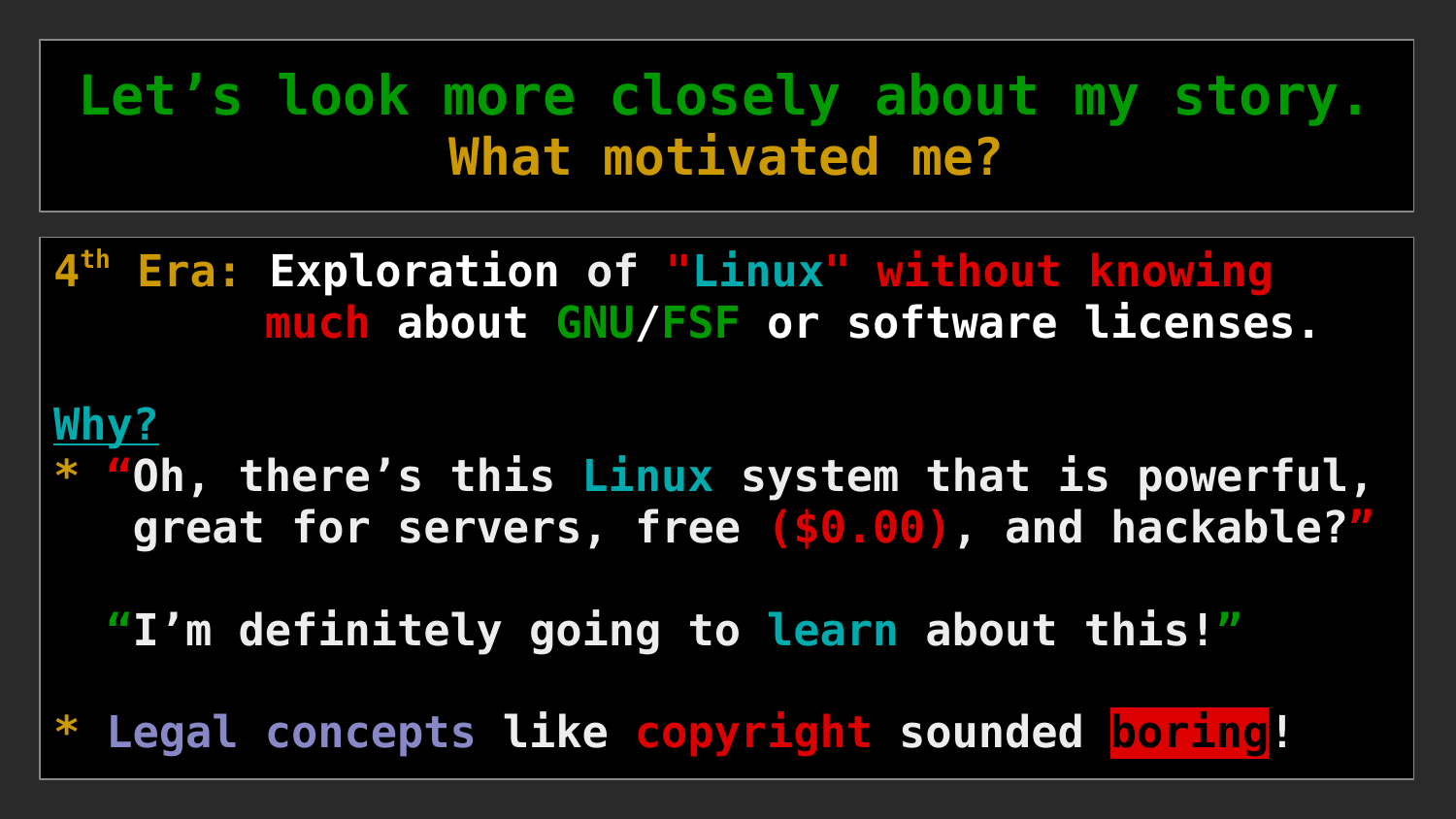**4 th Era: Exploration of "Linux" without knowing much about GNU/FSF or software licenses.**

#### **Why?**

**\* "Oh, there's this Linux system that is powerful, great for servers, free (\$0.00), and hackable?"**

 **"I'm definitely going to learn about this!"**

**\* Legal concepts like copyright sounded boring!**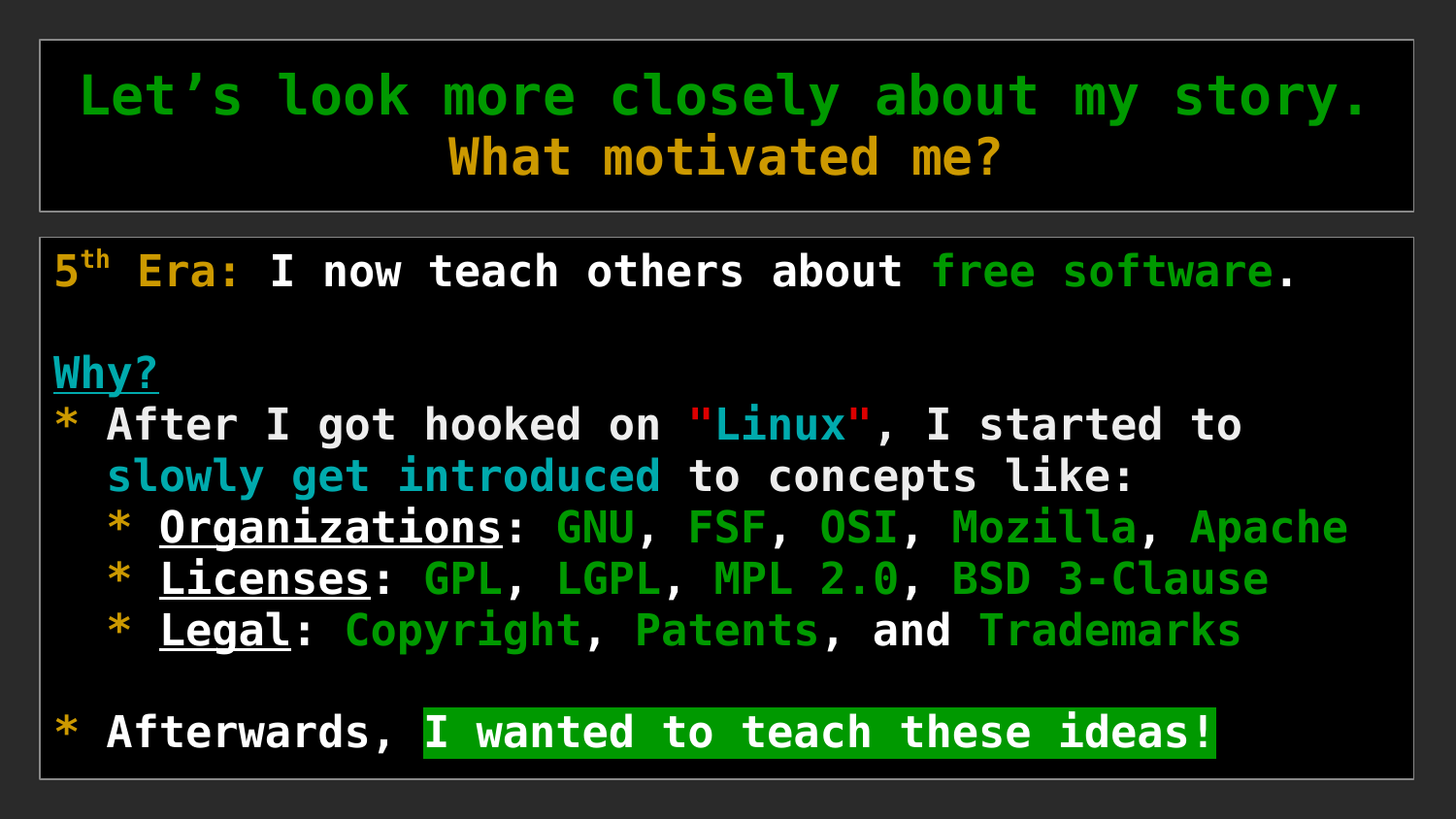**5 th Era: I now teach others about free software.**

#### **Why?**

**\* After I got hooked on "Linux", I started to slowly get introduced to concepts like: \* Organizations: GNU, FSF, OSI, Mozilla, Apache \* Licenses: GPL, LGPL, MPL 2.0, BSD 3-Clause \* Legal: Copyright, Patents, and Trademarks**

**\* Afterwards, I wanted to teach these ideas!**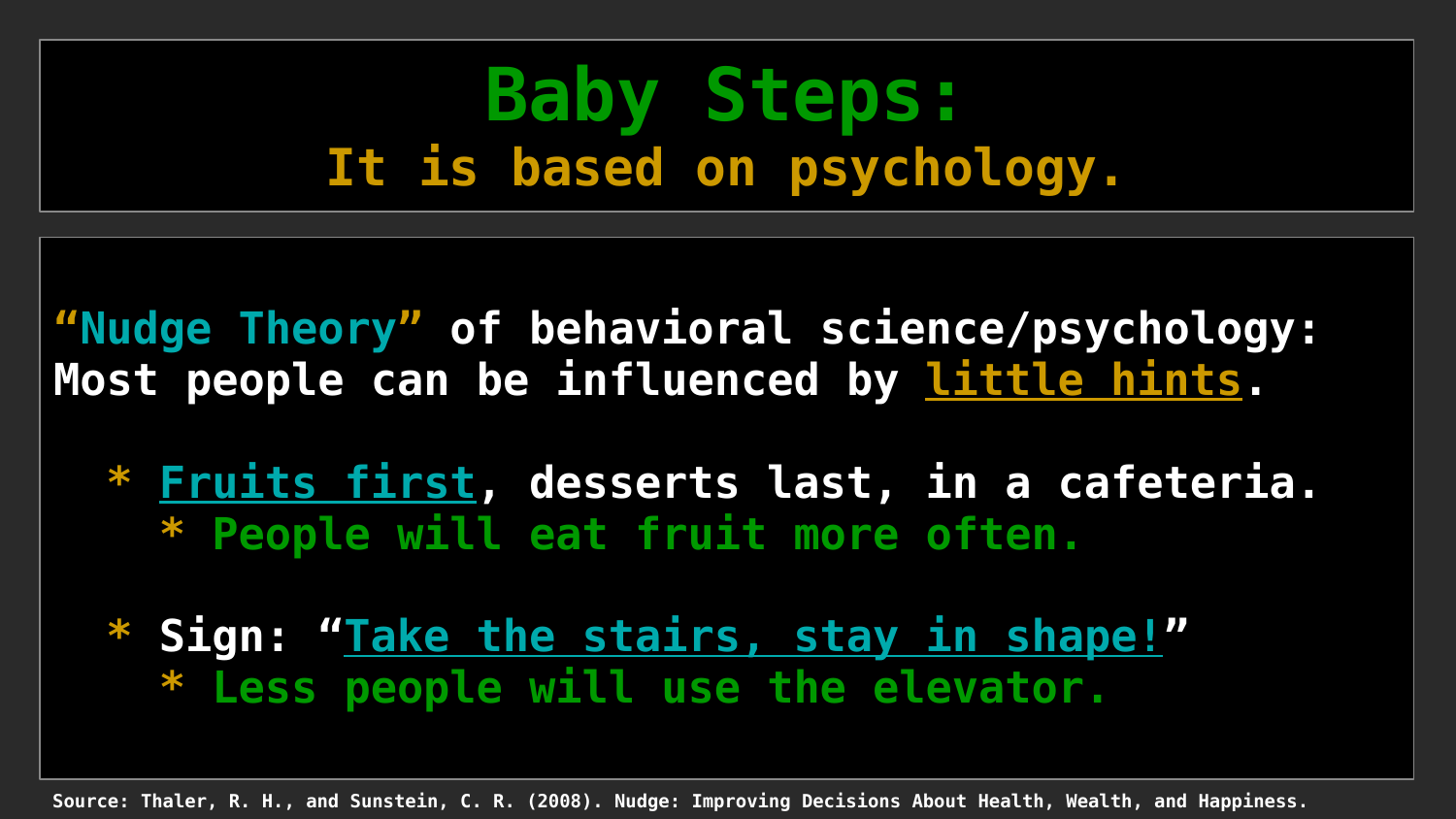### **Baby Steps: It is based on psychology.**

**"Nudge Theory" of behavioral science/psychology: Most people can be influenced by little hints.**

 **\* Fruits first, desserts last, in a cafeteria. \* People will eat fruit more often.**

 **\* Sign: "Take the stairs, stay in shape!" \* Less people will use the elevator.** 

**Source: Thaler, R. H., and Sunstein, C. R. (2008). Nudge: Improving Decisions About Health, Wealth, and Happiness.**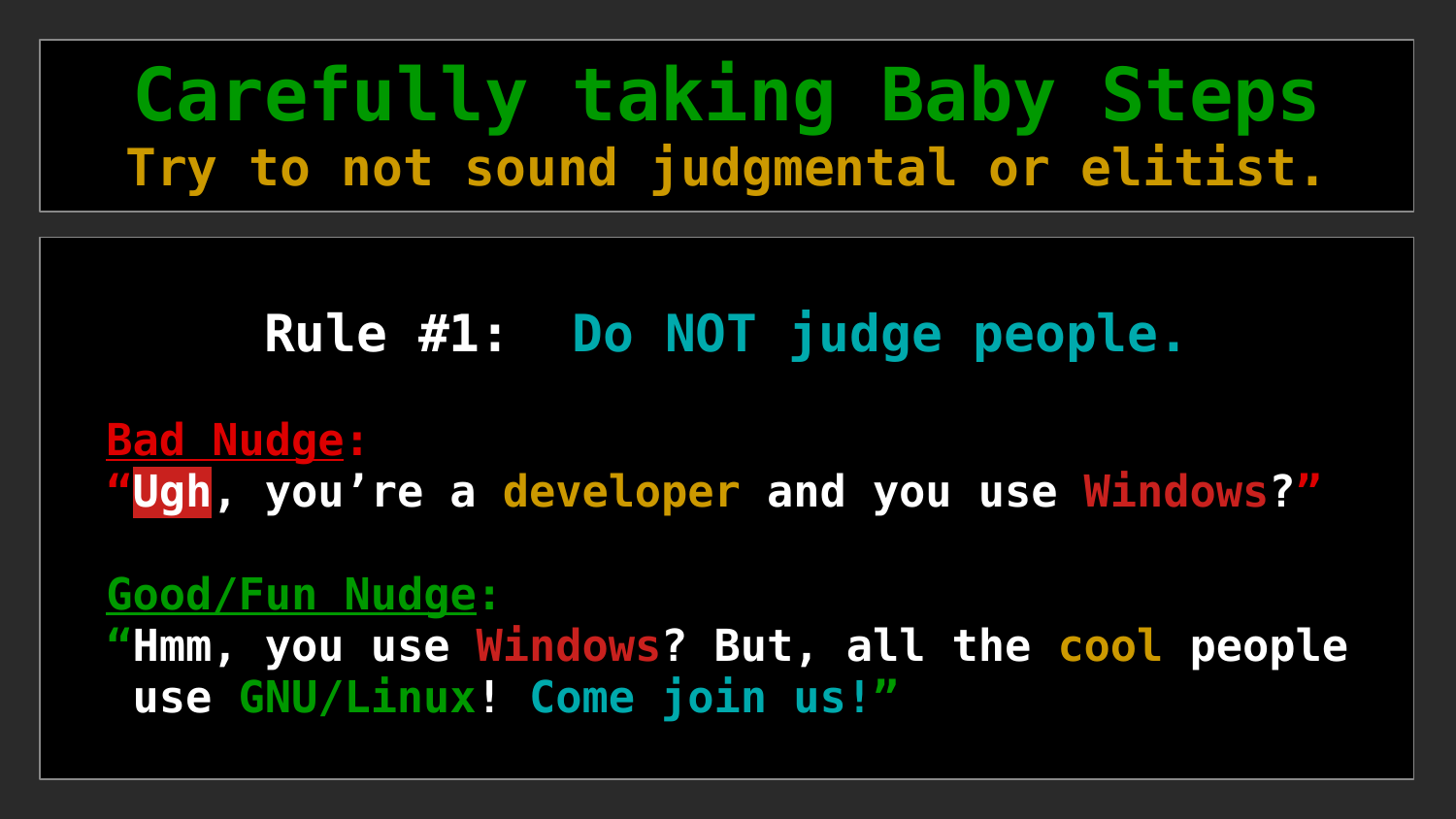### **Carefully taking Baby Steps Try to not sound judgmental or elitist.**

#### **Rule #1: Do NOT judge people.**

#### **Bad Nudge: "Ugh, you're a developer and you use Windows?"**

#### **Good/Fun Nudge:**

 **"Hmm, you use Windows? But, all the cool people use GNU/Linux! Come join us!"**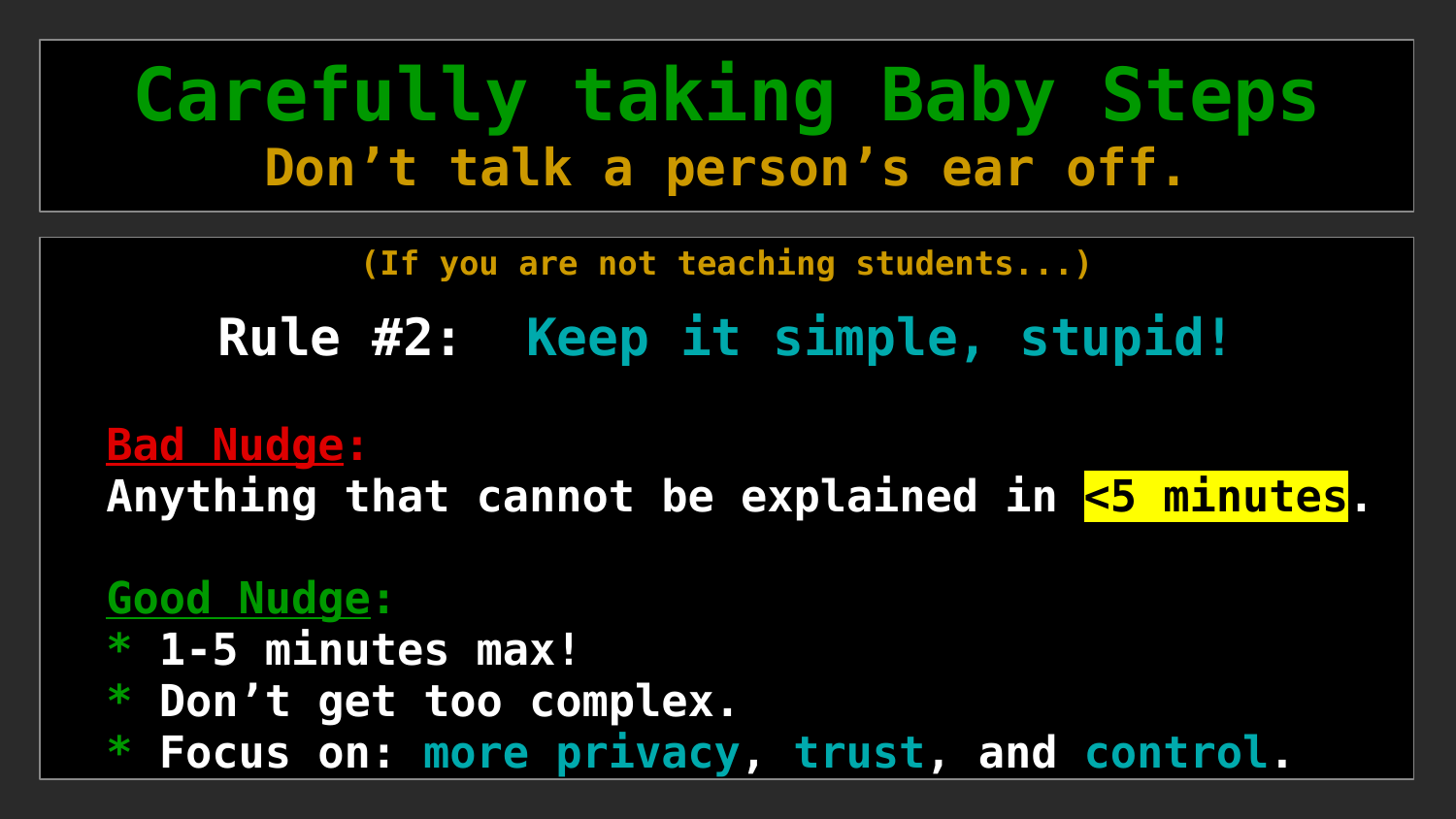### **Carefully taking Baby Steps Don't talk a person's ear off.**

**(If you are not teaching students...)**

**Rule #2: Keep it simple, stupid!**

 **Bad Nudge: Anything that cannot be explained in <5 minutes.**

#### **Good Nudge:**

- **\* 1-5 minutes max!**
- **\* Don't get too complex.**

 **\* Focus on: more privacy, trust, and control.**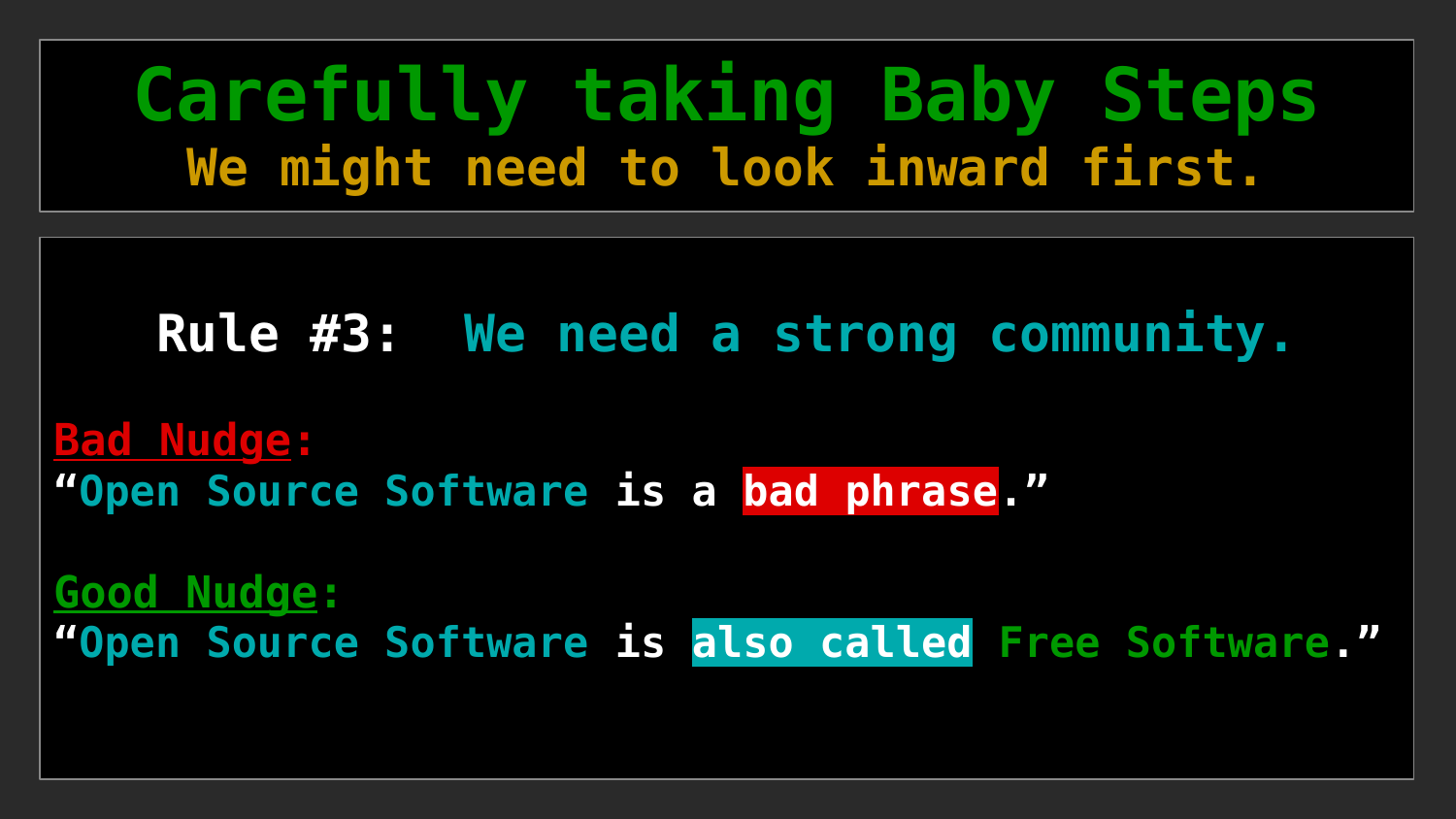### **Carefully taking Baby Steps We might need to look inward first.**

#### **Rule #3: We need a strong community.**

**Bad Nudge: "Open Source Software is a bad phrase."**

**Good Nudge: "Open Source Software is also called Free Software."**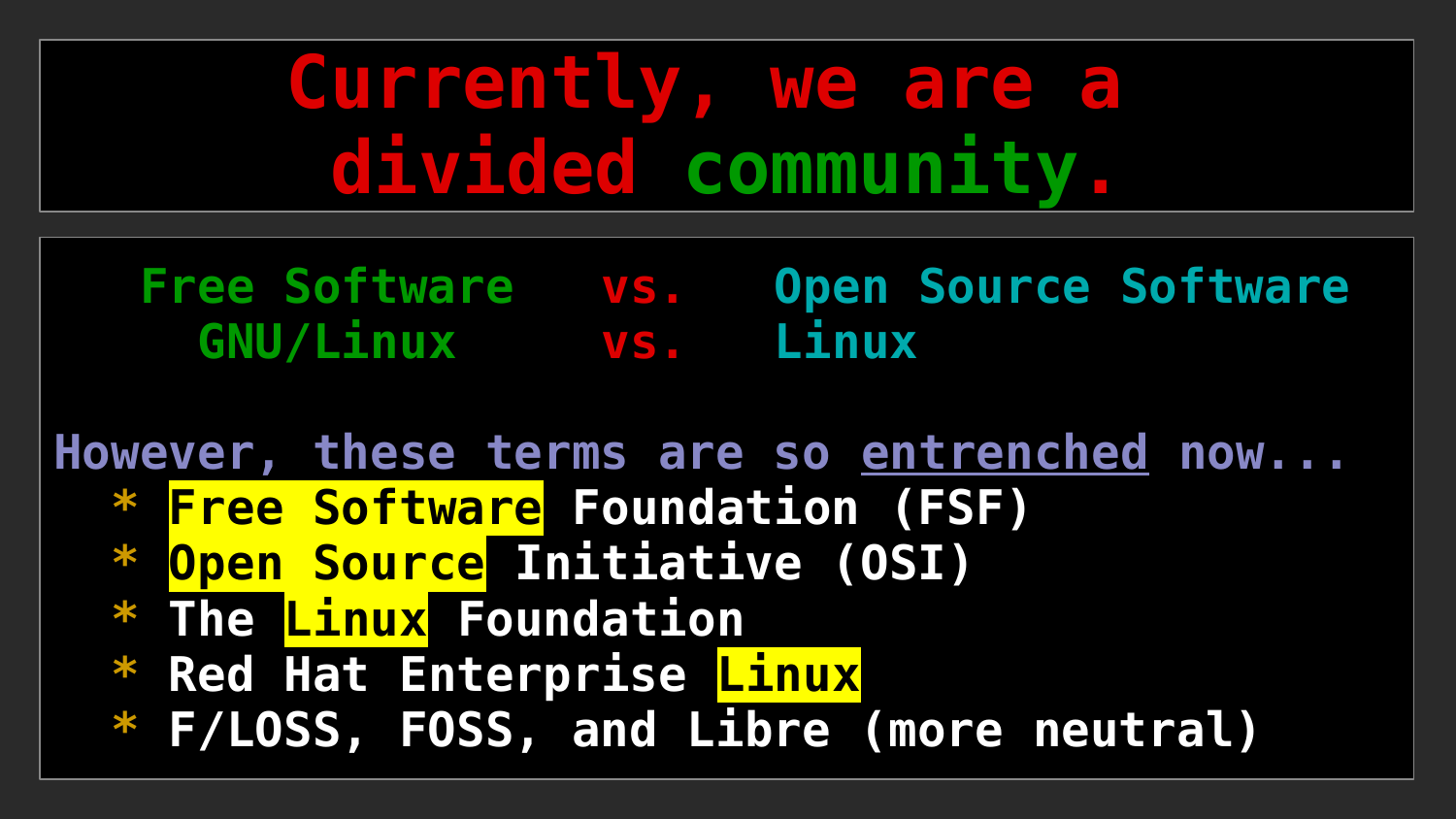# **Currently, we are a divided community.**

 **Free Software vs. Open Source Software GNU/Linux vs. Linux**

**However, these terms are so entrenched now...**

- **\* Free Software Foundation (FSF)**
- **\* Open Source Initiative (OSI)**
- **\* The Linux Foundation**
- **\* Red Hat Enterprise Linux**
- **\* F/LOSS, FOSS, and Libre (more neutral)**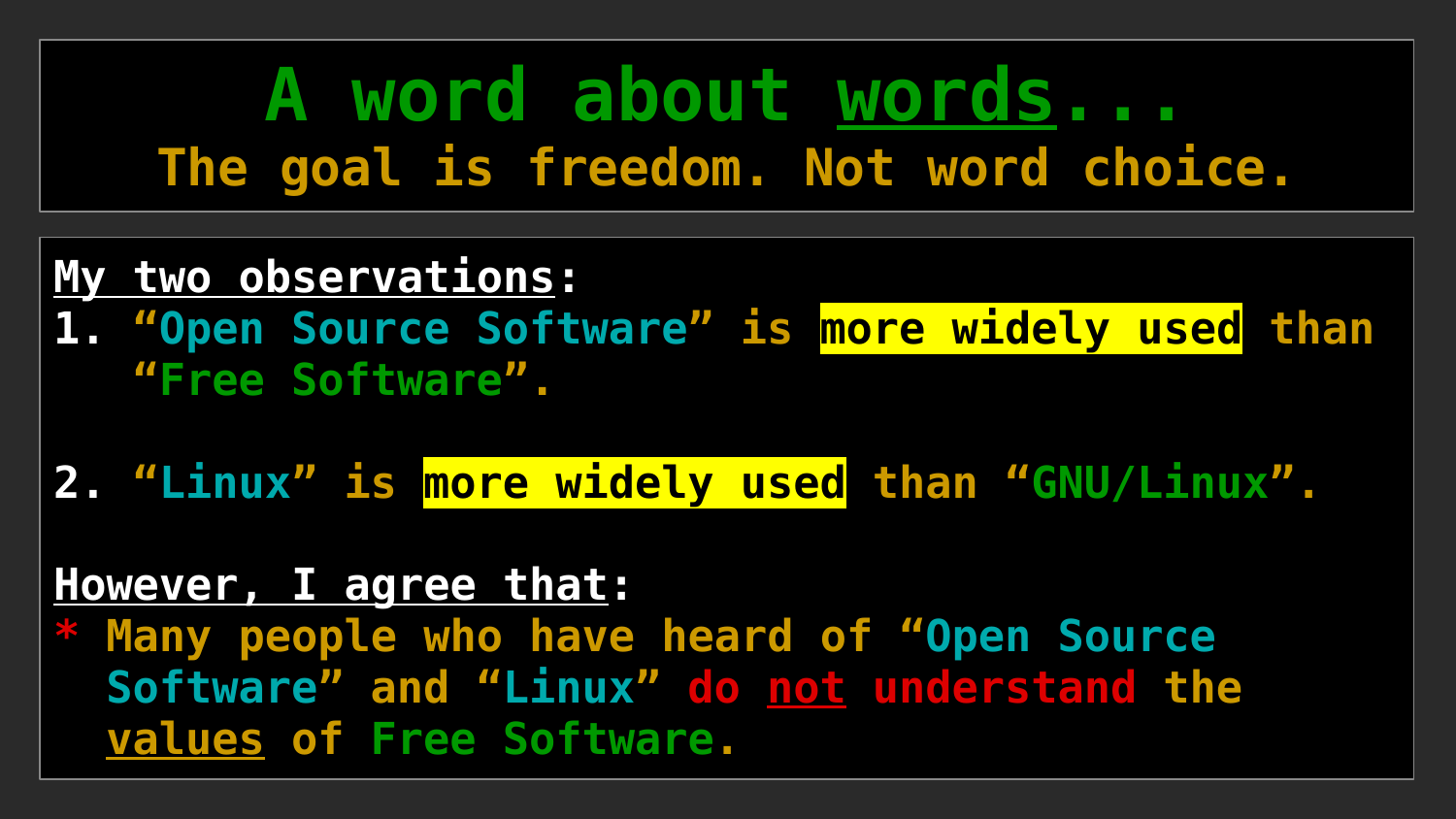### **A word about words... The goal is freedom. Not word choice.**

#### **My two observations:**

**1. "Open Source Software" is more widely used than "Free Software".**

**2. "Linux" is more widely used than "GNU/Linux".**

#### **However, I agree that:**

**Many people who have heard of "Open Source Software" and "Linux" do not understand the values of Free Software.**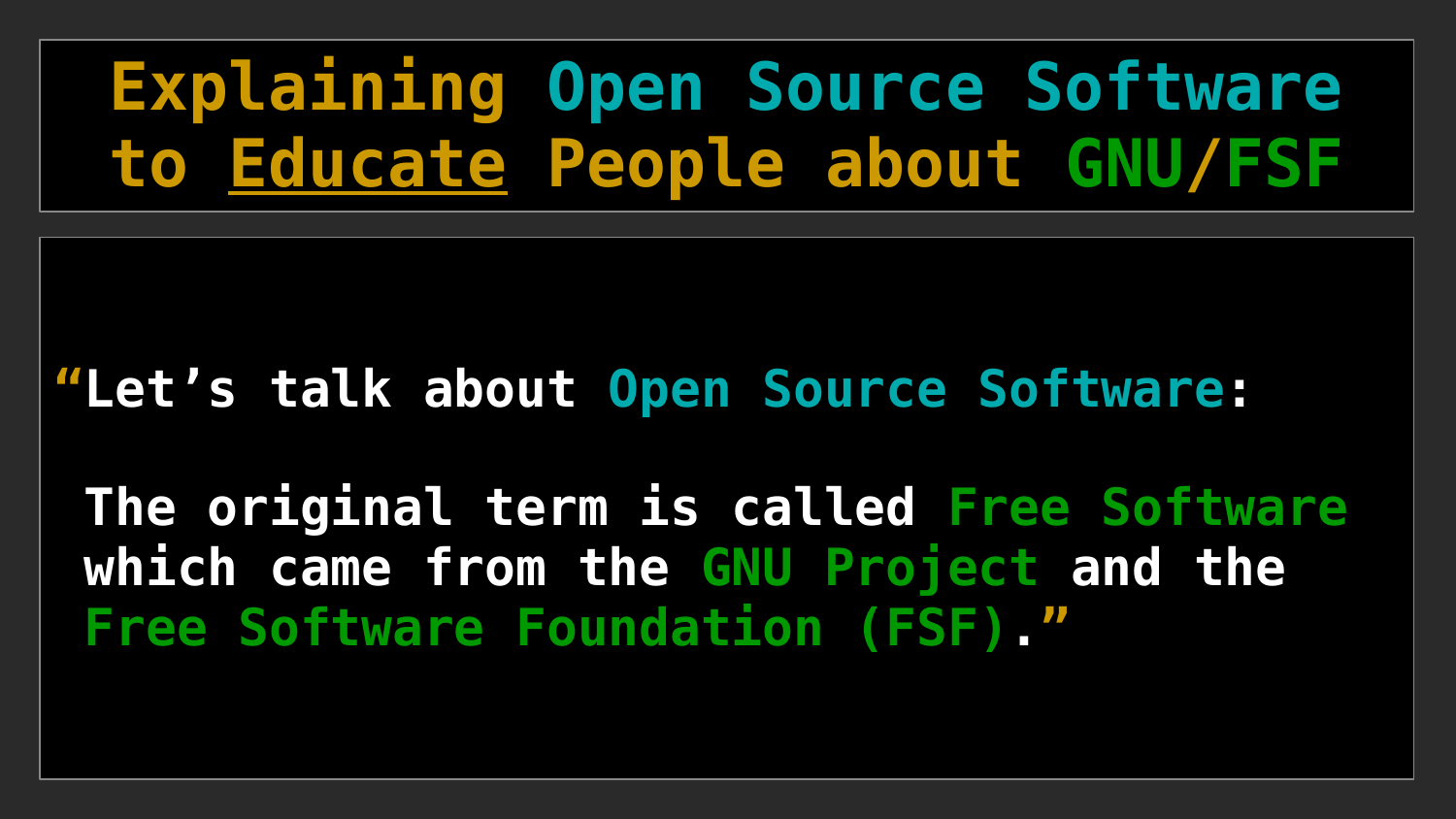# **Explaining Open Source Software to Educate People about GNU/FSF**

#### **"Let's talk about Open Source Software:**

**The original term is called Free Software which came from the GNU Project and the Free Software Foundation (FSF). "**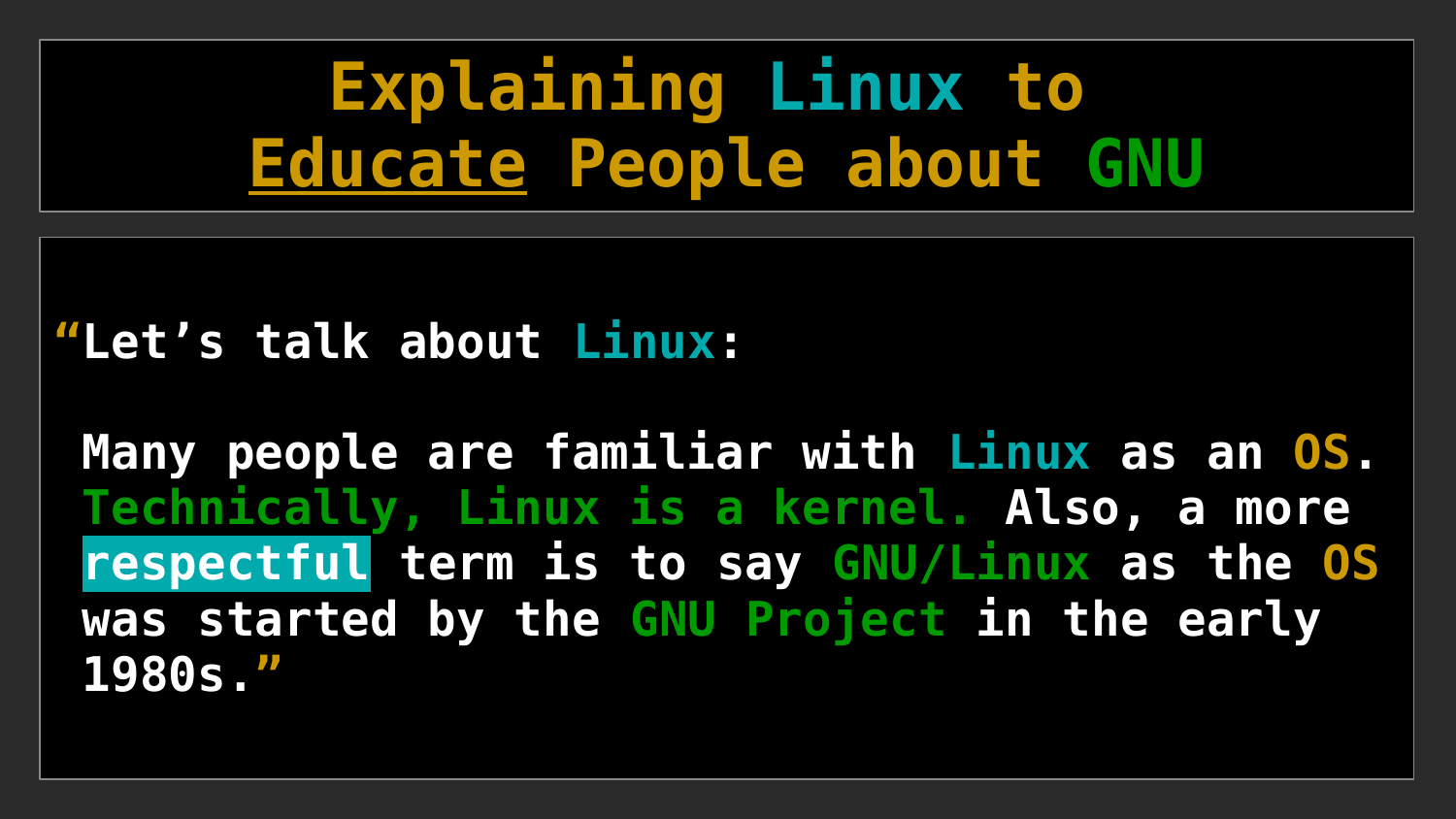# **Explaining Linux to Educate People about GNU**

#### **"Let's talk about Linux:**

**Many people are familiar with Linux as an OS. Technically, Linux is a kernel. Also, a more respectful term is to say GNU/Linux as the OS was started by the GNU Project in the early 1980s."**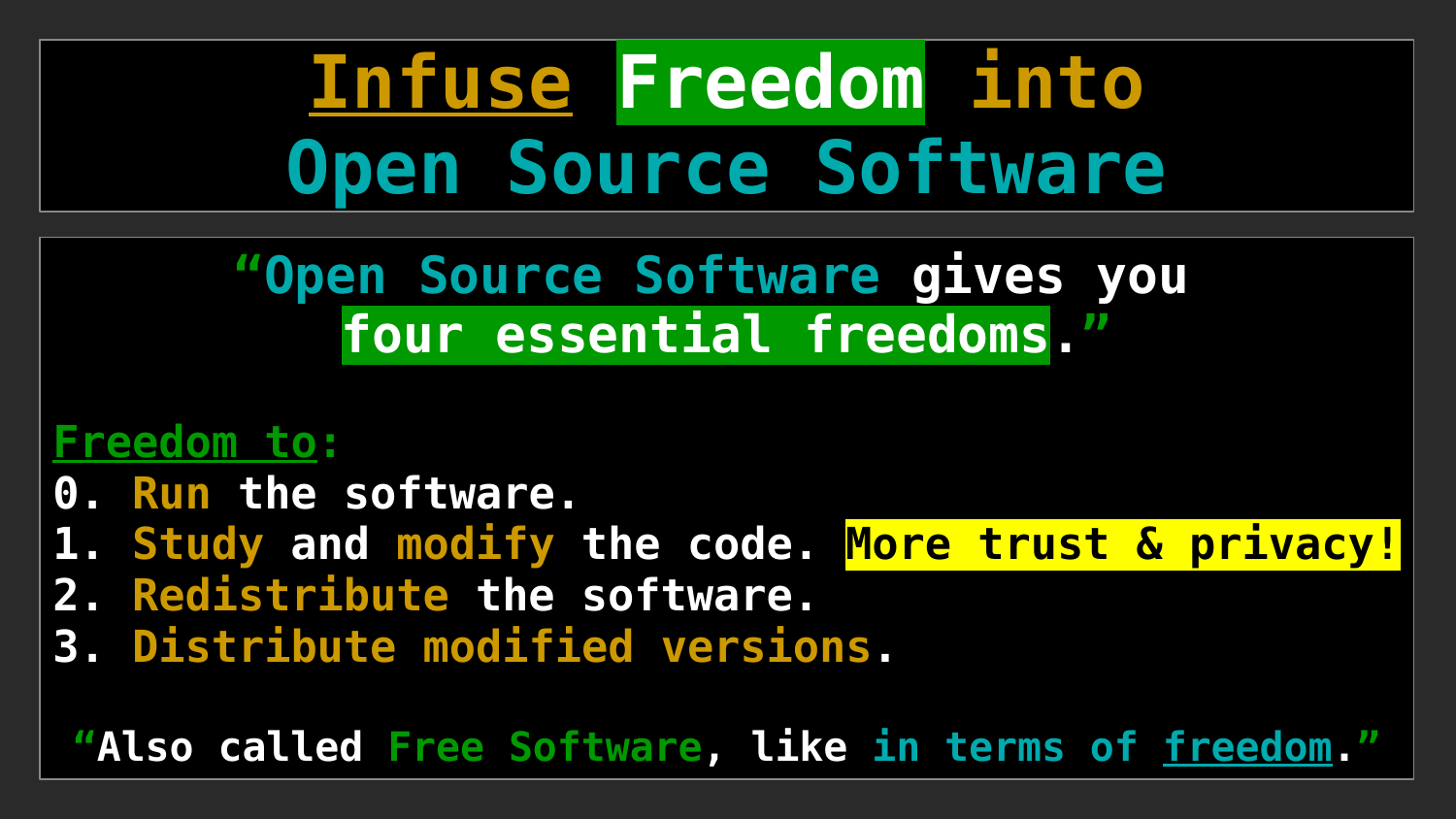# **Infuse Freedom into Open Source Software**

**"Open Source Software gives you four essential freedoms. "**

#### **Freedom to:**

- **0. Run the software.**
- **1. Study and modify the code. More trust & privacy!**
- **2. Redistribute the software.**
- **3. Distribute modified versions.**

**"Also called Free Software, like in terms of freedom."**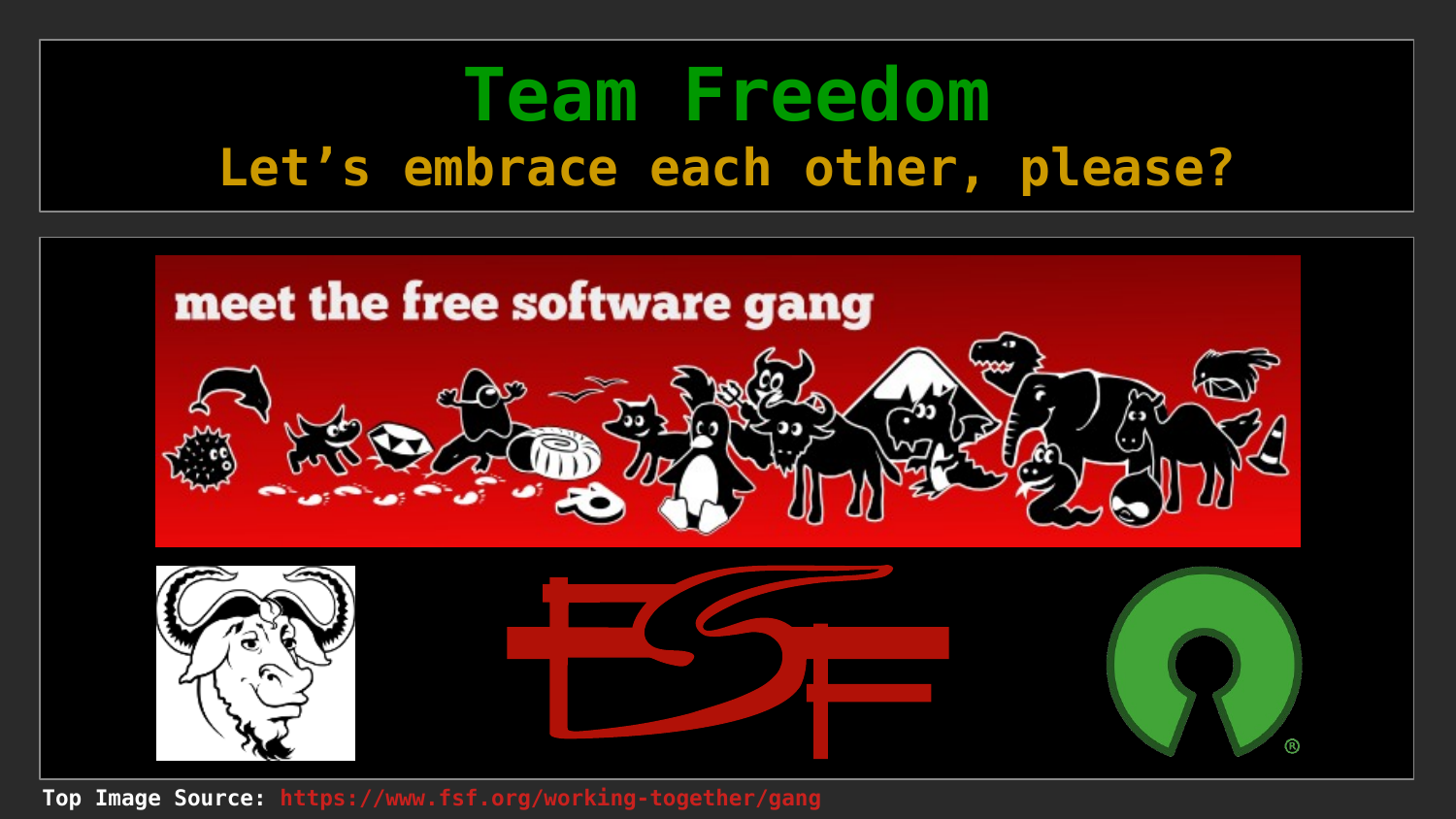### **Team Freedom Let's embrace each other, please?**



**Top Image Source: <https://www.fsf.org/working-together/gang>**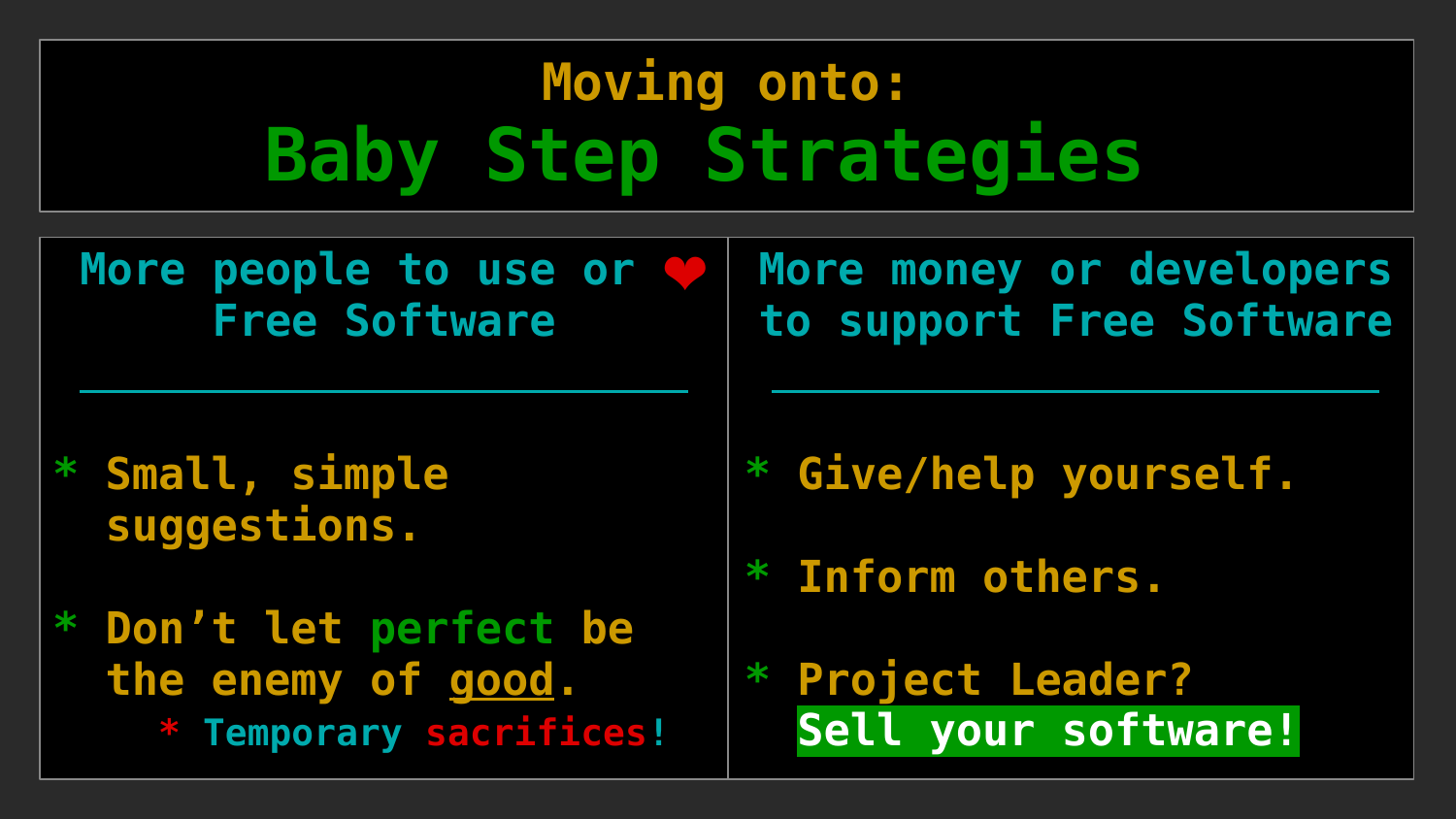# **Moving onto: Baby Step Strategies**

More people to use or **Free Software**

**More money or developers to support Free Software**

**\* Small, simple suggestions.**

**\* Don't let perfect be the enemy of good. \* Temporary sacrifices!**

- **\* Give/help yourself.**
- **\* Inform others.**
- **\* Project Leader? Sell your software!**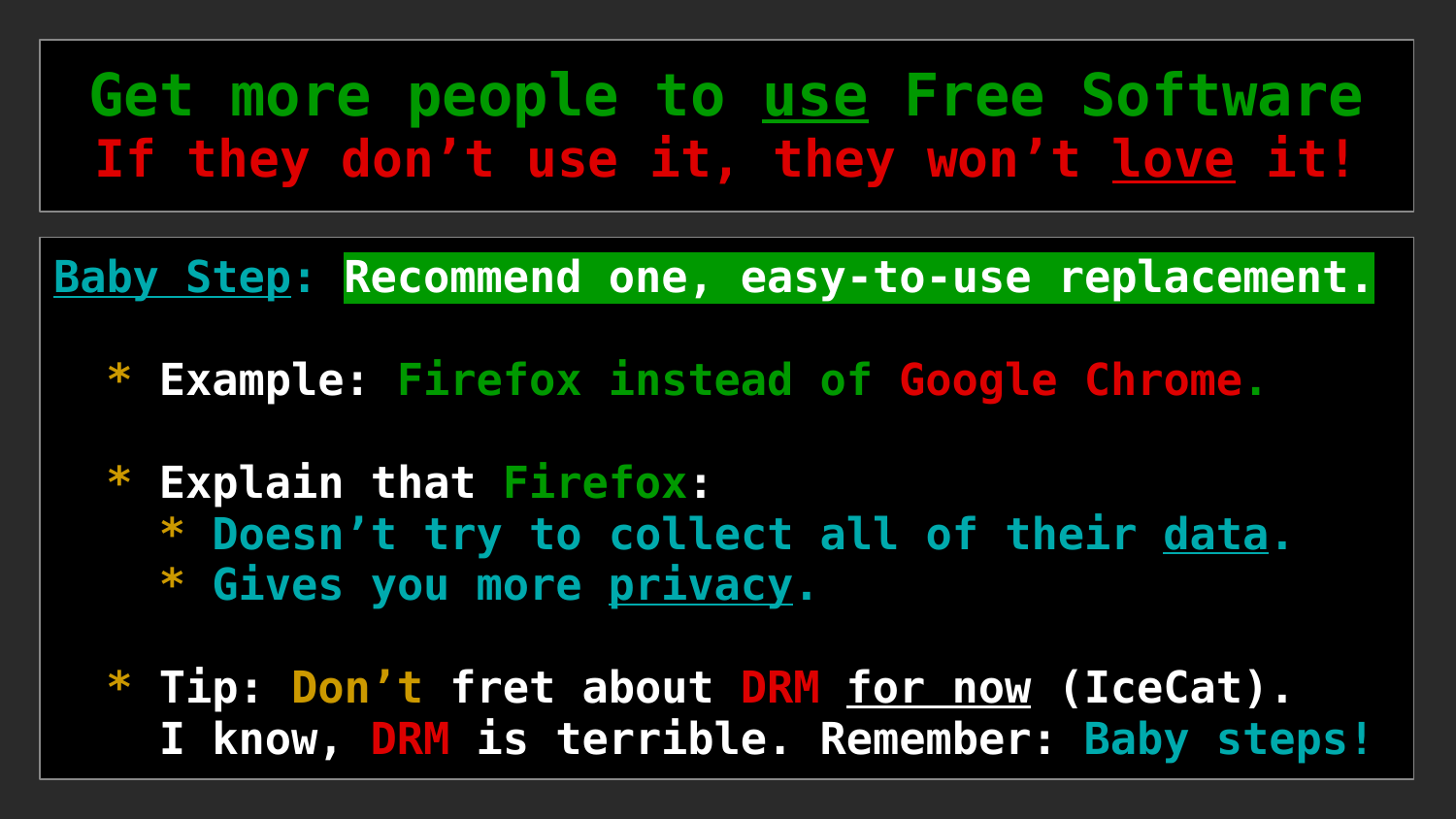### **Get more people to use Free Software If they don't use it, they won't love it!**

**Baby Step: Recommend one, easy-to-use replacement.**

- **\* Example: Firefox instead of Google Chrome.**
- **\* Explain that Firefox: \* Doesn't try to collect all of their data. \* Gives you more privacy.**
- **\* Tip: Don't fret about DRM for now (IceCat). I know, DRM is terrible. Remember: Baby steps!**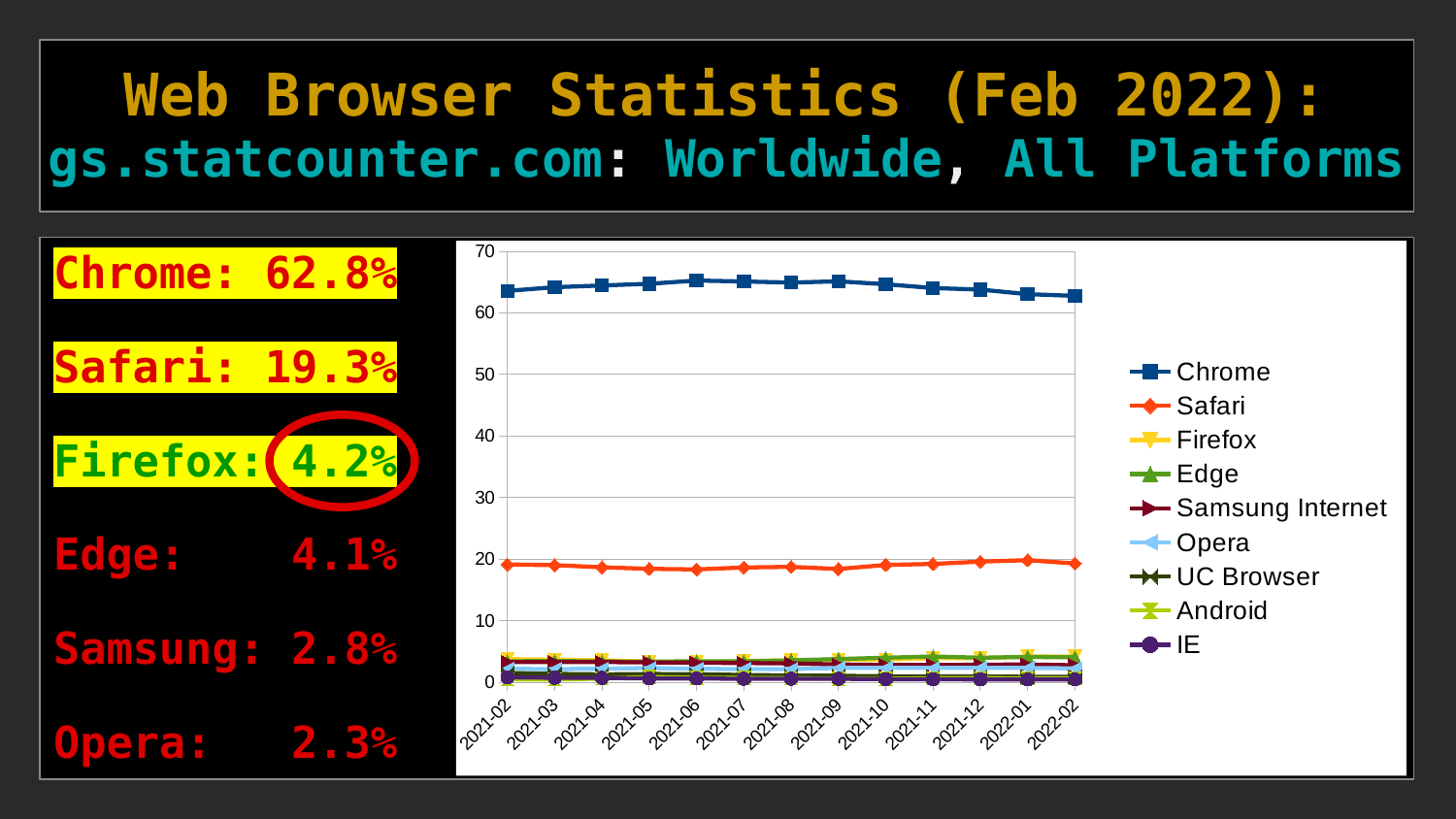### **Web Browser Statistics (Feb 2022): gs.statcounter.com: Worldwide, All Platforms**

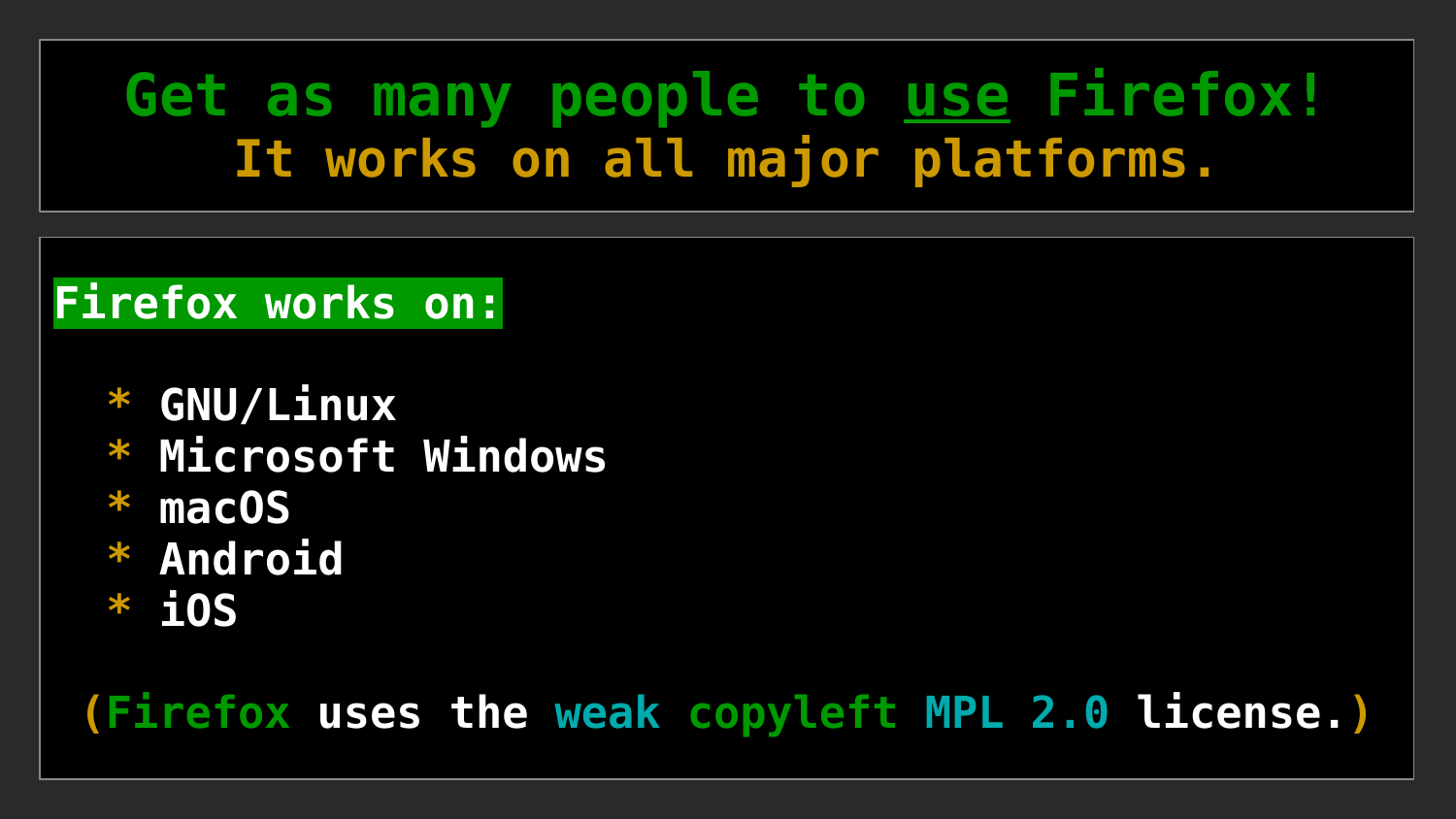### **Get as many people to use Firefox! It works on all major platforms.**

#### **Firefox works on:**

- **\* GNU/Linux**
- **\* Microsoft Windows**
- **\* macOS**
- **\* Android**
- **\* iOS**

#### **(Firefox uses the weak copyleft MPL 2.0 license.)**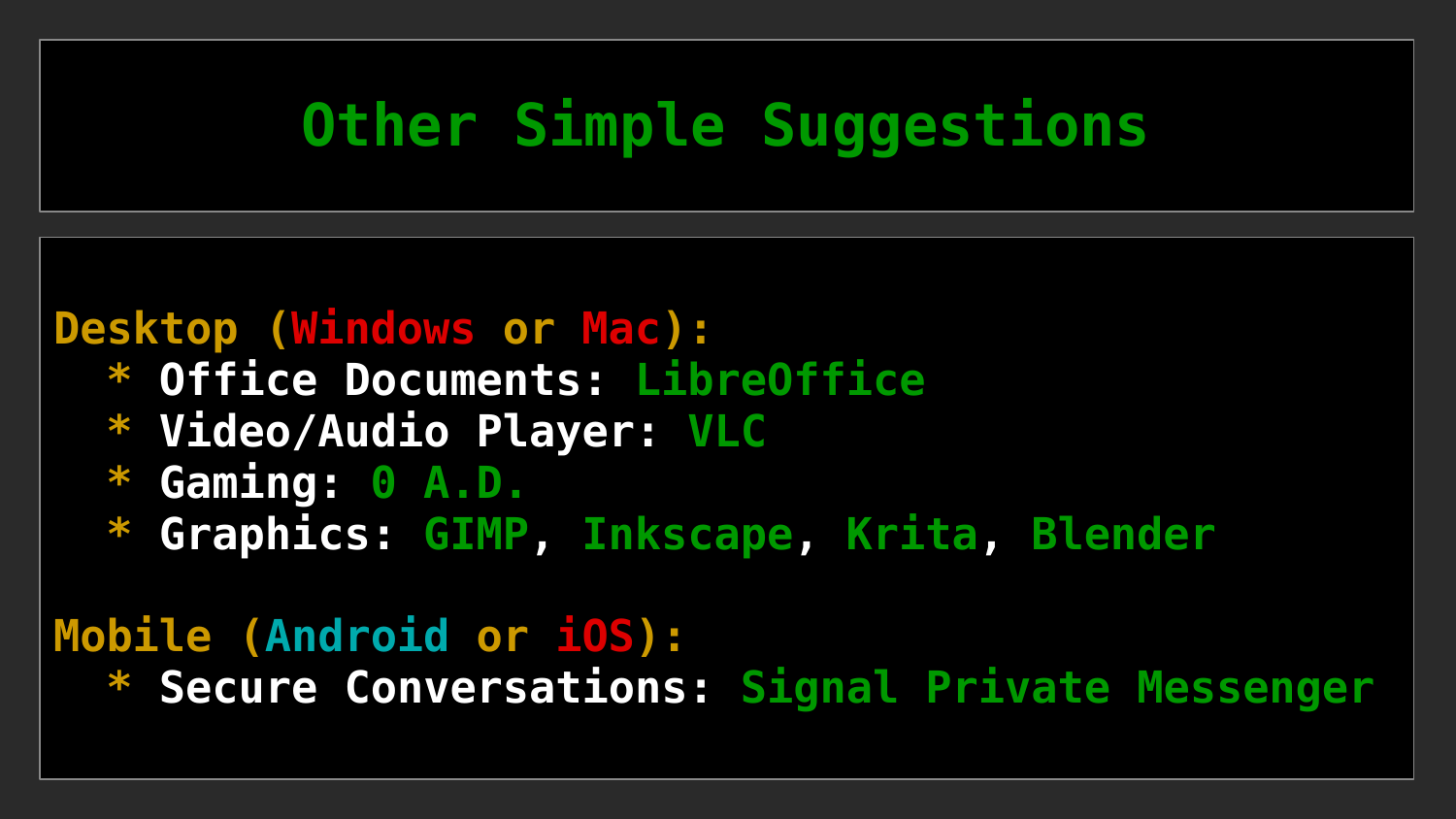### **Other Simple Suggestions**

#### **Desktop (Windows or Mac):**

- **\* Office Documents: [LibreOffice](https://www.libreoffice.org/)**
- **\* Video/Audio Player: [VLC](https://www.videolan.org/vlc/)**
- **\* Gaming: [0 A.D.](https://play0ad.com/)**
- **\* Graphics: [GIMP](https://www.gimp.org/), [Inkscape](https://inkscape.org/), [Krita](https://krita.org/en/#), [Blender](https://www.blender.org/)**

#### **Mobile (Android or iOS):**

 **\* Secure Conversations: [Signal Private Messenger](https://signal.org/)**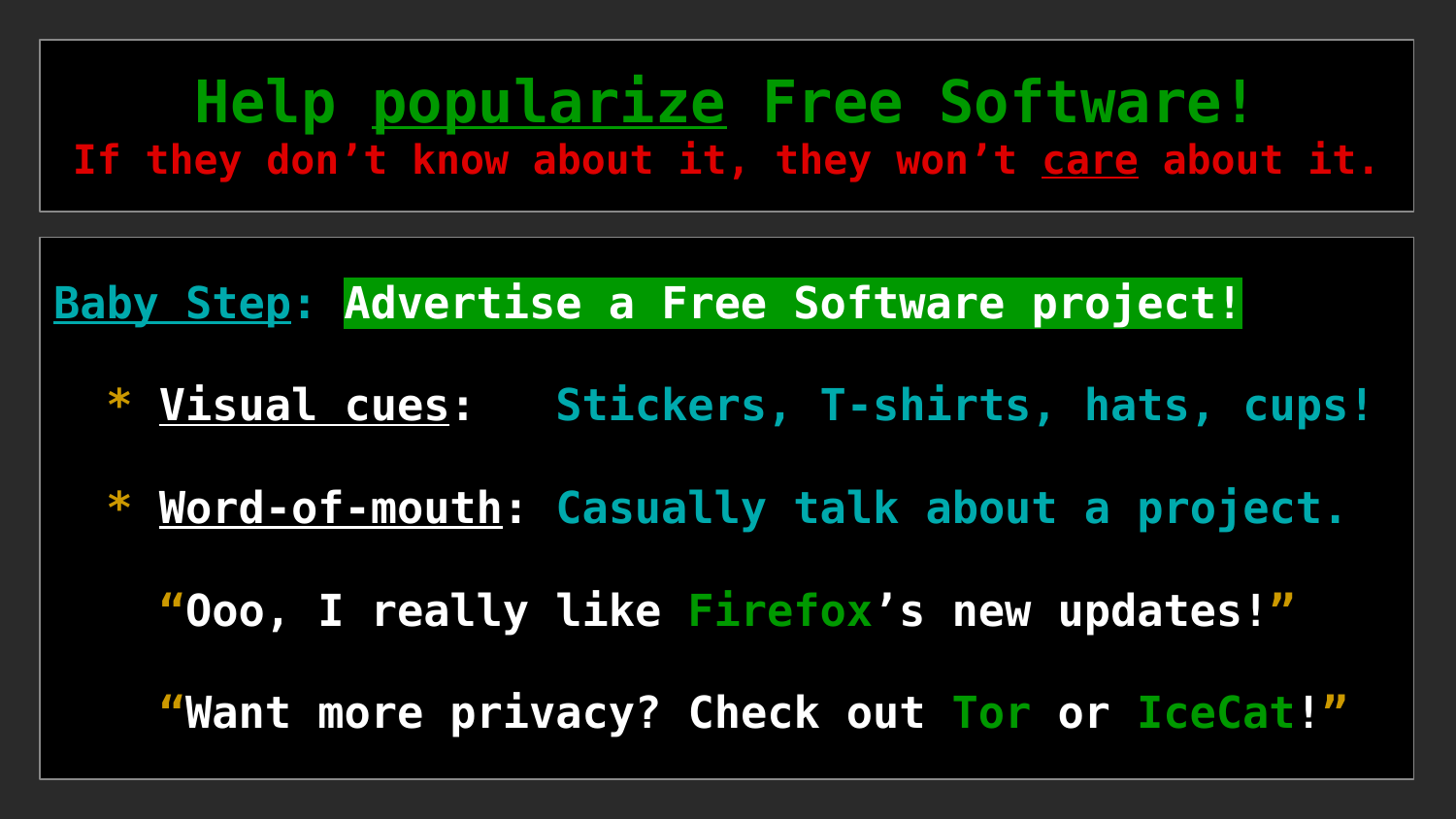**Help popularize Free Software! If they don't know about it, they won't care about it.**

**Baby Step: Advertise a Free Software project!**

- **\* Visual cues: Stickers, T-shirts, hats, cups!**
- **\* Word-of-mouth: Casually talk about a project.**

 **"Ooo, I really like Firefox's new updates!"**

 **"Want more privacy? Check out Tor or IceCat!"**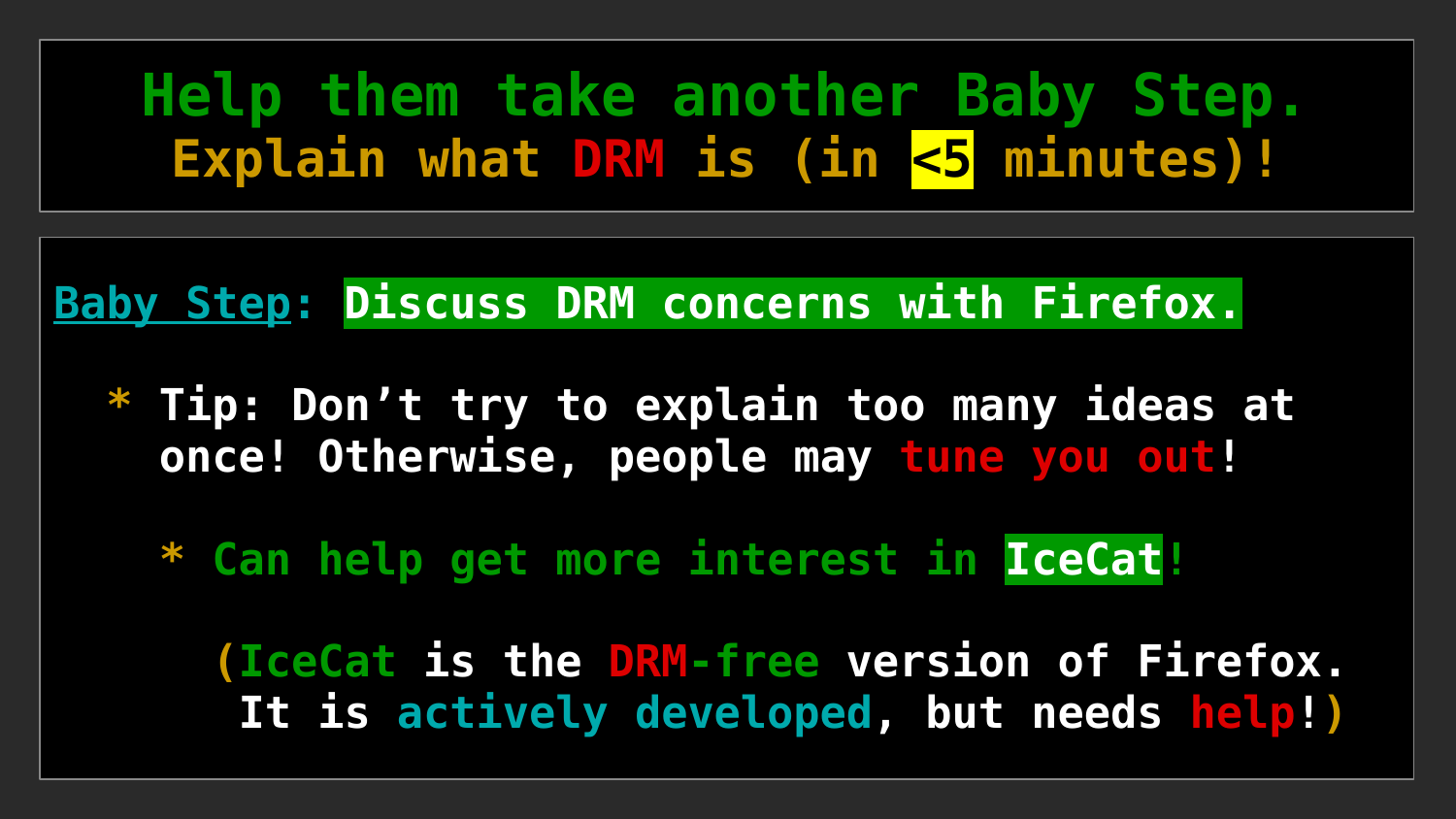### **Help them take another Baby Step.** Explain what DRM is (in <5 minutes)!

**Baby Step: Discuss DRM concerns with Firefox.**

- **\* Tip: Don't try to explain too many ideas at once! Otherwise, people may tune you out!**
	- **\* Can help get more interest in IceCat!**

 **(IceCat is the DRM-free version of Firefox. It is actively developed, but needs help!)**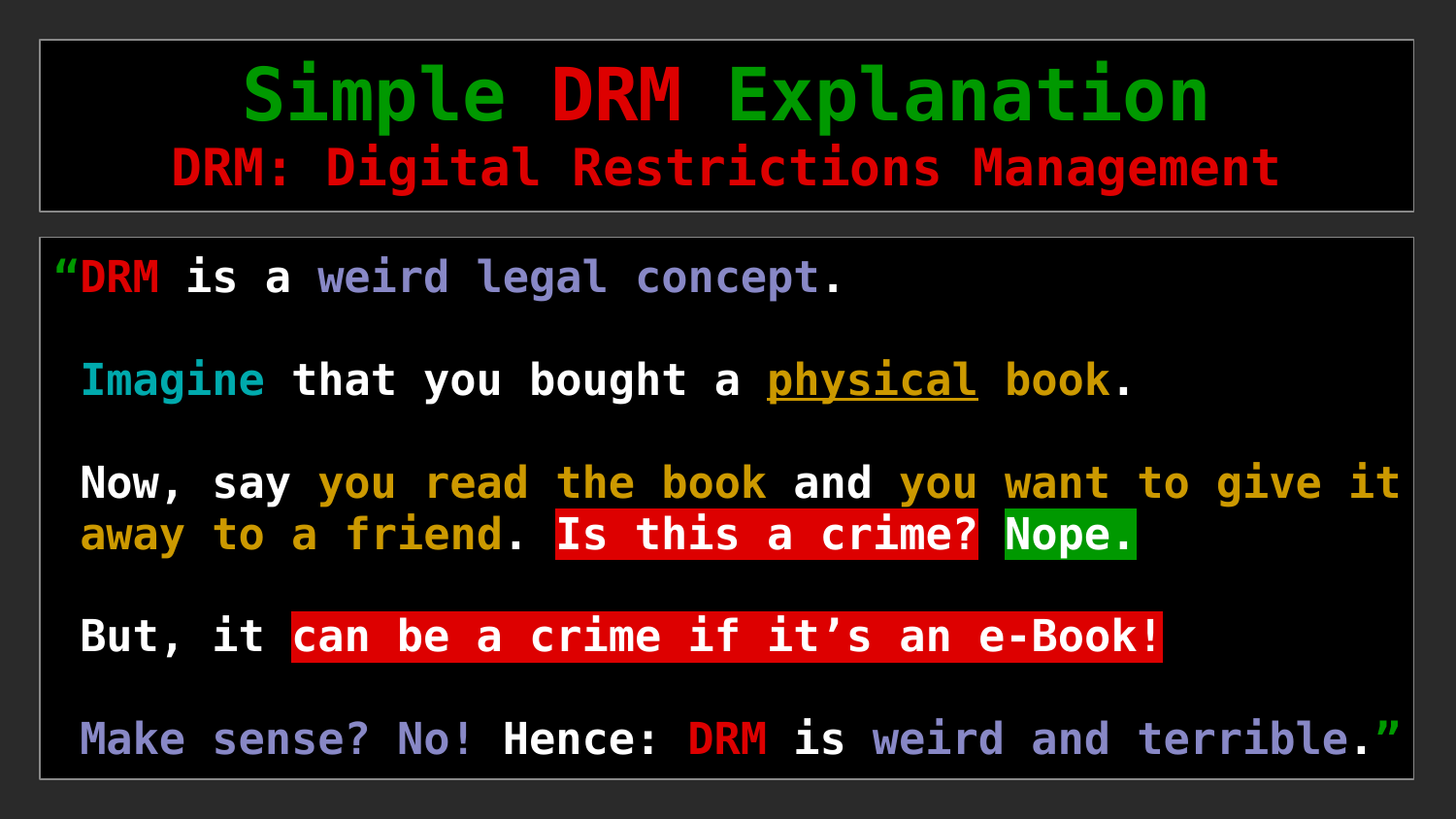### **Simple DRM Explanation DRM: Digital Restrictions Management**

**"DRM is a weird legal concept.**

**Imagine that you bought a physical book.**

**Now, say you read the book and you want to give it away to a friend. Is this a crime? Nope.**

**But, it can be a crime if it's an e-Book!**

**Make sense? No! Hence: DRM is weird and terrible."**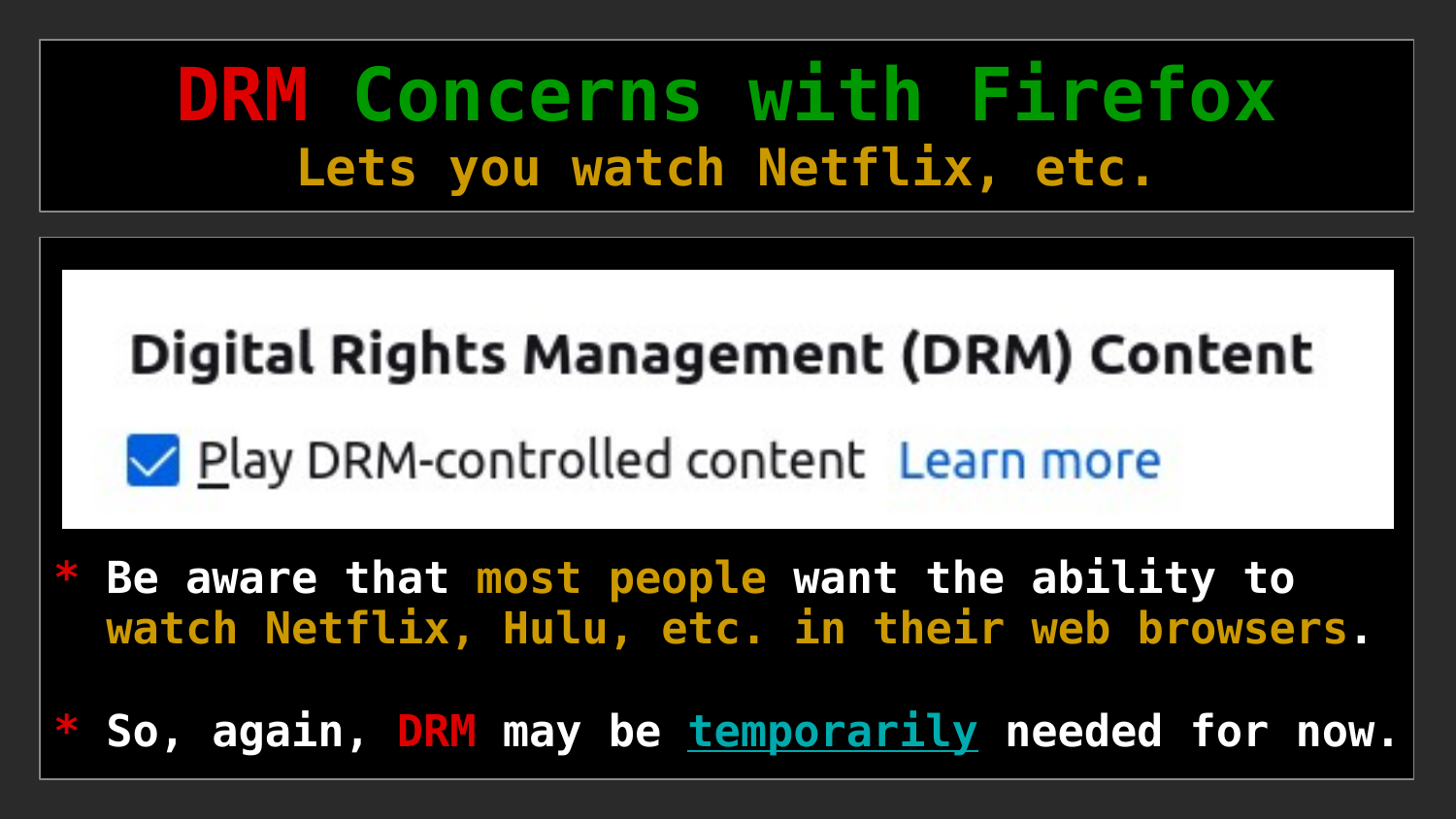### **DRM Concerns with Firefox Lets you watch Netflix, etc.**

### Digital Rights Management (DRM) Content

Play DRM-controlled content Learn more

Be aware that most people want the ability to  **watch Netflix, Hulu, etc. in their web browsers.**

So, again, DRM may be temporarily needed for now.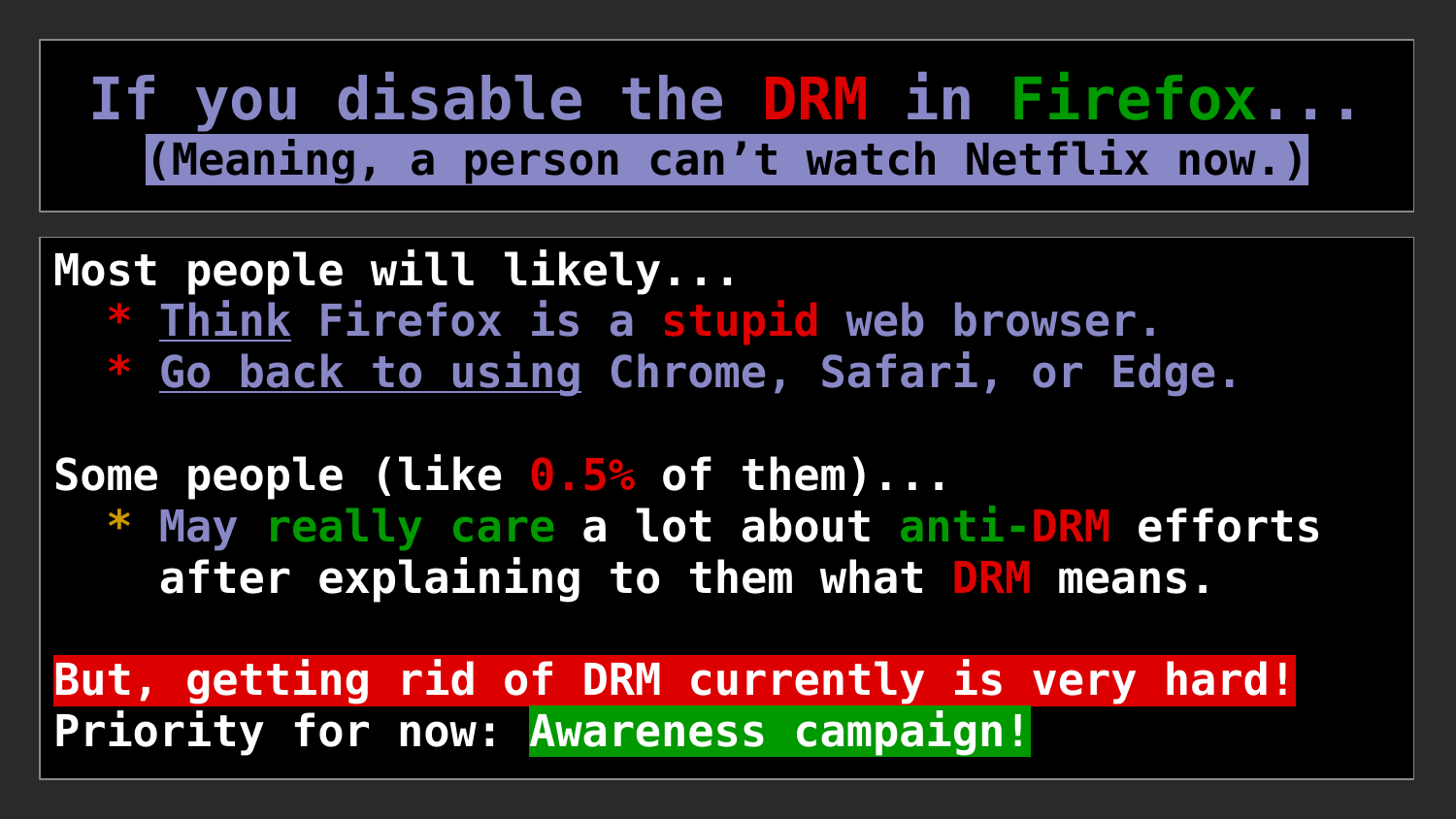### **If you disable the DRM in Firefox... (Meaning, a person can't watch Netflix now.)**

**Most people will likely... \* Think Firefox is a stupid web browser. \* Go back to using Chrome, Safari, or Edge.**

**Some people (like 0.5% of them)... \* May really care a lot about anti-DRM efforts after explaining to them what DRM means.**

**But, getting rid of DRM currently is very hard! Priority for now: Awareness campaign!**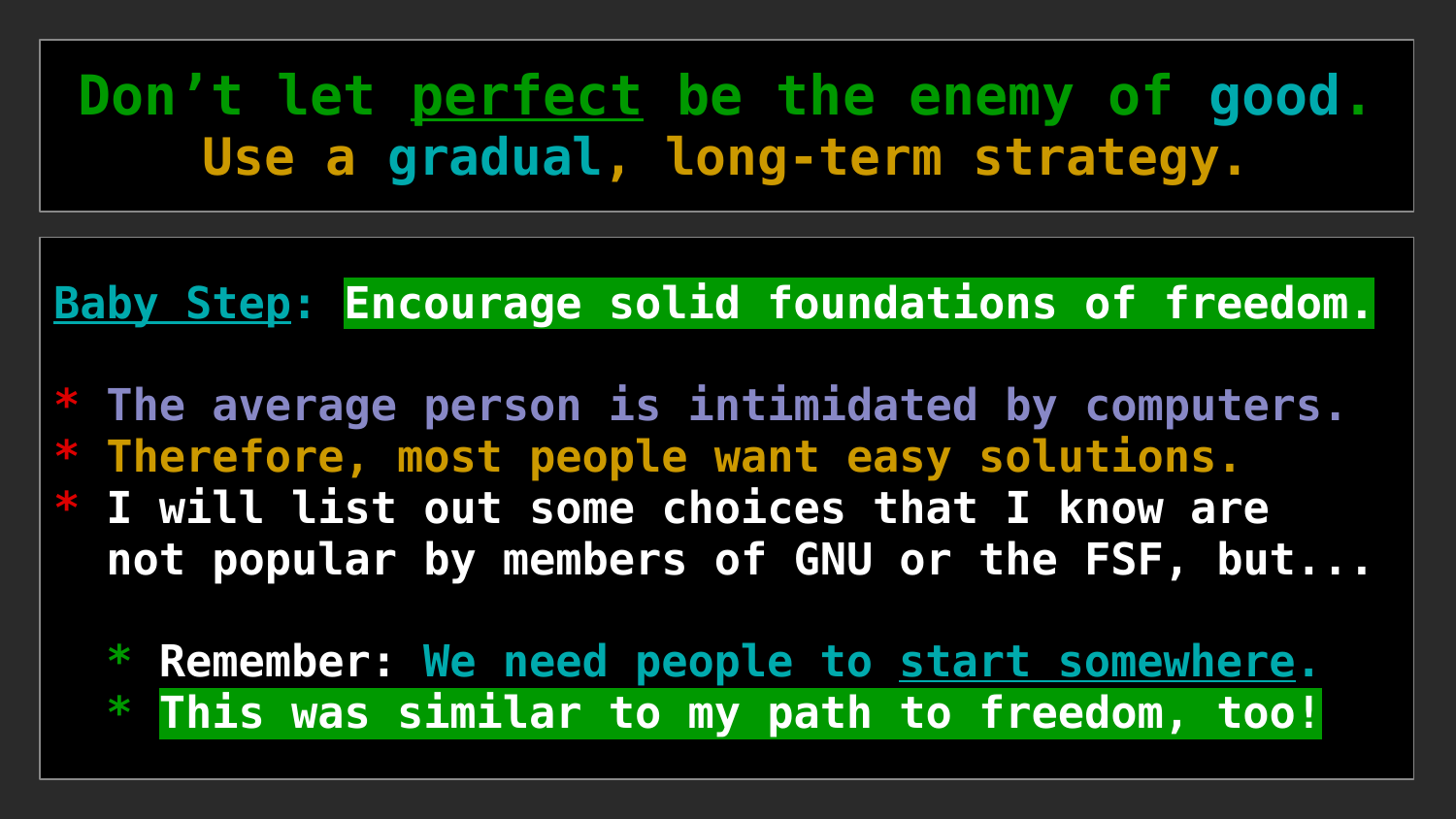### **Don't let perfect be the enemy of good. Use a gradual, long-term strategy.**

#### **Baby Step: Encourage solid foundations of freedom.**

**\* The average person is intimidated by computers. \* Therefore, most people want easy solutions. \* I will list out some choices that I know are not popular by members of GNU or the FSF, but...**

 **\* Remember: We need people to start somewhere. \* This was similar to my path to freedom, too!**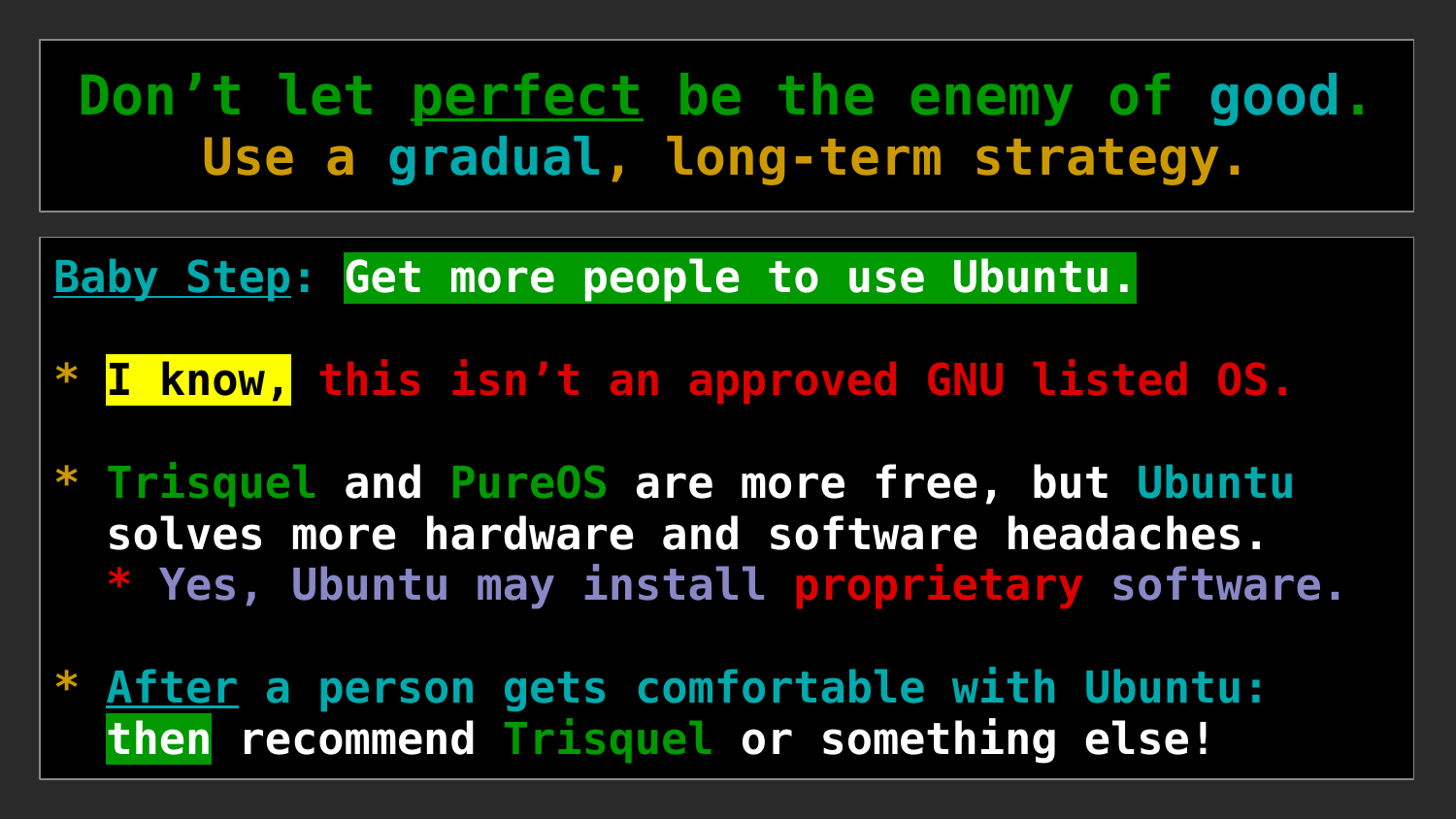**Don't let perfect be the enemy of good. Use a gradual, long-term strategy.**

**Baby Step: Get more people to use Ubuntu.**

**\* I know, this isn't an approved GNU listed OS.**

**\* Trisquel and PureOS are more free, but Ubuntu solves more hardware and software headaches. \* Yes, Ubuntu may install proprietary software.**

**\* After a person gets comfortable with Ubuntu: then recommend Trisquel or something else!**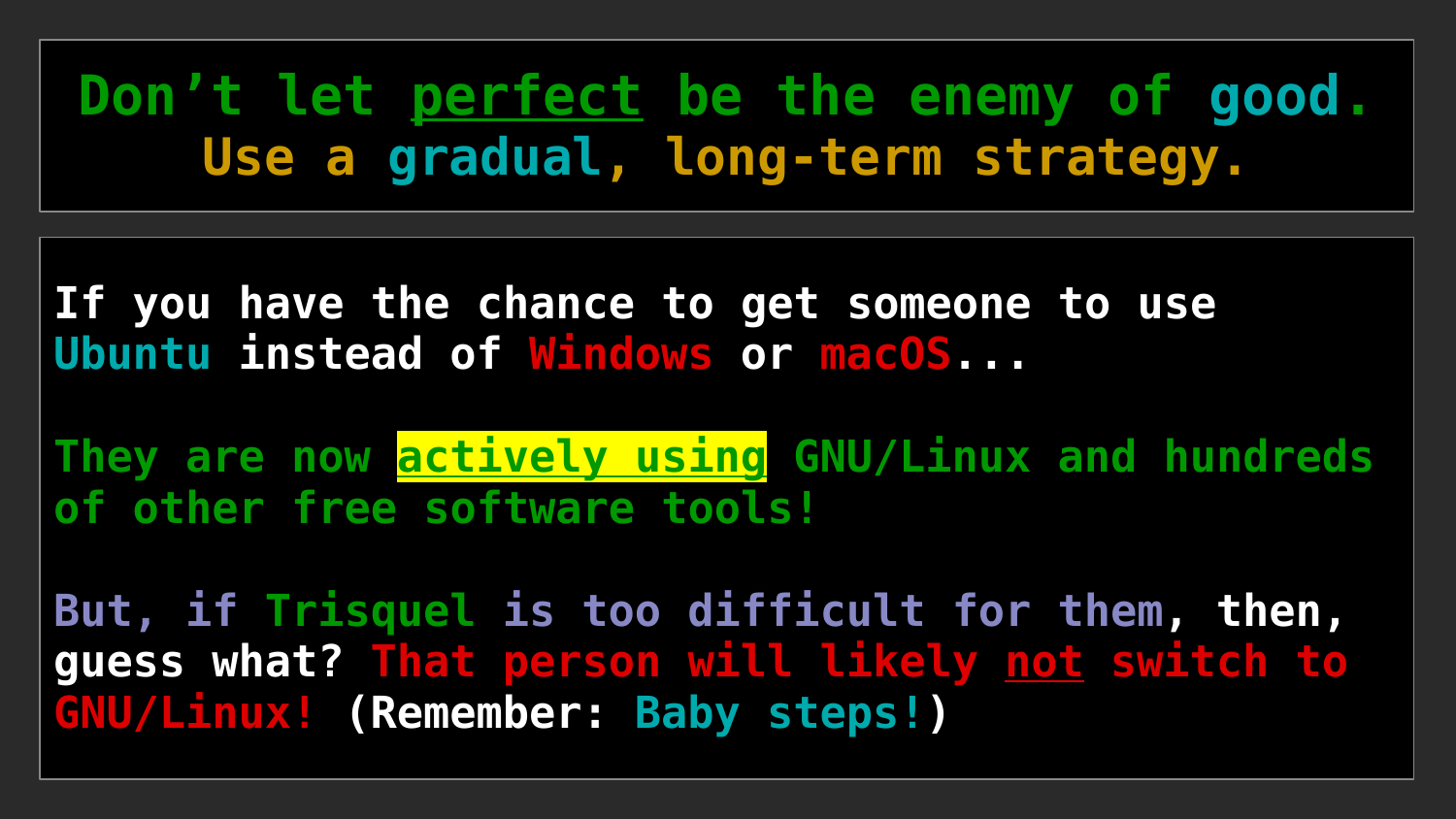**Don't let perfect be the enemy of good. Use a gradual, long-term strategy.**

**If you have the chance to get someone to use Ubuntu instead of Windows or macOS...**

**They are now actively using GNU/Linux and hundreds of other free software tools!**

**But, if Trisquel is too difficult for them, then, guess what? That person will likely not switch to GNU/Linux! (Remember: Baby steps!)**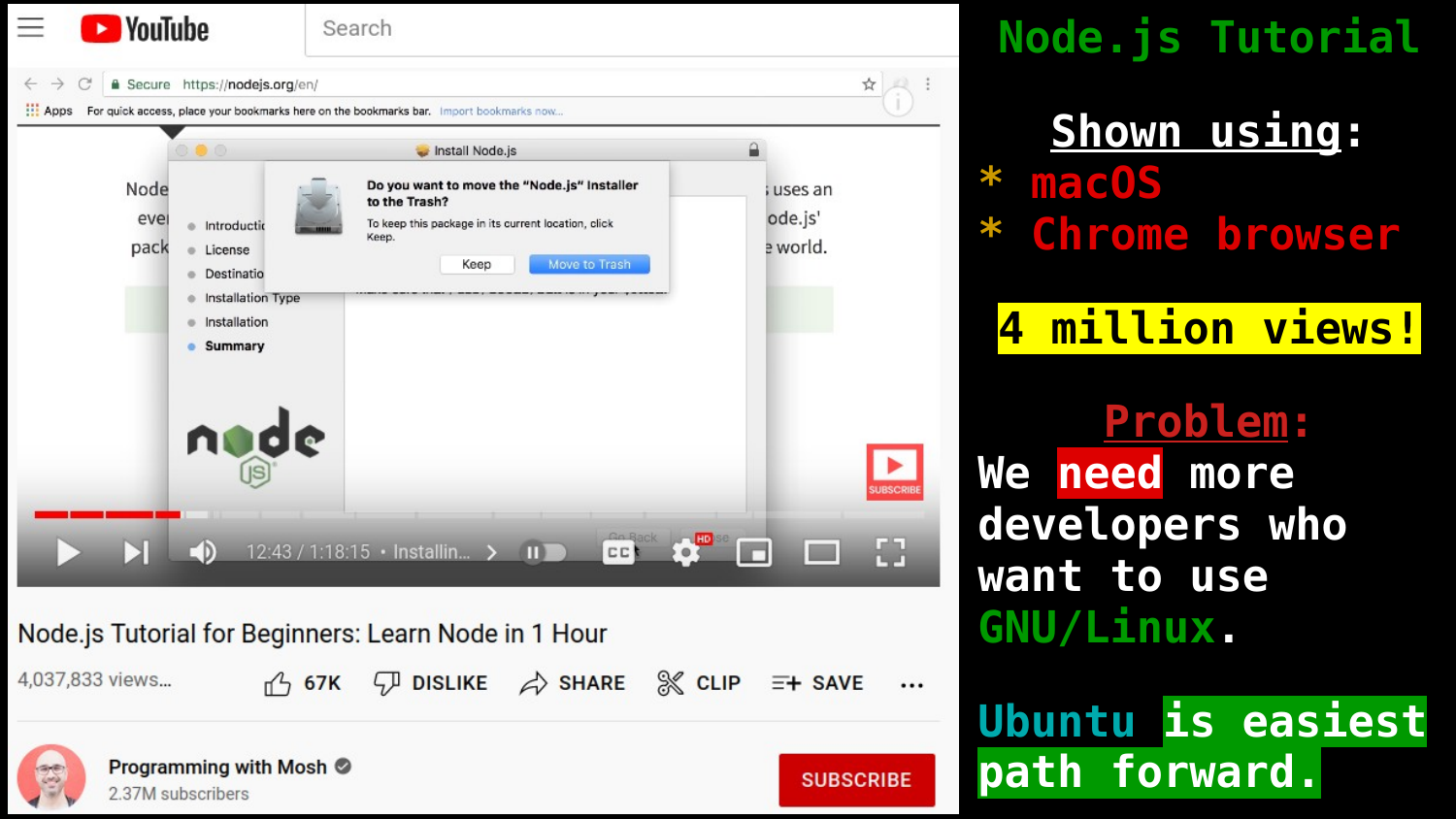

Programming with Mosh © 2.37M subscribers

**SUBSCRIBE** 

### **Node.js Tutorial**

**Shown using: \* macOS \* Chrome browser**

**4 million views!**

**Problem: We need more developers who want to use GNU/Linux.**

**Ubuntu is easiest path forward.**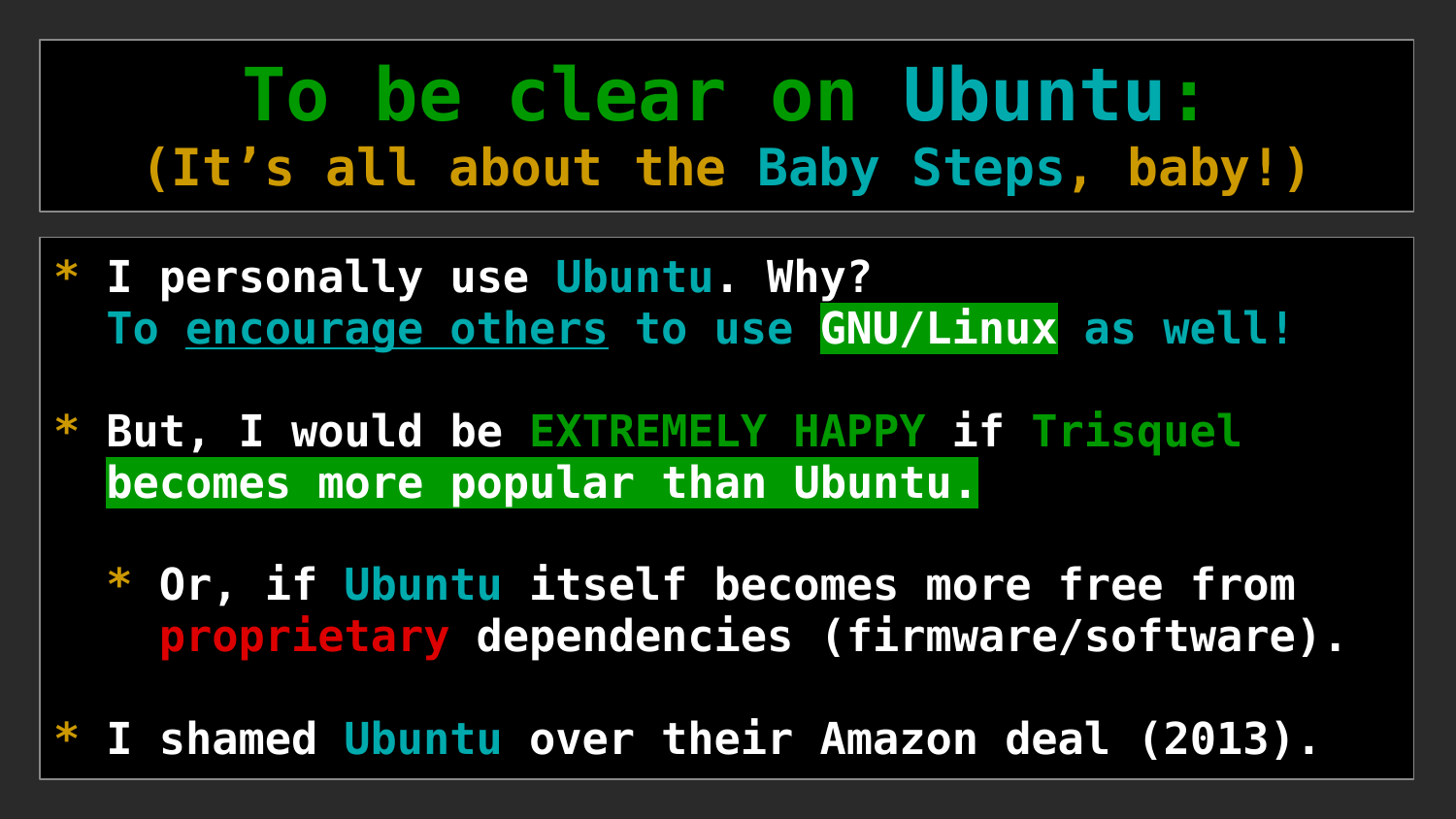### **To be clear on Ubuntu: (It's all about the Baby Steps, baby!)**

- **\* I personally use Ubuntu. Why? To encourage others to use GNU/Linux as well!**
- **But, I would be EXTREMELY HAPPY if Trisquel becomes more popular than Ubuntu.**

 **\* Or, if Ubuntu itself becomes more free from proprietary dependencies (firmware/software).**

**\* I shamed Ubuntu over their Amazon deal (2013).**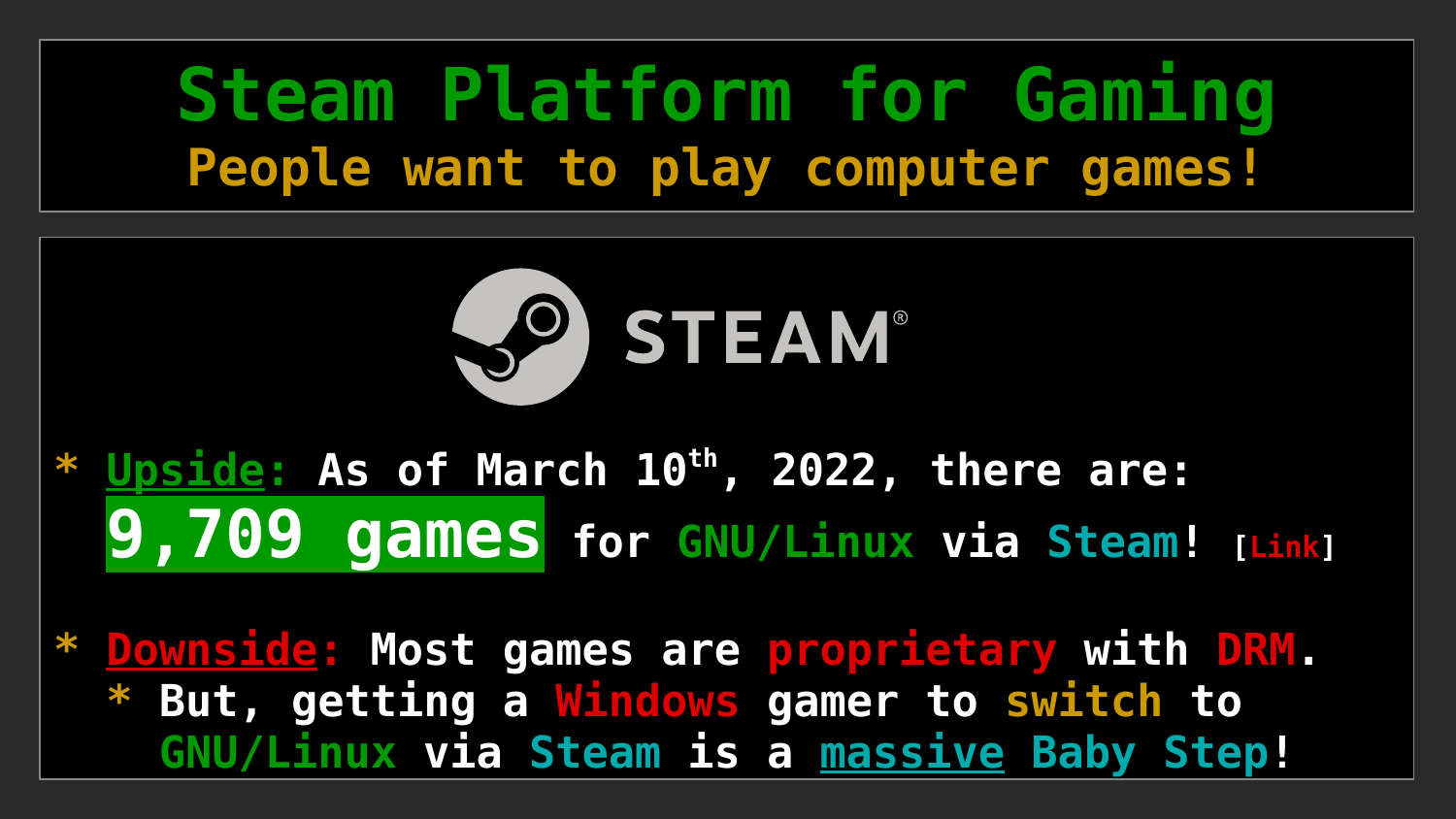### **Steam Platform for Gaming People want to play computer games!**



**\* Upside: As of March 10th, 2022, there are: 9,709 games for GNU/Linux via Steam! [[Link](https://store.steampowered.com/search/?category1=998&os=linux&ignore_preferences=1)]**

**\* Downside: Most games are proprietary with DRM.** But, getting a Windows gamer to switch to  **GNU/Linux via Steam is a massive Baby Step!**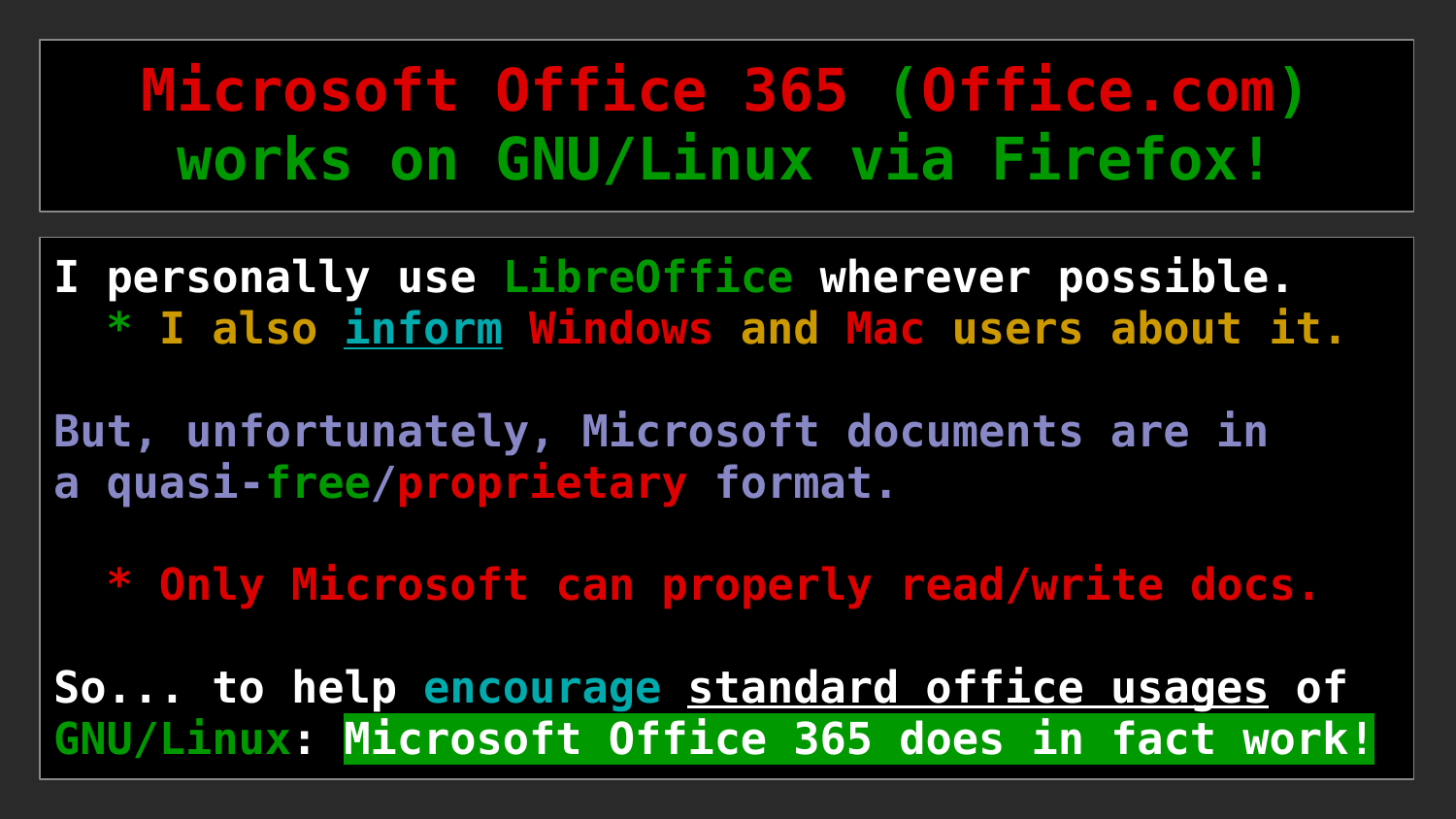### **Microsoft Office 365 (Office.com) works on GNU/Linux via Firefox!**

**I personally use LibreOffice wherever possible. \* I also inform Windows and Mac users about it.**

**But, unfortunately, Microsoft documents are in a quasi-free/proprietary format.**

 **\* Only Microsoft can properly read/write docs.**

**So... to help encourage standard office usages of GNU/Linux: Microsoft Office 365 does in fact work!**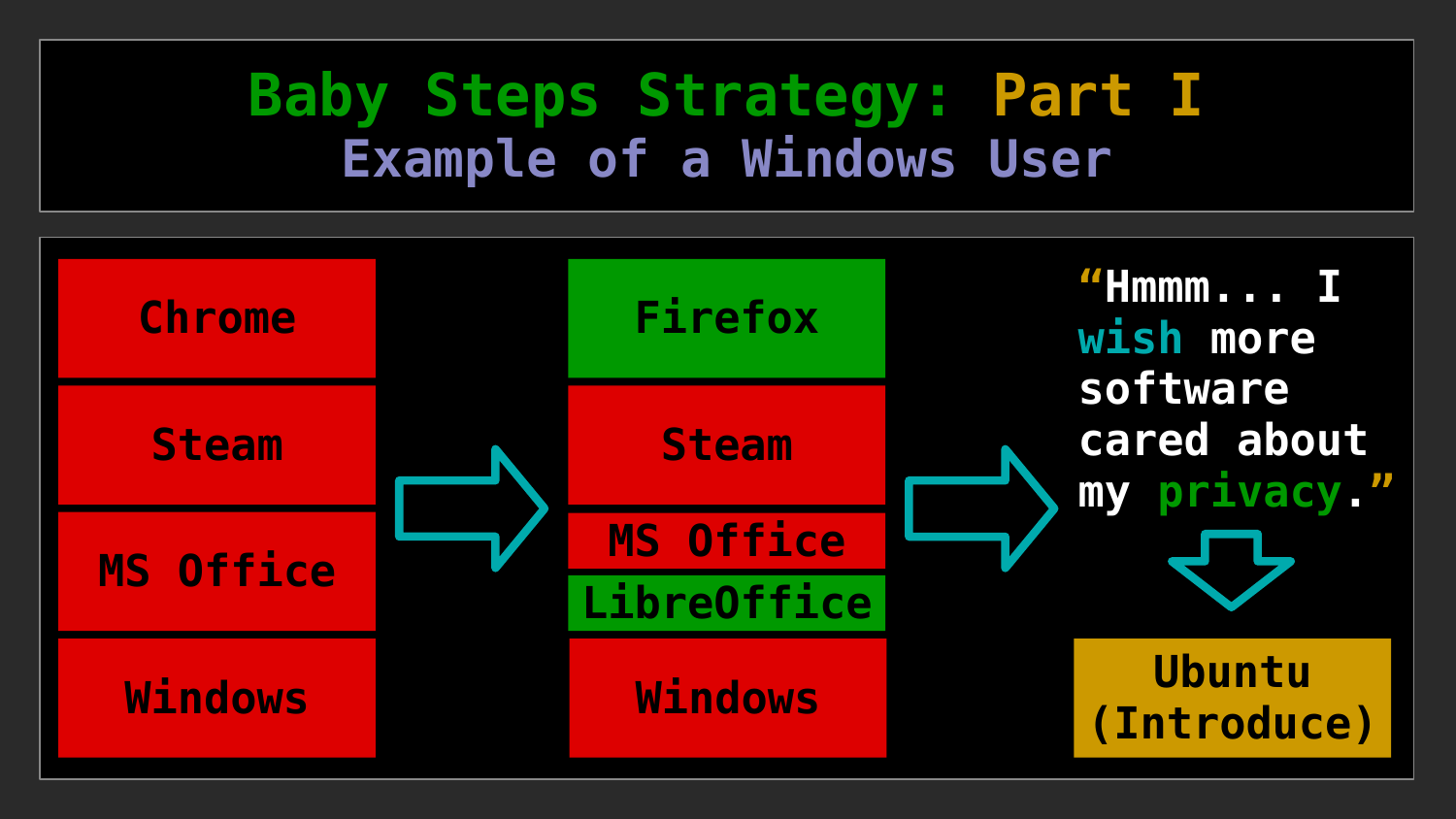### **Baby Steps Strategy: Part I Example of a Windows User**

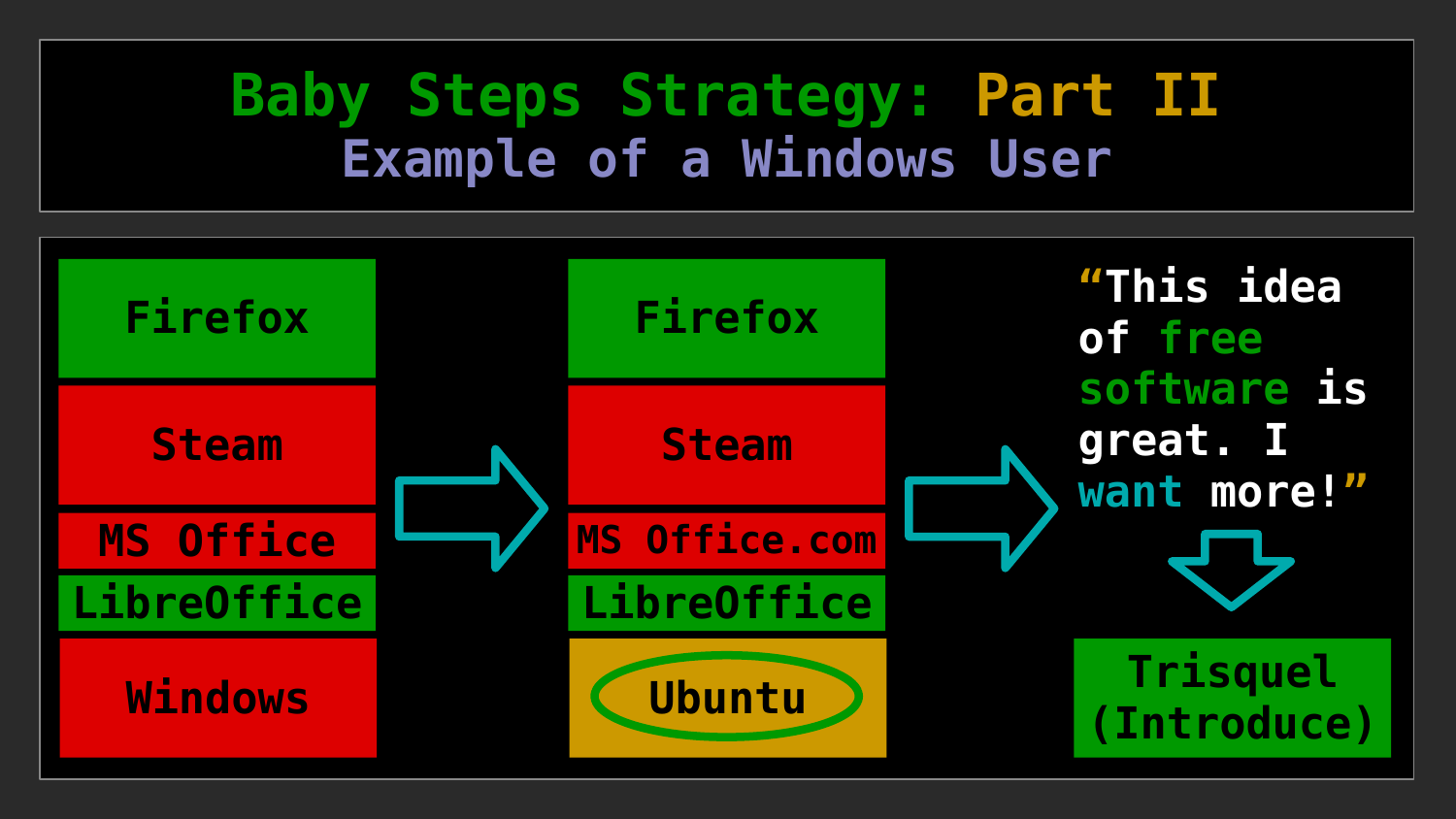### **Baby Steps Strategy: Part II Example of a Windows User**

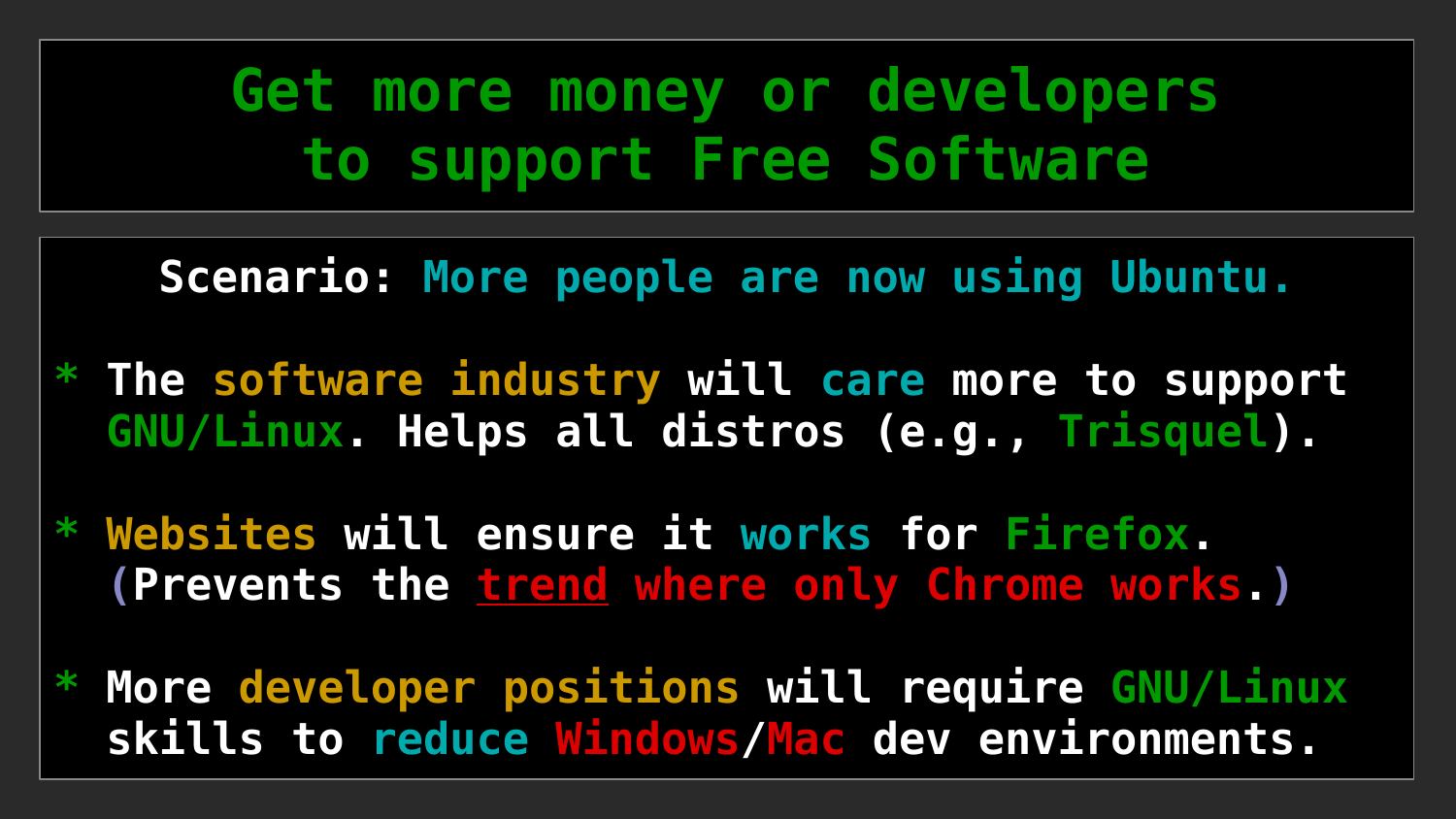**Get more money or developers to support Free Software**

**Scenario: More people are now using Ubuntu.**

- **\* The software industry will care more to support GNU/Linux. Helps all distros (e.g., Trisquel).**
- **\* Websites will ensure it works for Firefox. (Prevents the trend where only Chrome works.)**
- **\* More developer positions will require GNU/Linux skills to reduce Windows/Mac dev environments.**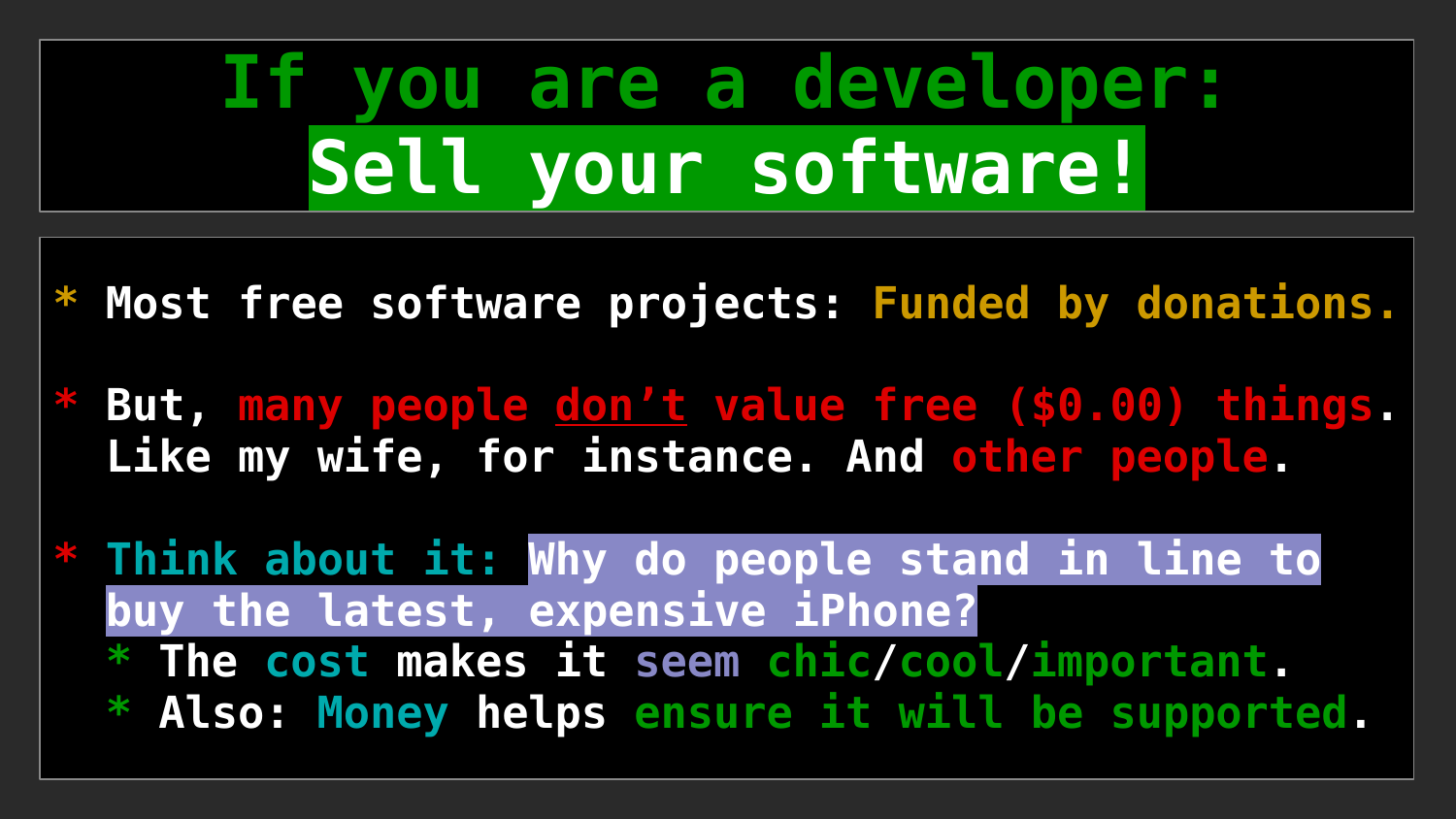# **If you are a developer: Sell your software!**

- **\* Most free software projects: Funded by donations.**
- **\* But, many people don't value free (\$0.00) things. Like my wife, for instance. And [other people](https://www.businessinsider.com/people-dont-value-free-stuff-2017-6?op=1).**
- **\* Think about it: Why do people stand in line to buy the latest, expensive iPhone? \* The cost makes it seem chic/cool/important. \* Also: Money helps ensure it will be supported.**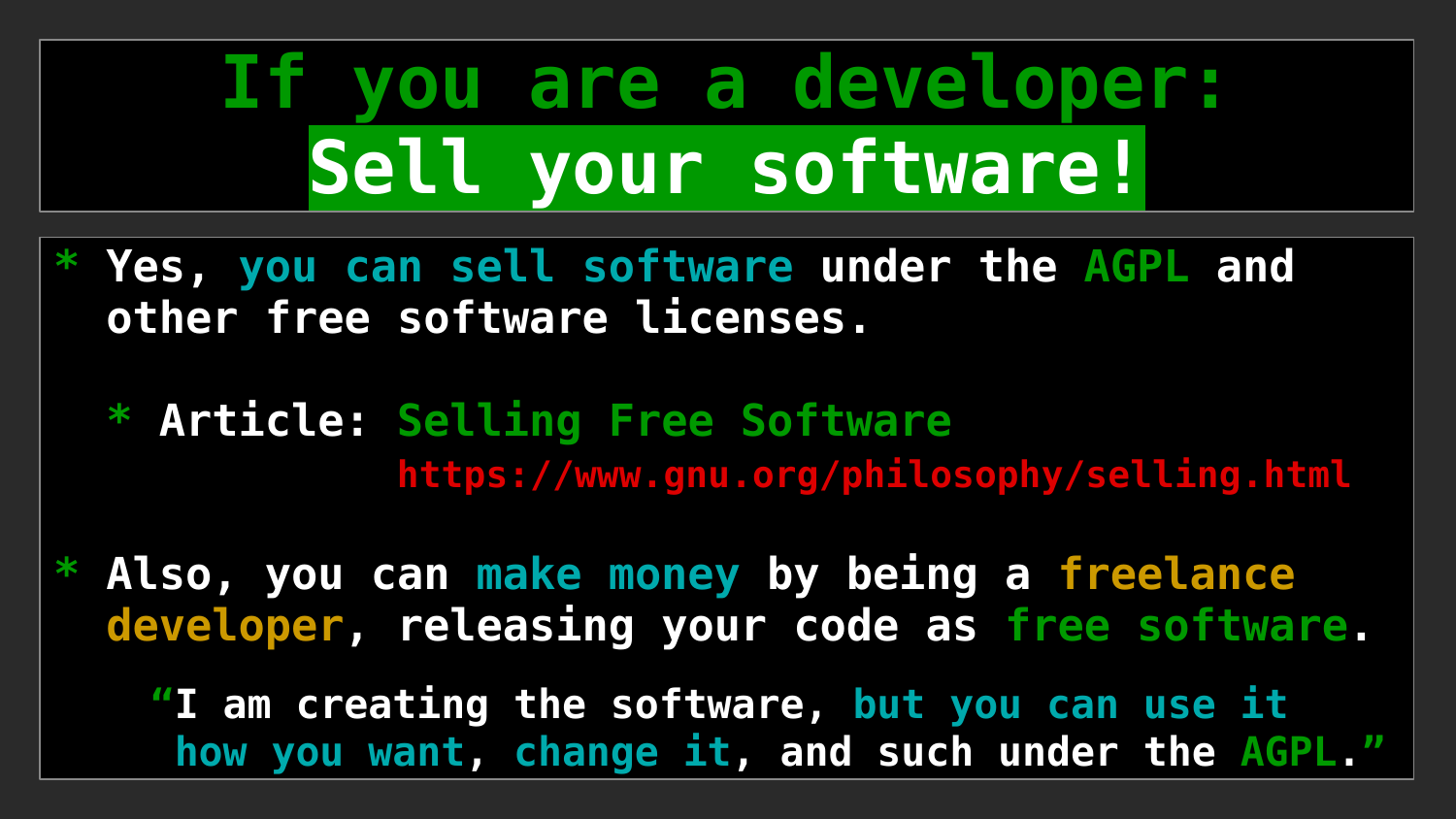# **If you are a developer: Sell your software!**

- **\* Yes, you can sell software under the AGPL and other free software licenses.**
	- **\* Article: Selling Free Software <https://www.gnu.org/philosophy/selling.html>**
- **\* Also, you can make money by being a freelance developer, releasing your code as free software.**

 **"I am creating the software, but you can use it how you want, change it, and such under the AGPL."**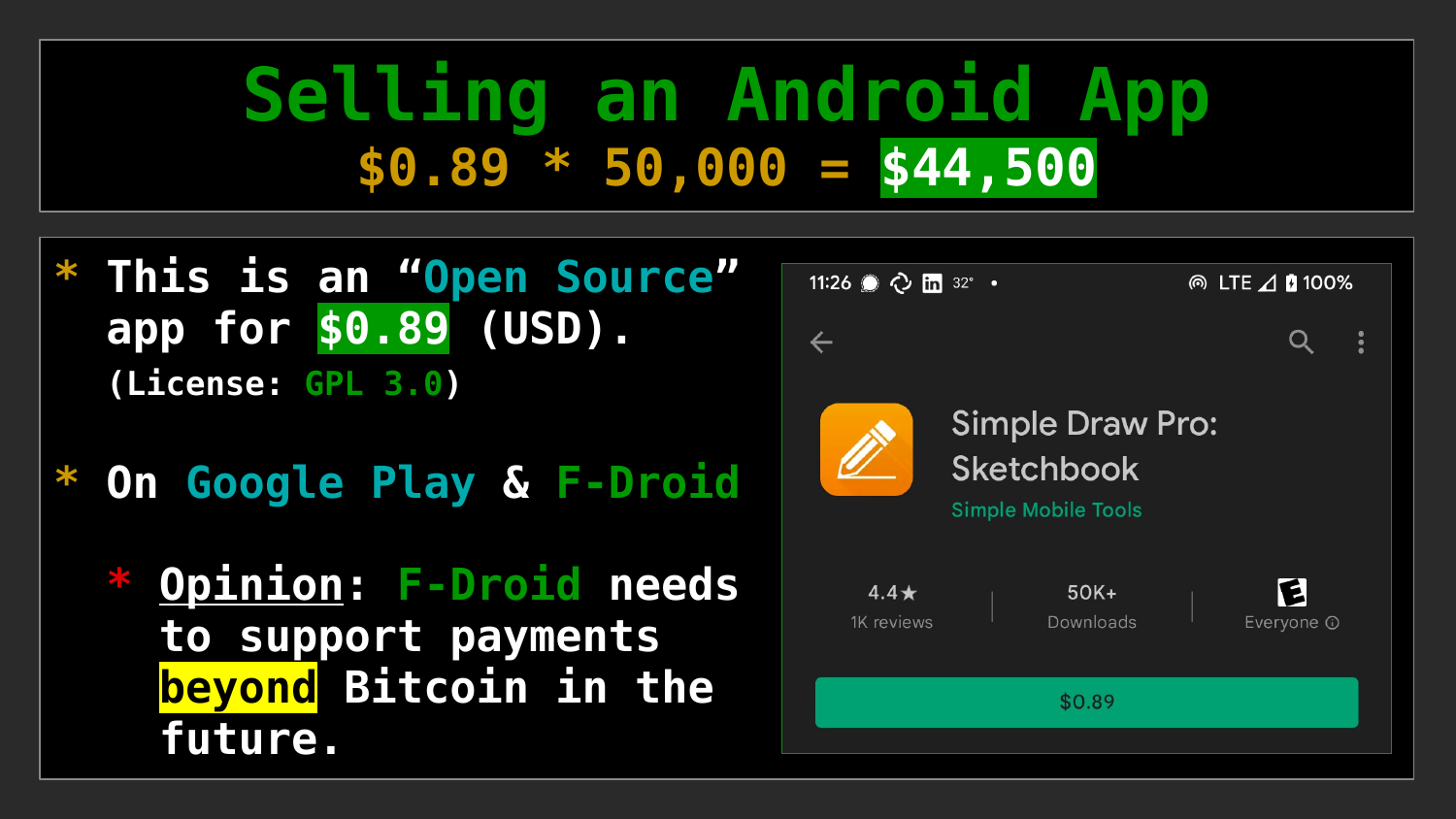### **Selling an Android App \$0.89 \* 50,000 = \$44,500**

- **\* This is an "Open Source" app for \$0.89 (USD). (License: GPL 3.0)**
- **\* On Google Play & F-Droid**
	- **Opinion: F-Droid needs to support payments beyond Bitcoin in the future.**

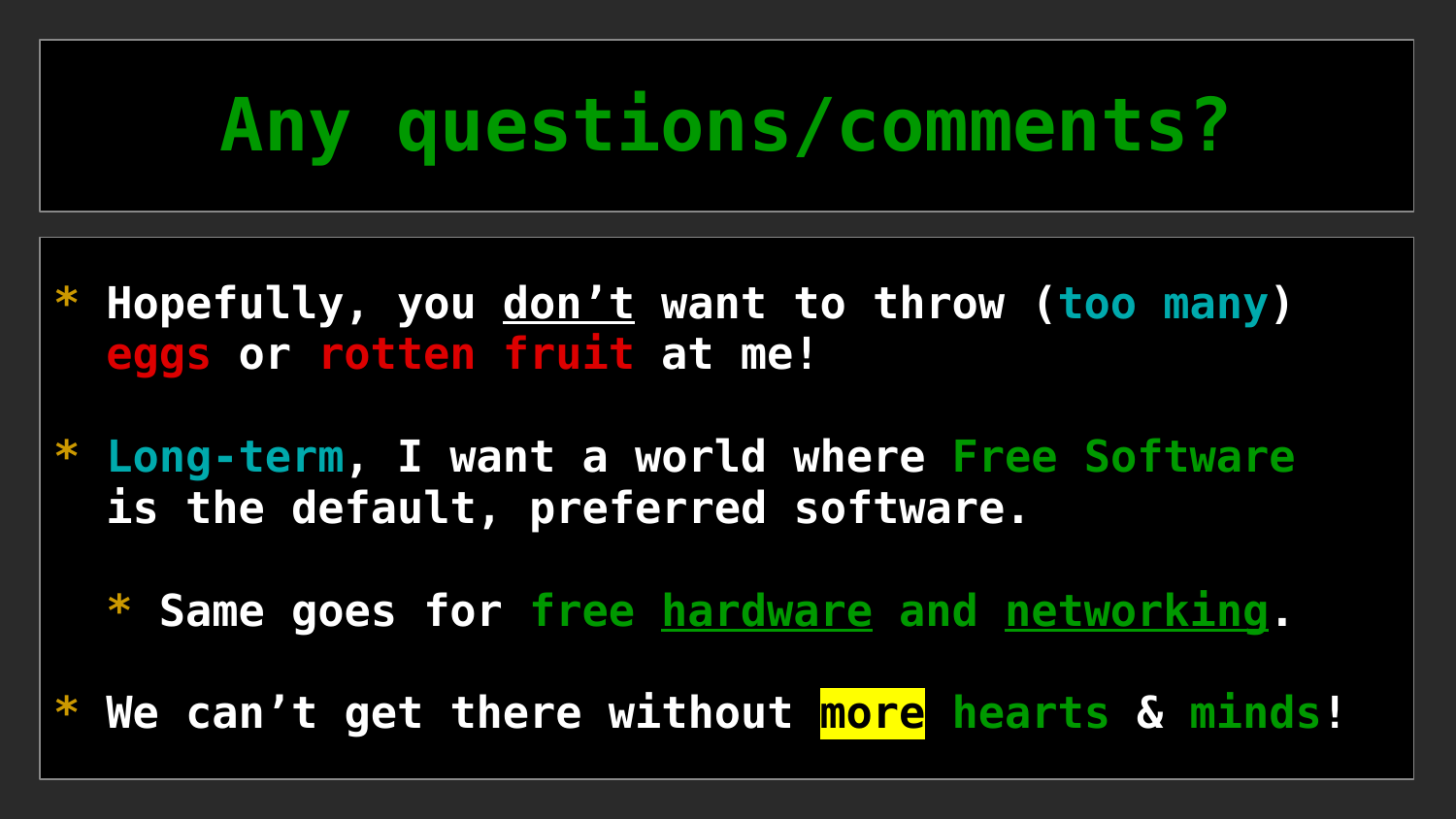# **Any questions/comments?**

- Hopefully, you don't want to throw (too many)  **eggs or rotten fruit at me!**
- **\* Long-term, I want a world where Free Software is the default, preferred software.**
	- **\* Same goes for free hardware and networking.**
- **\* We can't get there without more hearts & minds!**